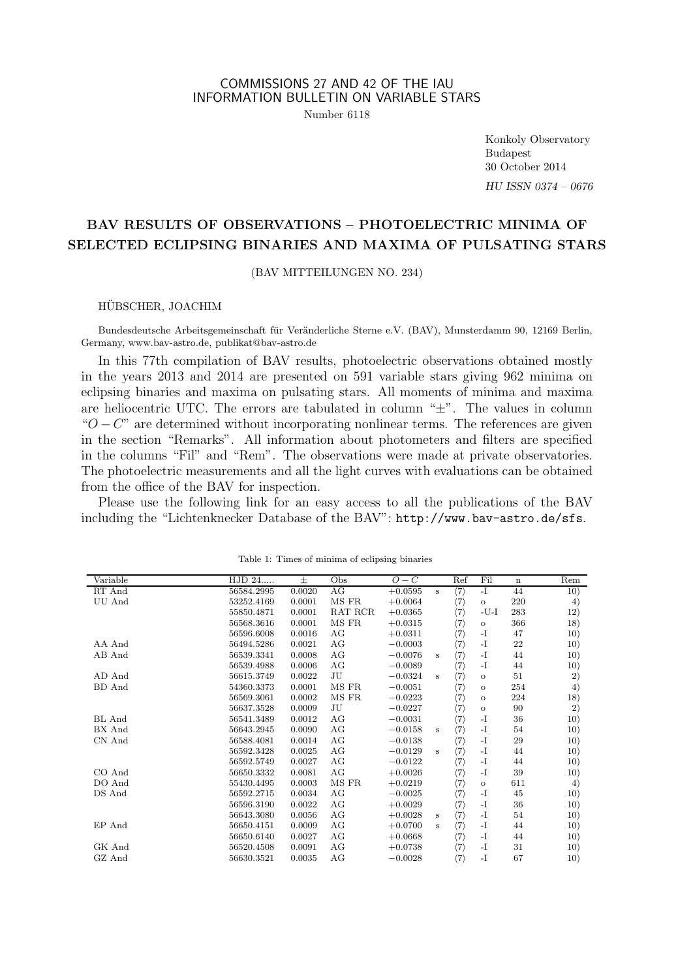### COMMISSIONS 27 AND 42 OF THE IAU INFORMATION BULLETIN ON VARIABLE STARS Number 6118

Konkoly Observatory Budapest 30 October 2014 HU ISSN 0374 – 0676

# BAV RESULTS OF OBSERVATIONS – PHOTOELECTRIC MINIMA OF SELECTED ECLIPSING BINARIES AND MAXIMA OF PULSATING STARS

(BAV MITTEILUNGEN NO. 234)

#### HUBSCHER, JOACHIM ¨

Bundesdeutsche Arbeitsgemeinschaft für Veränderliche Sterne e.V. (BAV), Munsterdamm 90, 12169 Berlin, Germany, www.bav-astro.de, publikat@bav-astro.de

In this 77th compilation of BAV results, photoelectric observations obtained mostly in the years 2013 and 2014 are presented on 591 variable stars giving 962 minima on eclipsing binaries and maxima on pulsating stars. All moments of minima and maxima are heliocentric UTC. The errors are tabulated in column "±". The values in column " $O - C$ " are determined without incorporating nonlinear terms. The references are given in the section "Remarks". All information about photometers and filters are specified in the columns "Fil" and "Rem". The observations were made at private observatories. The photoelectric measurements and all the light curves with evaluations can be obtained from the office of the BAV for inspection.

Please use the following link for an easy access to all the publications of the BAV including the "Lichtenknecker Database of the BAV": http://www.bav-astro.de/sfs.

| Variable | HJD 24     | $\pm$  | Obs       | $O - C$   |         | Ref                 | Fil      | $\mathbf n$ | Rem |
|----------|------------|--------|-----------|-----------|---------|---------------------|----------|-------------|-----|
| RT And   | 56584.2995 | 0.0020 | AG        | $+0.0595$ | s       | (7)                 | $-I$     | 44          | 10) |
| UU And   | 53252.4169 | 0.0001 | MS FR     | $+0.0064$ |         | $\langle 7 \rangle$ | $\circ$  | 220         | 4)  |
|          | 55850.4871 | 0.0001 | RAT RCR   | $+0.0365$ |         | $\langle 7 \rangle$ | $-U-I$   | 283         | 12) |
|          | 56568.3616 | 0.0001 | MS FR     | $+0.0315$ |         | (7)                 | $\circ$  | 366         | 18) |
|          | 56596.6008 | 0.0016 | AG        | $+0.0311$ |         | (7)                 | $-I$     | 47          | 10) |
| AA And   | 56494.5286 | 0.0021 | AG        | $-0.0003$ |         | $\langle 7 \rangle$ | -1       | 22          | 10) |
| AB And   | 56539.3341 | 0.0008 | AG        | $-0.0076$ | s       | (7)                 | $-I$     | 44          | 10) |
|          | 56539.4988 | 0.0006 | AG        | $-0.0089$ |         | (7)                 | $-I$     | 44          | 10) |
| AD And   | 56615.3749 | 0.0022 | JU        | $-0.0324$ | s       | (7)                 | $\circ$  | 51          | 2)  |
| BD And   | 54360.3373 | 0.0001 | MS FR     | $-0.0051$ |         | $\langle 7 \rangle$ | $\circ$  | 254         | 4)  |
|          | 56569.3061 | 0.0002 | MS FR     | $-0.0223$ |         | (7)                 | $\circ$  | 224         | 18) |
|          | 56637.3528 | 0.0009 | JU        | $-0.0227$ |         | (7)                 | $\Omega$ | 90          | 2)  |
| BL And   | 56541.3489 | 0.0012 | AG        | $-0.0031$ |         | $\langle 7 \rangle$ | -1       | 36          | 10) |
| BX And   | 56643.2945 | 0.0090 | AG        | $-0.0158$ | s       | (7)                 | $-I$     | 54          | 10) |
| CN And   | 56588.4081 | 0.0014 | AG        | $-0.0138$ |         | (7)                 | -1       | 29          | 10) |
|          | 56592.3428 | 0.0025 | AG        | $-0.0129$ | s       | (7)                 | $-I$     | 44          | 10) |
|          | 56592.5749 | 0.0027 | AG        | $-0.0122$ |         | (7)                 | -1       | 44          | 10) |
| CO And   | 56650.3332 | 0.0081 | $\rm{AG}$ | $+0.0026$ |         | (7)                 | $-I$     | 39          | 10) |
| DO And   | 55430.4495 | 0.0003 | MS FR     | $+0.0219$ |         | $\langle 7 \rangle$ | $\circ$  | 611         | 4)  |
| DS And   | 56592.2715 | 0.0034 | AG        | $-0.0025$ |         | (7)                 | -1       | 45          | 10) |
|          | 56596.3190 | 0.0022 | AG        | $+0.0029$ |         | (7)                 | $-I$     | 36          | 10) |
|          | 56643.3080 | 0.0056 | AG        | $+0.0028$ | $\bf s$ | (7)                 | $-I$     | 54          | 10) |
| EP And   | 56650.4151 | 0.0009 | AG        | $+0.0700$ | s       | (7)                 | -1       | 44          | 10) |
|          | 56650.6140 | 0.0027 | AG        | $+0.0668$ |         | $\langle 7 \rangle$ | $-I$     | 44          | 10) |
| GK And   | 56520.4508 | 0.0091 | AG        | $+0.0738$ |         | (7)                 | $-I$     | 31          | 10) |
| GZ And   | 56630.3521 | 0.0035 | AG        | $-0.0028$ |         | (7)                 | $-I$     | 67          | 10) |

Table 1: Times of minima of eclipsing binaries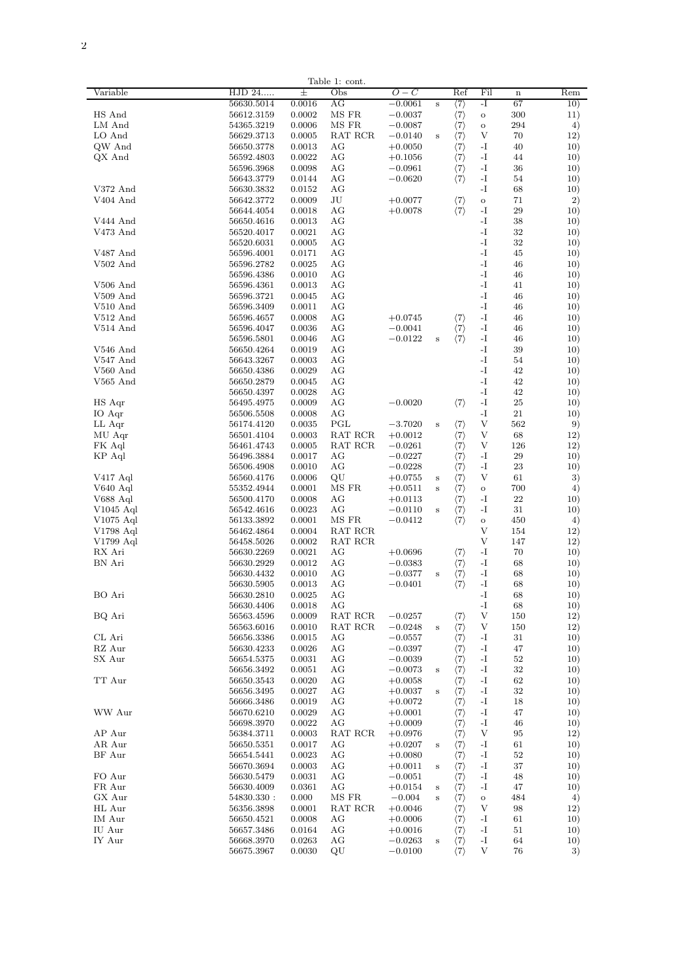|            |            |        | Table 1: cont.                            |           |         |                     |               |             |     |
|------------|------------|--------|-------------------------------------------|-----------|---------|---------------------|---------------|-------------|-----|
| Variable   | HJD 24     | 土      | Obs                                       | 0 – C     |         | Ref                 | Fil           | $\mathbf n$ | Rem |
|            |            |        |                                           |           |         |                     |               |             |     |
|            | 56630.5014 | 0.0016 | AG                                        | $-0.0061$ | s       | $\langle 7 \rangle$ | -I            | 67          | 10) |
| HS And     | 56612.3159 | 0.0002 | MS FR                                     | $-0.0037$ |         | $\langle 7 \rangle$ | $\circ$       | 300         | 11) |
| LM And     | 54365.3219 | 0.0006 | MS FR                                     | $-0.0087$ |         | $\langle 7 \rangle$ | $\circ$       | 294         | 4)  |
| LO And     | 56629.3713 | 0.0005 | RAT RCR                                   | $-0.0140$ | s       | $\langle 7 \rangle$ | V             | 70          | 12) |
|            |            |        |                                           |           |         |                     |               |             |     |
| QW And     | 56650.3778 | 0.0013 | AG                                        | $+0.0050$ |         | $\binom{7}{7}$      | -I            | 40          | 10) |
| QX And     | 56592.4803 | 0.0022 | AG                                        | $+0.1056$ |         |                     | $-I$          | 44          | 10) |
|            | 56596.3968 | 0.0098 | AG                                        | $-0.0961$ |         | $\langle 7 \rangle$ | $-I$          | 36          | 10) |
|            |            |        |                                           |           |         |                     |               |             |     |
|            | 56643.3779 | 0.0144 | AG                                        | $-0.0620$ |         | $\langle 7 \rangle$ | $-I$          | 54          | 10) |
| V372 And   | 56630.3832 | 0.0152 | AG                                        |           |         |                     | $-I$          | 68          | 10) |
| V404 And   | 56642.3772 | 0.0009 | JU                                        | $+0.0077$ |         | $\langle 7 \rangle$ | $\circ$       | 71          | 2)  |
|            |            |        |                                           |           |         |                     |               |             |     |
|            | 56644.4054 | 0.0018 | AG                                        | $+0.0078$ |         | $\langle 7 \rangle$ | $-I$          | 29          | 10) |
| V444 And   | 56650.4616 | 0.0013 | AG                                        |           |         |                     | $\mathbf{-I}$ | 38          | 10) |
| V473 And   | 56520.4017 | 0.0021 |                                           |           |         |                     | $\mathbf{-I}$ | 32          |     |
|            |            |        | ΑG                                        |           |         |                     |               |             | 10) |
|            | 56520.6031 | 0.0005 | ΑG                                        |           |         |                     | -1            | 32          | 10) |
| V487 And   | 56596.4001 | 0.0171 | AG                                        |           |         |                     | -I            | 45          | 10) |
| $V502$ And | 56596.2782 | 0.0025 | AG                                        |           |         |                     | $-I$          | 46          | 10) |
|            |            |        |                                           |           |         |                     |               |             |     |
|            | 56596.4386 | 0.0010 | AG                                        |           |         |                     | -1            | 46          | 10) |
| $V506$ And | 56596.4361 | 0.0013 | AG                                        |           |         |                     | $-I$          | 41          | 10) |
| $V509$ And | 56596.3721 | 0.0045 | AG                                        |           |         |                     | $-I$          | 46          | 10) |
|            |            |        |                                           |           |         |                     |               |             |     |
| $V510$ And | 56596.3409 | 0.0011 | AG                                        |           |         |                     | $-I$          | 46          | 10) |
| V512 And   | 56596.4657 | 0.0008 | AG                                        | $+0.0745$ |         | $\langle 7 \rangle$ | $-I$          | 46          | 10) |
|            |            |        | AG                                        |           |         |                     | $-I$          | 46          |     |
| V514 And   | 56596.4047 | 0.0036 |                                           | $-0.0041$ |         | $\langle 7 \rangle$ |               |             | 10) |
|            | 56596.5801 | 0.0046 | ΑG                                        | $-0.0122$ | s       | $\langle 7 \rangle$ | $-I$          | 46          | 10) |
| $V546$ And | 56650.4264 | 0.0019 | ΑG                                        |           |         |                     | $-I$          | 39          | 10) |
|            |            |        |                                           |           |         |                     |               |             |     |
| V547 And   | 56643.3267 | 0.0003 | AG                                        |           |         |                     | -I            | 54          | 10) |
| $V560$ And | 56650.4386 | 0.0029 | AG                                        |           |         |                     | $-I$          | 42          | 10) |
| V565 And   | 56650.2879 | 0.0045 | AG                                        |           |         |                     | -1            | 42          | 10) |
|            |            |        |                                           |           |         |                     |               |             |     |
|            | 56650.4397 | 0.0028 | AG                                        |           |         |                     | $-I$          | 42          | 10) |
| HS Aqr     | 56495.4975 | 0.0009 | AG                                        | $-0.0020$ |         | $\langle 7 \rangle$ | $-I$          | 25          | 10) |
| IO Aqr     | 56506.5508 | 0.0008 | AG                                        |           |         |                     | $-I$          | 21          | 10) |
|            |            |        |                                           |           |         |                     |               |             |     |
| LL Aqr     | 56174.4120 | 0.0035 | PGL                                       | $-3.7020$ | s       | $\langle 7 \rangle$ | V             | 562         | 9)  |
| MU Aqr     | 56501.4104 | 0.0003 | RAT RCR                                   | $+0.0012$ |         | $\langle 7 \rangle$ | V             | 68          | 12) |
| FK Aql     | 56461.4743 | 0.0005 | RAT RCR                                   | $-0.0261$ |         | $\langle 7 \rangle$ | V             | 126         | 12) |
|            |            |        |                                           |           |         |                     |               | 29          |     |
| KP Aql     | 56496.3884 | 0.0017 | ΑG                                        | $-0.0227$ |         | $\langle 7 \rangle$ | -1            |             | 10) |
|            | 56506.4908 | 0.0010 | AG                                        | $-0.0228$ |         | $\langle 7\rangle$  | -I            | 23          | 10) |
| V417 Aql   | 56560.4176 | 0.0006 | QU                                        | $+0.0755$ | $\bf s$ | $\langle 7\rangle$  | V             | 61          | 3)  |
|            |            |        |                                           |           |         |                     |               |             |     |
| V640 Aql   | 55352.4944 | 0.0001 | MS FR                                     | $+0.0511$ | $\bf s$ | $\langle 7 \rangle$ | $\rm _O$      | 700         | 4)  |
| V688 Aql   | 56500.4170 | 0.0008 | AG                                        | $+0.0113$ |         | $\langle 7\rangle$  | $-I$          | 22          | 10) |
| V1045 Aql  | 56542.4616 | 0.0023 | AG                                        | $-0.0110$ | s       | $\langle 7\rangle$  | $-I$          | 31          | 10) |
|            |            |        |                                           |           |         |                     |               |             |     |
| V1075 Aql  | 56133.3892 | 0.0001 | MS FR                                     | $-0.0412$ |         | $\langle 7 \rangle$ | $\circ$       | 450         | 4)  |
| V1798 Aql  | 56462.4864 | 0.0004 | RAT RCR                                   |           |         |                     | V             | 154         | 12) |
| V1799 Aql  | 56458.5026 | 0.0002 | RAT RCR                                   |           |         |                     | V             | 147         | 12) |
|            |            |        |                                           |           |         |                     |               |             |     |
| RX Ari     | 56630.2269 | 0.0021 | ΑG                                        | $+0.0696$ |         | $\langle 7\rangle$  | $-I$          | 70          | 10) |
| BN Ari     | 56630.2929 | 0.0012 | ΑG                                        | $-0.0383$ |         | $\langle 7 \rangle$ | $-I$          | 68          | 10) |
|            | 56630.4432 | 0.0010 | AG                                        | $-0.0377$ | $\bf s$ | $\langle 7 \rangle$ | -I            | 68          | 10) |
|            |            |        |                                           |           |         |                     |               |             |     |
|            | 56630.5905 | 0.0013 | AG                                        | $-0.0401$ |         | $\langle 7 \rangle$ | $-I$          | 68          | 10) |
| BO Ari     | 56630.2810 | 0.0025 | AG                                        |           |         |                     | $-I$          | 68          | 10) |
|            | 56630.4406 | 0.0018 | AG                                        |           |         |                     | $-I$          | 68          | 10) |
| BQ Ari     | 56563.4596 | 0.0009 | RAT RCR                                   | $-0.0257$ |         |                     | V             | 150         | 12) |
|            |            |        |                                           |           |         | $\langle 7\rangle$  |               |             |     |
|            | 56563.6016 | 0.0010 | RAT RCR                                   | $-0.0248$ | $\bf s$ | $\langle 7 \rangle$ | V             | 150         | 12) |
| CL Ari     | 56656.3386 | 0.0015 | ΑG                                        | $-0.0557$ |         | $\langle 7\rangle$  | -1            | 31          | 10) |
| RZ Aur     | 56630.4233 | 0.0026 | ΑG                                        | $-0.0397$ |         | $\langle 7\rangle$  | -1            | 47          | 10) |
|            |            |        |                                           |           |         |                     |               |             |     |
| SX Aur     | 56654.5375 | 0.0031 | ΑG                                        | $-0.0039$ |         | $\langle 7 \rangle$ | -1            | 52          | 10) |
|            | 56656.3492 | 0.0051 | AG                                        | $-0.0073$ | $\bf s$ | $\langle 7\rangle$  | $-I$          | 32          | 10) |
| TT Aur     | 56650.3543 | 0.0020 | ΑG                                        | $+0.0058$ |         | $\langle 7 \rangle$ | $-I$          | 62          | 10) |
|            |            |        |                                           |           |         |                     |               |             |     |
|            | 56656.3495 | 0.0027 | ΑG                                        | $+0.0037$ | s       | $\langle 7\rangle$  | $-I$          | 32          | 10) |
|            | 56666.3486 | 0.0019 | ΑG                                        | $+0.0072$ |         | $\langle 7\rangle$  | $-I$          | 18          | 10) |
| WW Aur     | 56670.6210 | 0.0029 | AG                                        | $+0.0001$ |         |                     | $-I$          | 47          | 10) |
|            |            |        |                                           |           |         | $\langle 7\rangle$  |               |             |     |
|            | 56698.3970 | 0.0022 | AG                                        | $+0.0009$ |         | $\langle 7\rangle$  | $-I$          | 46          | 10) |
| AP Aur     | 56384.3711 | 0.0003 | $\operatorname{RAT}$ $\operatorname{RCR}$ | $+0.0976$ |         | $\langle 7 \rangle$ | V             | 95          | 12) |
| AR Aur     | 56650.5351 | 0.0017 | AG                                        | $+0.0207$ | s       | $\langle 7 \rangle$ | $-I$          | 61          | 10) |
|            |            |        |                                           |           |         |                     |               |             |     |
| BF Aur     | 56654.5441 | 0.0023 | AG                                        | $+0.0080$ |         | $\langle 7\rangle$  | -1            | 52          | 10) |
|            | 56670.3694 | 0.0003 | ΑG                                        | $+0.0011$ | s       | $\langle 7\rangle$  | $-I$          | 37          | 10) |
| FO Aur     | 56630.5479 | 0.0031 | ΑG                                        | $-0.0051$ |         | $\langle 7\rangle$  | $-I$          | 48          | 10) |
|            |            |        |                                           |           |         |                     |               |             |     |
| FR Aur     | 56630.4009 | 0.0361 | AG                                        | $+0.0154$ | s       |                     | $-I$          | 47          | 10) |
| GX Aur     | 54830.330: | 0.000  | MS FR                                     | $-0.004$  | Ś       | $\binom{7}{7}$      | $\circ$       | 484         | 4)  |
| HL Aur     | 56356.3898 | 0.0001 | RAT RCR                                   | $+0.0046$ |         | $\langle 7 \rangle$ | V             | 98          | 12) |
|            |            |        |                                           |           |         |                     |               |             |     |
| IM Aur     | 56650.4521 | 0.0008 | AG                                        | $+0.0006$ |         | $\langle 7\rangle$  | $-I$          | 61          | 10) |
| IU Aur     | 56657.3486 | 0.0164 | AG                                        | $+0.0016$ |         | $\langle 7 \rangle$ | $-I$          | 51          | 10) |
| IY Aur     | 56668.3970 | 0.0263 | AG                                        | $-0.0263$ | s       | $\langle 7 \rangle$ | $-I$          | 64          | 10) |
|            |            |        |                                           |           |         |                     |               |             |     |
|            | 56675.3967 | 0.0030 | QU                                        | $-0.0100$ |         | $\langle 7 \rangle$ | V             | 76          | 3)  |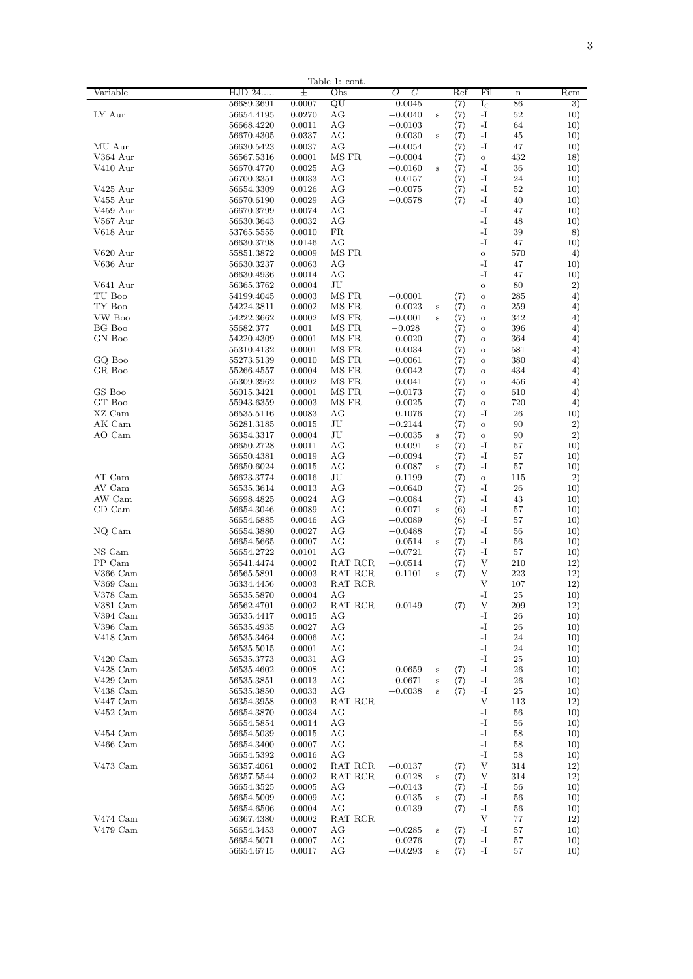|            |            |        | lable 1:<br>cont. |           |                         |                     |               |                         |         |
|------------|------------|--------|-------------------|-----------|-------------------------|---------------------|---------------|-------------------------|---------|
| Variable   | HJD 24     | Ŧ      | Obs               | $O-C$     |                         | Ref                 | Fil           | $\overline{\mathbf{n}}$ | Rem     |
|            | 56689.3691 | 0.0007 | QU                | $-0.0045$ |                         | $\langle 7\rangle$  | $I_{\rm C}$   | 86                      | 3)      |
| LY Aur     | 56654.4195 | 0.0270 | AG                | $-0.0040$ | s                       | $\langle 7 \rangle$ | -1            | 52                      | 10)     |
|            | 56668.4220 | 0.0011 | ΑG                | $-0.0103$ |                         | $\langle 7 \rangle$ | -1            | 64                      | 10)     |
|            |            |        |                   |           |                         |                     |               |                         |         |
|            | 56670.4305 | 0.0337 | ΑG                | $-0.0030$ | s                       | $\langle 7 \rangle$ | -1            | 45                      | 10)     |
| MU Aur     | 56630.5423 | 0.0037 | AG                | $+0.0054$ |                         | $\langle 7 \rangle$ | $-I$          | 47                      | 10)     |
| V364 Aur   | 56567.5316 | 0.0001 | MS FR             | $-0.0004$ |                         | $\langle 7 \rangle$ | $\rm _O$      | 432                     | 18)     |
| V410 Aur   | 56670.4770 | 0.0025 | AG                | $+0.0160$ | $\bf s$                 | $\langle 7 \rangle$ | -1            | 36                      | 10)     |
|            | 56700.3351 | 0.0033 | AG                | $+0.0157$ |                         | $\langle 7 \rangle$ | $-I$          | 24                      | 10)     |
|            |            |        |                   |           |                         |                     |               |                         |         |
| V425 Aur   | 56654.3309 | 0.0126 | AG                | $+0.0075$ |                         | $\langle 7 \rangle$ | $-I$          | 52                      | 10)     |
| V455 Aur   | 56670.6190 | 0.0029 | AG                | $-0.0578$ |                         | $\langle 7 \rangle$ | $-I$          | 40                      | 10)     |
| V459 Aur   | 56670.3799 | 0.0074 | AG                |           |                         |                     | $-I$          | 47                      | 10)     |
| V567 Aur   | 56630.3643 | 0.0032 | AG                |           |                         |                     | $\mathbf{-I}$ | 48                      | 10)     |
| V618 Aur   | 53765.5555 | 0.0010 | FR                |           |                         |                     | $-I$          | 39                      | 8)      |
|            |            |        |                   |           |                         |                     | $-I$          |                         |         |
|            | 56630.3798 | 0.0146 | AG                |           |                         |                     |               | 47                      | 10)     |
| V620 Aur   | 55851.3872 | 0.0009 | MS FR             |           |                         |                     | $\circ$       | 570                     | 4)      |
| V636 Aur   | 56630.3237 | 0.0063 | AG                |           |                         |                     | $-I$          | 47                      | 10)     |
|            | 56630.4936 | 0.0014 | AG                |           |                         |                     | -1            | 47                      | 10)     |
| V641 Aur   | 56365.3762 | 0.0004 | JU                |           |                         |                     | $\circ$       | 80                      | 2)      |
|            |            |        |                   |           |                         |                     |               |                         |         |
| TU Boo     | 54199.4045 | 0.0003 | MS FR             | $-0.0001$ |                         | $\langle 7\rangle$  | $\circ$       | 285                     | 4)      |
| TY Boo     | 54224.3811 | 0.0002 | MS FR             | $+0.0023$ | s                       | $\langle 7 \rangle$ | $\circ$       | 259                     | 4)      |
| VW Boo     | 54222.3662 | 0.0002 | MS FR             | $-0.0001$ | s                       | $\langle 7 \rangle$ | $\circ$       | 342                     | $^{4)}$ |
| BG Boo     | 55682.377  | 0.001  | $\rm MS~FR$       | $-0.028$  |                         | $\langle 7 \rangle$ | $\circ$       | 396                     | $^{4)}$ |
| GN Boo     | 54220.4309 | 0.0001 | $\rm MS~FR$       | $+0.0020$ |                         | $\langle 7 \rangle$ | $\circ$       | 364                     | $^{4)}$ |
|            |            |        |                   |           |                         |                     |               |                         |         |
|            | 55310.4132 | 0.0001 | MS FR             | $+0.0034$ |                         | $\langle 7 \rangle$ | $\circ$       | 581                     | $^{4)}$ |
| GQ Boo     | 55273.5139 | 0.0010 | MS FR             | $+0.0061$ |                         | $\langle 7 \rangle$ | $\circ$       | 380                     | $^{4)}$ |
| GR Boo     | 55266.4557 | 0.0004 | MS FR             | $-0.0042$ |                         | $\langle 7 \rangle$ | $\circ$       | 434                     | $^{4)}$ |
|            | 55309.3962 | 0.0002 | MS FR             | $-0.0041$ |                         | $\langle 7 \rangle$ | $\circ$       | 456                     | $^{4)}$ |
| GS Boo     | 56015.3421 | 0.0001 | MS FR             | $-0.0173$ |                         | $\langle 7 \rangle$ | $\circ$       | 610                     | $^{4)}$ |
|            |            |        |                   |           |                         |                     |               |                         |         |
| GT Boo     | 55943.6359 | 0.0003 | MS FR             | $-0.0025$ |                         | $\langle 7 \rangle$ | $\circ$       | 720                     | $^{4)}$ |
| XZ Cam     | 56535.5116 | 0.0083 | AG                | $+0.1076$ |                         | $\langle 7 \rangle$ | -I            | 26                      | 10)     |
| AK Cam     | 56281.3185 | 0.0015 | JU                | $-0.2144$ |                         | $\langle 7 \rangle$ | $\circ$       | 90                      | 2)      |
| AO Cam     | 56354.3317 | 0.0004 | JU                | $+0.0035$ | s                       | $\langle 7\rangle$  | $\circ$       | 90                      | 2)      |
|            | 56650.2728 | 0.0011 | AG                | $+0.0091$ | s                       | $\langle 7 \rangle$ | $-I$          | 57                      | 10)     |
|            |            |        |                   |           |                         |                     |               |                         |         |
|            | 56650.4381 | 0.0019 | AG                | $+0.0094$ |                         | $\langle 7\rangle$  | $-I$          | 57                      | 10)     |
|            | 56650.6024 | 0.0015 | AG                | $+0.0087$ | s                       | $\langle 7\rangle$  | $-I$          | 57                      | 10)     |
| AT Cam     | 56623.3774 | 0.0016 | JU                | $-0.1199$ |                         | $\langle 7\rangle$  | $\circ$       | 115                     | 2)      |
| AV Cam     | 56535.3614 | 0.0013 | AG                | $-0.0640$ |                         | $\langle 7\rangle$  | $-I$          | 26                      | 10)     |
| AW Cam     | 56698.4825 | 0.0024 | AG                | $-0.0084$ |                         | $\langle 7\rangle$  | -1            | 43                      | 10)     |
|            |            |        |                   |           |                         |                     |               |                         |         |
| CD Cam     | 56654.3046 | 0.0089 | AG                | $+0.0071$ | s                       | $\langle 6 \rangle$ | -1            | 57                      | 10)     |
|            | 56654.6885 | 0.0046 | AG                | $+0.0089$ |                         | $\langle 6 \rangle$ | -1            | 57                      | 10)     |
| NQ Cam     | 56654.3880 | 0.0027 | AG                | $-0.0488$ |                         | $\langle 7 \rangle$ | -1            | 56                      | 10)     |
|            | 56654.5665 | 0.0007 | AG                | $-0.0514$ | s                       | $\langle 7 \rangle$ | $\mathbf{-I}$ | 56                      | 10)     |
| NS Cam     | 56654.2722 | 0.0101 | AG                | $-0.0721$ |                         | $\langle 7 \rangle$ | $-I$          | 57                      | 10)     |
| PP Cam     | 56541.4474 |        |                   | $-0.0514$ |                         |                     | V             | 210                     | 12)     |
|            |            | 0.0002 | RAT RCR           |           |                         | $\langle 7\rangle$  |               |                         |         |
| V366 Cam   | 56565.5891 | 0.0003 | RAT RCR           | $+0.1101$ | s                       | $\langle 7 \rangle$ | V             | 223                     | 12)     |
| V369 Cam   | 56334.4456 | 0.0003 | RAT RCR           |           |                         |                     | V             | 107                     | 12)     |
| V378 Cam   | 56535.5870 | 0.0004 | AG                |           |                         |                     | $\mathbf{-I}$ | 25                      | 10)     |
| V381 Cam   | 56562.4701 | 0.0002 | RAT RCR           | $-0.0149$ |                         | $\langle 7 \rangle$ | V             | 209                     | 12)     |
|            |            |        |                   |           |                         |                     |               |                         |         |
| V394 Cam   | 56535.4417 | 0.0015 | ΑG                |           |                         |                     | -1            | 26                      | 10)     |
| V396 Cam   | 56535.4935 | 0.0027 | ΑG                |           |                         |                     | -1            | 26                      | 10)     |
| V418 Cam   | 56535.3464 | 0.0006 | AG                |           |                         |                     | $-I$          | 24                      | 10)     |
|            | 56535.5015 | 0.0001 | AG                |           |                         |                     | -1            | 24                      | 10)     |
| $V420$ Cam | 56535.3773 | 0.0031 | AG                |           |                         |                     | -I            | 25                      | 10)     |
| V428 Cam   | 56535.4602 | 0.0008 | AG                | $-0.0659$ | s                       |                     | $-I$          | 26                      | 10)     |
|            |            |        |                   |           |                         | $\langle 7\rangle$  |               |                         |         |
| $V429$ Cam | 56535.3851 | 0.0013 | AG                | $+0.0671$ | s                       | $\langle 7\rangle$  | $-I$          | 26                      | 10)     |
| V438 Cam   | 56535.3850 | 0.0033 | AG                | $+0.0038$ | $\overline{\mathbf{s}}$ | $\langle 7 \rangle$ | $-I$          | 25                      | 10)     |
| V447 Cam   | 56354.3958 | 0.0003 | RAT RCR           |           |                         |                     | V             | 113                     | 12)     |
| V452 Cam   | 56654.3870 | 0.0034 | $_{\rm AG}$       |           |                         |                     | $-I$          | 56                      | 10)     |
|            | 56654.5854 | 0.0014 | AG                |           |                         |                     | $-I$          | 56                      | 10)     |
|            |            |        |                   |           |                         |                     |               |                         |         |
| V454 Cam   | 56654.5039 | 0.0015 | AG                |           |                         |                     | $-I$          | 58                      | 10)     |
| $V466$ Cam | 56654.3400 | 0.0007 | AG                |           |                         |                     | -I            | 58                      | 10)     |
|            | 56654.5392 | 0.0016 | AG                |           |                         |                     | -1            | 58                      | 10)     |
| V473 Cam   | 56357.4061 | 0.0002 | RAT RCR           | $+0.0137$ |                         | $\langle 7\rangle$  | V             | 314                     | 12)     |
|            | 56357.5544 | 0.0002 | RAT RCR           | $+0.0128$ | s                       | $\langle 7 \rangle$ | V             | 314                     | 12)     |
|            |            |        |                   |           |                         |                     |               |                         |         |
|            | 56654.3525 | 0.0005 | AG                | $+0.0143$ |                         | $\langle 7 \rangle$ | $\mathbf{-I}$ | 56                      | 10)     |
|            | 56654.5009 | 0.0009 | AG                | $+0.0135$ | s                       | $\langle 7 \rangle$ | $-I$          | 56                      | 10)     |
|            | 56654.6506 | 0.0004 | AG                | $+0.0139$ |                         | $\langle 7\rangle$  | $-I$          | 56                      | 10)     |
| V474 Cam   | 56367.4380 | 0.0002 | RAT RCR           |           |                         |                     | V             | 77                      | 12)     |
| V479 Cam   | 56654.3453 | 0.0007 | AG                | $+0.0285$ | s                       | $\langle 7 \rangle$ | -1            | 57                      | 10)     |
|            |            |        |                   |           |                         |                     |               |                         |         |
|            | 56654.5071 | 0.0007 | AG                | $+0.0276$ |                         | $\langle 7 \rangle$ | -1            | 57                      | 10)     |
|            | 56654.6715 | 0.0017 | AG                | $+0.0293$ | s                       | $\langle 7 \rangle$ | -1            | 57                      | 10)     |
|            |            |        |                   |           |                         |                     |               |                         |         |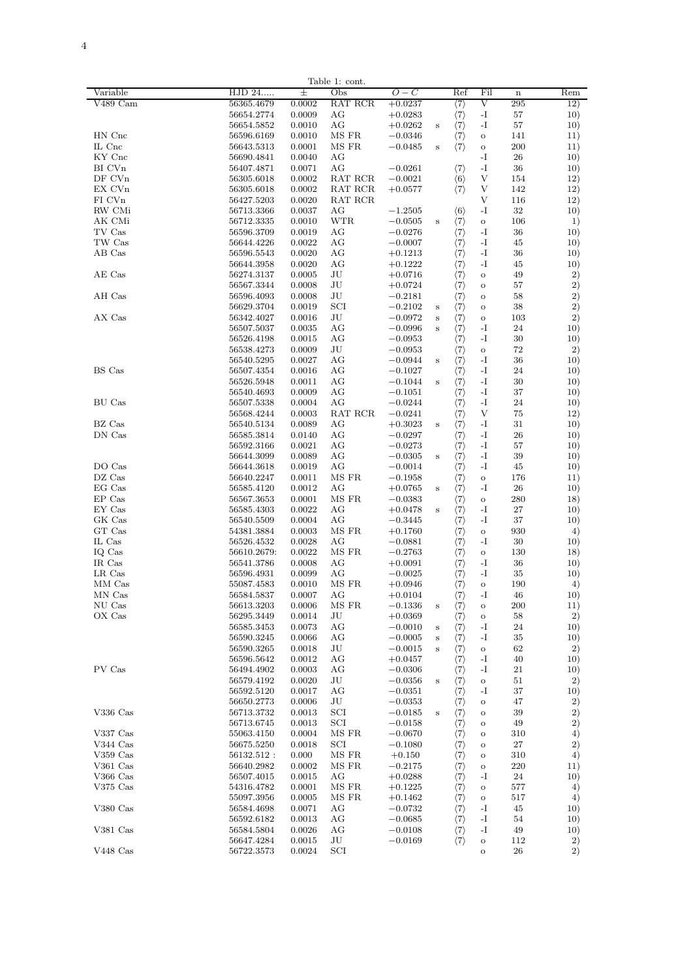| $\overline{4}$<br>- |  |  |  |
|---------------------|--|--|--|
|                     |  |  |  |
|                     |  |  |  |
|                     |  |  |  |
|                     |  |  |  |
|                     |  |  |  |

| Variable   |                          | $^{+}$           | Table 1: cont. |           |          |                     |               | $\mathbf{r}$ |          |
|------------|--------------------------|------------------|----------------|-----------|----------|---------------------|---------------|--------------|----------|
|            | HJD 24                   |                  | Obs            | $O-C$     |          | Ref                 | Fil           |              | Rem      |
| V489 Cam   | 56365.4679               | 0.0002           | RAT RCR        | $+0.0237$ |          | $\langle 7 \rangle$ | V             | 295          | 12)      |
|            | 56654.2774               | 0.0009           | AG             | $+0.0283$ |          | $\langle 7 \rangle$ | $-I$          | 57           | 10)      |
|            | 56654.5852               | 0.0010           | AG             | $+0.0262$ | s        | $\langle 7 \rangle$ | $-I$          | 57           | 10)      |
| HN Cnc     | 56596.6169               | 0.0010           | MS FR          | $-0.0346$ |          | $\langle 7 \rangle$ | $\circ$       | 141          | 11)      |
| IL Cnc     | 56643.5313               | 0.0001           | MS FR          | $-0.0485$ | s        | $\langle 7 \rangle$ | $\circ$       | 200          | 11)      |
| KY Cnc     | 56690.4841               | 0.0040           | AG             |           |          |                     | $-I$          | 26           | 10)      |
| BI CVn     | 56407.4871               | 0.0071           | AG             | $-0.0261$ |          | $\langle 7 \rangle$ | -1            | 36           | 10)      |
| DF CVn     | 56305.6018               | 0.0002           | RAT RCR        | $-0.0021$ |          | $\langle 6 \rangle$ | V             | 154          | 12)      |
|            |                          |                  |                |           |          |                     |               | 142          |          |
| EX CVn     | 56305.6018               | 0.0002           | RAT RCR        | $+0.0577$ |          | $\langle 7\rangle$  | V             |              | 12)      |
| FI CVn     | 56427.5203               | 0.0020           | RAT RCR        |           |          |                     | V             | 116          | 12)      |
| RW CMi     | 56713.3366               | 0.0037           | AG             | $-1.2505$ |          | $\langle 6 \rangle$ | $-I$          | 32           | 10)      |
| AK CMi     | 56712.3335               | 0.0010           | WTR            | $-0.0505$ | s        | $\langle 7 \rangle$ | $\rm _O$      | 106          | $_{1}$   |
| TV Cas     | 56596.3709               | 0.0019           | AG             | $-0.0276$ |          | $\langle 7 \rangle$ | $-I$          | 36           | 10)      |
| TW Cas     | 56644.4226               | 0.0022           | AG             | $-0.0007$ |          | $\langle 7\rangle$  | $\mathbf{-I}$ | 45           | 10)      |
| AB Cas     | 56596.5543               | 0.0020           | AG             | $+0.1213$ |          | $\langle 7 \rangle$ | $-I$          | 36           | 10)      |
|            | 56644.3958               | 0.0020           | AG             | $+0.1222$ |          | $\langle 7 \rangle$ | $-I$          | 45           | 10)      |
| AE Cas     |                          |                  | JU             |           |          |                     |               | 49           |          |
|            | 56274.3137               | 0.0005           |                | $+0.0716$ |          | $\langle 7 \rangle$ | $\circ$       |              | $^{2)}$  |
|            | 56567.3344               | 0.0008           | JU             | $+0.0724$ |          | $\langle 7 \rangle$ | $\rm _O$      | 57           | 2)       |
| AH Cas     | 56596.4093               | 0.0008           | JU             | $-0.2181$ |          | $\langle 7 \rangle$ | $\circ$       | 58           | $^{2)}$  |
|            | 56629.3704               | 0.0019           | SCI            | $-0.2102$ | s        | $\langle 7 \rangle$ | $\circ$       | 38           | $^{2)}$  |
| AX Cas     | 56342.4027               | 0.0016           | JU             | $-0.0972$ | $\bf{s}$ | $\langle 7 \rangle$ | $\circ$       | 103          | 2)       |
|            | 56507.5037               | 0.0035           | AG             | $-0.0996$ | $\bf s$  | $\langle 7 \rangle$ | $\mathbf{-I}$ | 24           | 10)      |
|            | 56526.4198               | 0.0015           | AG             | $-0.0953$ |          | $\langle 7 \rangle$ | $\mathbf{-I}$ | 30           | 10)      |
|            | 56538.4273               | 0.0009           | JU             | $-0.0953$ |          | $\langle 7 \rangle$ | $\mathbf{o}$  | 72           |          |
|            |                          |                  |                |           |          |                     |               |              | 2)       |
|            | 56540.5295               | 0.0027           | AG             | $-0.0944$ | s        | $\langle 7 \rangle$ | $\mathbf{-I}$ | 36           | 10)      |
| BS Cas     | 56507.4354               | 0.0016           | AG             | $-0.1027$ |          | $\langle 7\rangle$  | $-I$          | 24           | 10)      |
|            | 56526.5948               | 0.0011           | AG             | $-0.1044$ | s        | $\langle 7 \rangle$ | $-I$          | 30           | 10)      |
|            | 56540.4693               | 0.0009           | AG             | $-0.1051$ |          | $\langle 7 \rangle$ | $-I$          | 37           | 10)      |
| BU Cas     | 56507.5338               | 0.0004           | AG             | $-0.0244$ |          | $\langle 7 \rangle$ | $-I$          | 24           | 10)      |
|            | 56568.4244               | 0.0003           | RAT RCR        | $-0.0241$ |          | $\langle 7 \rangle$ | V             | 75           | 12)      |
| RZ Cas     | 56540.5134               | 0.0089           | AG             | $+0.3023$ |          | $\langle 7\rangle$  | $-I$          | 31           | 10)      |
| DN Cas     | 56585.3814               | 0.0140           | AG             | $-0.0297$ | $\bf{s}$ |                     | $-I$          | 26           | 10)      |
|            |                          |                  |                |           |          | $\langle 7 \rangle$ |               |              |          |
|            | 56592.3166               | 0.0021           | AG             | $-0.0273$ |          | $\langle 7 \rangle$ | $-I$          | 57           | 10)      |
|            | 56644.3099               | 0.0089           | AG             | $-0.0305$ | s        | $\langle 7 \rangle$ | $-I$          | 39           | 10)      |
| DO Cas     | 56644.3618               | 0.0019           | AG             | $-0.0014$ |          | $\langle 7 \rangle$ | $-I$          | 45           | 10)      |
| DZ Cas     | 56640.2247               | 0.0011           | MS FR          | $-0.1958$ |          | $\langle 7\rangle$  | $\circ$       | 176          | 11)      |
| EG Cas     | 56585.4120               | 0.0012           | AG             | $+0.0765$ | s        | $\langle 7 \rangle$ | $-I$          | 26           | 10)      |
| EP Cas     | 56567.3653               | 0.0001           | MS FR          | $-0.0383$ |          | $\langle 7\rangle$  | $\Omega$      | 280          | 18)      |
| EY Cas     | 56585.4303               | 0.0022           | AG             | $+0.0478$ | s        | $\langle 7 \rangle$ | $-I$          | 27           | 10)      |
| GK Cas     | 56540.5509               | 0.0004           | AG             | $-0.3445$ |          |                     | $-I$          | 37           | 10)      |
|            |                          |                  |                |           |          | $\langle 7 \rangle$ |               |              |          |
| GT Cas     | 54381.3884               | 0.0003           | MS FR          | $+0.1760$ |          | $\langle 7 \rangle$ | $\rm _O$      | 930          | 4)       |
| IL Cas     | 56526.4532               | 0.0028           | AG             | $-0.0881$ |          | $\langle 7 \rangle$ | $-I$          | 30           | 10)      |
| IQ Cas     | 56610.2679:              | 0.0022           | MS FR          | $-0.2763$ |          | $\langle 7 \rangle$ | $\mathbf{o}$  | 130          | 18)      |
| IR Cas     | 56541.3786               | 0.0008           | AG             | $+0.0091$ |          | $\langle 7 \rangle$ | -1            | 36           | 10)      |
| LR Cas     | 56596.4931               | 0.0099           | ΑG             | $-0.0025$ |          | $\langle 7 \rangle$ | -1            | 35           | 10)      |
| MM Cas     | 55087.4583               | 0.0010           | MS FR          | $+0.0946$ |          | $\langle 7 \rangle$ | $\rm _O$      | 190          | 4)       |
| MN Cas     | 56584.5837               | 0.0007           | AG             |           |          | $\langle 7 \rangle$ | $-I$          | 46           | 10)      |
|            |                          |                  |                | $+0.0104$ |          |                     |               |              |          |
| NU Cas     | 56613.3203               | 0.0006           | MS FR          | $-0.1336$ | $\,$ s   | $\langle 7 \rangle$ | $\rm _O$      | 200          | 11)      |
| OX Cas     | 56295.3449               | 0.0014           | JU             | $+0.0369$ |          | $\langle 7 \rangle$ | $\rm _O$      | 58           | 2)       |
|            | 56585.3453               | 0.0073           | AG             | $-0.0010$ | s        | $\langle 7\rangle$  | $\mathbf{-I}$ | 24           | 10)      |
|            | 56590.3245               | 0.0066           | AG             | $-0.0005$ | $\bf s$  | $\langle 7 \rangle$ | $-I$          | 35           | 10)      |
|            | 56590.3265               | 0.0018           | JU             | $-0.0015$ | s        | $\langle 7 \rangle$ | $\circ$       | 62           | 2)       |
|            | 56596.5642               | 0.0012           | AG             | $+0.0457$ |          | $\langle 7 \rangle$ | $\mathbf{-I}$ | 40           | 10)      |
| PV Cas     | 56494.4902               | 0.0003           | AG             | $-0.0306$ |          | $\langle 7 \rangle$ | $-I$          | 21           | 10)      |
|            |                          |                  |                |           |          |                     |               |              |          |
|            | 56579.4192               | 0.0020           | JU             | $-0.0356$ | s        | $\langle 7\rangle$  | $\mathbf{o}$  | 51           | $^{2)}$  |
|            | 56592.5120               | 0.0017           | AG             | $-0.0351$ |          | $\langle 7\rangle$  | $\mathbf{-I}$ | 37           | 10)      |
|            | 56650.2773               | 0.0006           | JU             | $-0.0353$ |          | $\langle 7\rangle$  | $\rm _O$      | 47           | 2)       |
| V336 Cas   | 56713.3732               | 0.0013           | SCI            | $-0.0185$ | s        | $\langle 7 \rangle$ | $\circ$       | 39           | $^{2)}$  |
|            | 56713.6745               | 0.0013           | SCI            | $-0.0158$ |          | $\langle 7\rangle$  | $\rm _O$      | 49           | $^{2)}$  |
| V337 Cas   | 55063.4150               | 0.0004           | MS FR          | $-0.0670$ |          | $\langle 7 \rangle$ | $\circ$       | 310          | 4)       |
| $V344$ Cas | 56675.5250               | 0.0018           | <b>SCI</b>     | $-0.1080$ |          | $\langle 7 \rangle$ | $\circ$       | 27           | 2)       |
| $V359$ Cas | 56132.512:               | 0.000            | MS FR          | $+0.150$  |          | $\langle 7\rangle$  |               | 310          |          |
|            |                          |                  | MS FR          |           |          |                     | $\rm _O$      |              | 4)       |
| $V361$ Cas | 56640.2982               | 0.0002           |                | $-0.2175$ |          | $\langle 7 \rangle$ | $\mathbf{o}$  | 220          | 11)      |
| $V366$ Cas | 56507.4015               | 0.0015           | AG             | $+0.0288$ |          | $\langle 7 \rangle$ | $-I$          | 24           | 10)      |
| $V375$ Cas | 54316.4782               | 0.0001           | MS FR          | $+0.1225$ |          | $\langle 7 \rangle$ | $\mathbf{o}$  | 577          | $^{4)}$  |
|            | 55097.3956               | 0.0005           | MS FR          | $+0.1462$ |          | $\langle 7 \rangle$ | $\circ$       | 517          | 4)       |
| V380 Cas   | 56584.4698               | 0.0071           | AG             | $-0.0732$ |          | $\langle 7\rangle$  | $-I$          | 45           | 10)      |
|            | 56592.6182               | 0.0013           | AG             | $-0.0685$ |          | $\langle 7 \rangle$ | $-I$          | 54           | 10)      |
| V381 Cas   | 56584.5804               | 0.0026           | AG             | $-0.0108$ |          |                     | $-I$          | 49           | 10)      |
|            |                          |                  |                |           |          | $\langle 7\rangle$  |               |              |          |
|            |                          |                  |                |           |          |                     |               |              |          |
| $V448$ Cas | 56647.4284<br>56722.3573 | 0.0015<br>0.0024 | JU<br>SCI      | $-0.0169$ |          | (7)                 | $\circ$       | 112<br>26    | 2)<br>2) |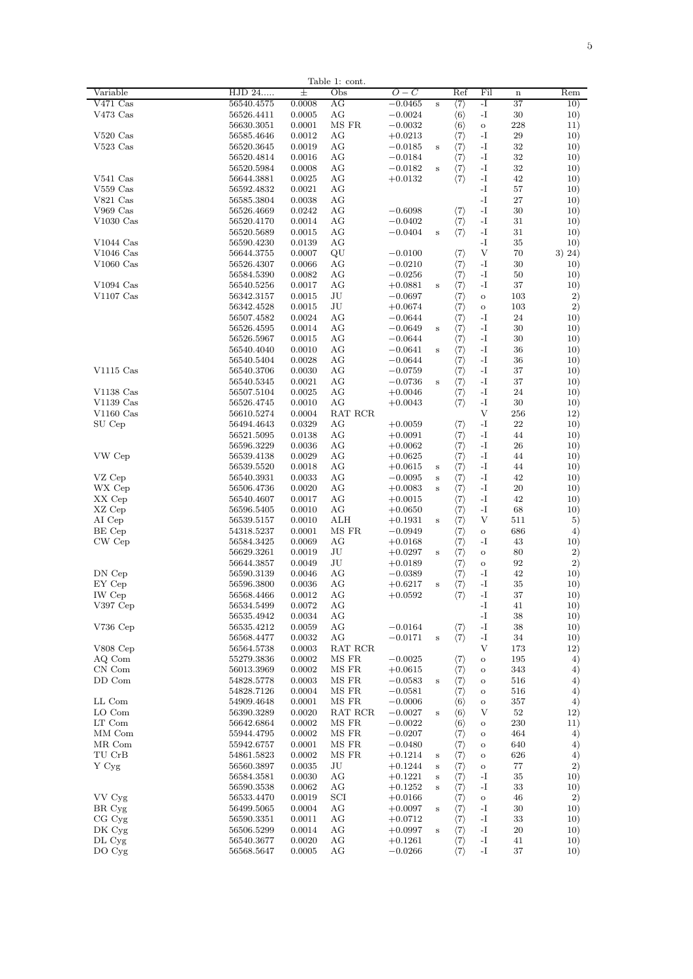| Table 1: cont.   |                          |                  |          |                        |                         |                                            |            |             |            |
|------------------|--------------------------|------------------|----------|------------------------|-------------------------|--------------------------------------------|------------|-------------|------------|
| Variable         | HJD 24                   | Ŧ                | Obs      | 0 – C                  |                         | Ref                                        | Fil        | $\mathbf n$ | Rem        |
| $V471$ Cas       | 56540.4575               | 0.0008           | AG       | $-0.0465$              | s                       | $\langle 7 \rangle$                        | -T         | 37          | 10)        |
| V473 Cas         | 56526.4411               | 0.0005           | AG       | $-0.0024$              |                         | $\langle 6 \rangle$                        | $-I$       | 30          | 10)        |
|                  | 56630.3051               | 0.0001           | MS FR    | $-0.0032$              |                         | $\langle 6 \rangle$                        | $\circ$    | 228         | 11)        |
| $V520$ Cas       | 56585.4646               | 0.0012           | AG       | $+0.0213$              |                         | $\langle 7 \rangle$                        | $-I$       | 29          | 10)        |
| $V523$ Cas       | 56520.3645               | 0.0019           | AG       | $-0.0185$              | s                       | $\langle 7 \rangle$                        | -1         | 32          | 10)        |
|                  | 56520.4814               | 0.0016           | AG       | $-0.0184$              |                         | $\langle 7 \rangle$                        | -1         | 32          | 10)        |
|                  | 56520.5984               | 0.0008           | AG       | $-0.0182$              | $\bf s$                 | $\langle 7 \rangle$                        | $-I$       | 32          | 10)        |
| $V541$ Cas       | 56644.3881               | 0.0025           | AG       | $+0.0132$              |                         | $\langle 7 \rangle$                        | $-I$       | 42          | 10)        |
| $V559$ Cas       | 56592.4832               | 0.0021           | AG       |                        |                         |                                            | -1         | 57          | 10)        |
| $V821$ Cas       | 56585.3804               | 0.0038           | AG       |                        |                         |                                            | -1         | 27          | 10)        |
| $V969$ Cas       | 56526.4669               | 0.0242           | AG       | $-0.6098$              |                         | $\langle 7 \rangle$                        | -1         | 30          | 10)        |
|                  |                          | 0.0014           | AG       |                        |                         |                                            | $-I$       | 31          |            |
| $V1030$ Cas      | 56520.4170               |                  |          | $-0.0402$              |                         | $\langle 7 \rangle$                        |            |             | 10)        |
|                  | 56520.5689               | 0.0015           | AG       | $-0.0404$              | s                       | $\langle 7 \rangle$                        | $-I$       | 31          | 10)        |
| $V1044$ Cas      | 56590.4230               | 0.0139           | AG       |                        |                         |                                            | $-I$       | 35          | 10)        |
| $V1046$ Cas      | 56644.3755               | 0.0007           | QU       | $-0.0100$              |                         | (7)                                        | V          | 70          | 3) 24)     |
| $V1060$ Cas      | 56526.4307               | 0.0066           | AG       | $-0.0210$              |                         | $\langle 7 \rangle$                        | $-I$       | 30          | 10)        |
|                  | 56584.5390               | 0.0082           | AG       | $-0.0256$              |                         | $\langle 7 \rangle$                        | $-I$       | 50          | 10)        |
| $V1094$ Cas      | 56540.5256               | 0.0017           | AG       | $+0.0881$              | s                       | $\langle 7 \rangle$                        | -1         | 37          | 10)        |
| $V1107$ Cas      | 56342.3157               | 0.0015           | JU       | $-0.0697$              |                         | $\langle 7 \rangle$                        | $\Omega$   | 103         | 2)         |
|                  | 56342.4528               | 0.0015           | JU       | $+0.0674$              |                         | $\langle 7 \rangle$                        | $\Omega$   | 103         | 2)         |
|                  | 56507.4582               | 0.0024           | AG       | $-0.0644$              |                         | $\langle 7 \rangle$                        | $-I$       | 24          | 10)        |
|                  | 56526.4595               | 0.0014           | AG       | $-0.0649$              | s                       | $\langle 7 \rangle$                        | $-I$       | 30          | 10)        |
|                  | 56526.5967               | 0.0015           | AG       | $-0.0644$              |                         | $\langle 7\rangle$                         | $-I$       | 30          | 10)        |
|                  |                          |                  | AG       |                        |                         |                                            | $-I$       | 36          |            |
|                  | 56540.4040               | 0.0010           |          | $-0.0641$              | s                       | $\langle 7\rangle$                         |            |             | 10)        |
|                  | 56540.5404               | 0.0028           | AG       | $-0.0644$              |                         | $\langle 7 \rangle$                        | $-I$       | 36          | 10)        |
| $V1115$ Cas      | 56540.3706               | 0.0030           | AG       | $-0.0759$              |                         | $\langle 7\rangle$                         | -1         | 37          | 10)        |
|                  | 56540.5345               | 0.0021           | AG       | $-0.0736$              | s                       | $\langle 7 \rangle$                        | -1         | 37          | 10)        |
| $V1138$ Cas      | 56507.5104               | 0.0025           | AG       | $+0.0046$              |                         | $\langle 7 \rangle$                        | -1         | 24          | 10)        |
| $V1139$ Cas      | 56526.4745               | 0.0010           | AG       | $+0.0043$              |                         | $\langle 7 \rangle$                        | -1         | 30          | 10)        |
| $V1160$ Cas      | 56610.5274               | 0.0004           | RAT RCR  |                        |                         |                                            | V          | 256         | 12)        |
| SU Cep           | 56494.4643               | 0.0329           | AG       | $+0.0059$              |                         | $\langle 7 \rangle$                        | -I         | 22          | 10)        |
|                  | 56521.5095               | 0.0138           | AG       | $+0.0091$              |                         | $\langle 7 \rangle$                        | $-I$       | 44          | 10)        |
|                  | 56596.3229               | 0.0036           | AG       | $+0.0062$              |                         | $\langle 7 \rangle$                        | $-I$       | 26          | 10)        |
| VW Cep           | 56539.4138               | 0.0029           | AG       | $+0.0625$              |                         | $\langle 7 \rangle$                        | $-I$       | 44          | 10)        |
|                  |                          |                  |          |                        |                         |                                            |            | 44          |            |
|                  | 56539.5520               | 0.0018           | AG       | $+0.0615$              | s                       | $\langle 7\rangle$                         | -I         |             | 10)        |
| VZ Cep           | 56540.3931               | 0.0033           | AG       | $-0.0095$              | $\bf s$                 | $\langle 7 \rangle$                        | -1         | 42          | 10)        |
| WX Cep           | 56506.4736               | 0.0020           | AG       | $+0.0083$              | $\overline{\mathbf{s}}$ | $\langle 7 \rangle$                        | -I         | 20          | 10)        |
| XX Cep           | 56540.4607               | 0.0017           | AG       | $+0.0015$              |                         | $\langle 7 \rangle$                        | $-I$       | 42          | 10)        |
| XZ Cep           | 56596.5405               | 0.0010           | AG       | $+0.0650$              |                         | $\langle 7 \rangle$                        | $-I$       | 68          | 10)        |
| AI Cep           | 56539.5157               | 0.0010           | ALH      | $+0.1931$              | s                       | $\langle 7 \rangle$                        | V          | 511         | 5)         |
| BE Cep           | 54318.5237               | 0.0001           | MS FR    | $-0.0949$              |                         | $\langle 7 \rangle$                        | $\circ$    | 686         | 4)         |
| CW Cep           | 56584.3425               | 0.0069           | AG       | $+0.0168$              |                         | $\langle 7 \rangle$                        | $-I$       | 43          | 10)        |
|                  | 56629.3261               | 0.0019           | JU       | $+0.0297$              | s                       | $\langle 7\rangle$                         | $\Omega$   | 80          | 2)         |
|                  | 56644.3857               | 0.0049           | JU       | $+0.0189$              |                         | $\langle 7 \rangle$                        | $\alpha$   | 92          | 2)         |
| DN Cep           |                          |                  | AG       |                        |                         |                                            | $-I$       | 42          |            |
|                  | 56590.3139               | 0.0046           | AG       | $-0.0389$              |                         | $\langle 7 \rangle$                        | $-I$       |             | 10)        |
| EY Cep           | 56596.3800               | 0.0036           |          | $+0.6217$              | s                       | $\langle 7 \rangle$                        |            | 35          | 10)        |
| IW Cep           | 56568.4466               | 0.0012           | AG       | $+0.0592$              |                         | $\langle 7 \rangle$                        | $-I$       | 37          | 10)        |
| V397 Cep         | 56534.5499               | 0.0072           | AG       |                        |                         |                                            | $-I$       | 41          | 10)        |
|                  | 56535.4942               | 0.0034           | AG       |                        |                         |                                            | $-I$       | 38          | 10)        |
| V736 Cep         | 56535.4212               | 0.0059           | AG       | $-0.0164$              |                         | $\langle 7 \rangle$                        | $-I$       | 38          | 10)        |
|                  | 56568.4477               | 0.0032           | AG       | $-0.0171$              | s                       | $\langle 7 \rangle$                        | -1         | 34          | 10)        |
| $V808$ Cep       | 56564.5738               | 0.0003           | RAT RCR  |                        |                         |                                            | V          | 173         | 12)        |
| AQ Com           | 55279.3836               | 0.0002           | MS FR    | $-0.0025$              |                         | $\langle 7\rangle$                         | $\circ$    | 195         | 4)         |
| CN Com           | 56013.3969               | 0.0002           | MS FR    | $+0.0615$              |                         | $\langle 7 \rangle$                        | $\circ$    | 343         | 4)         |
| DD Com           | 54828.5778               | 0.0003           | MS FR    | $-0.0583$              | s                       | $\langle 7 \rangle$                        | $\circ$    | 516         | 4)         |
|                  | 54828.7126               | 0.0004           | MS FR    | $-0.0581$              |                         | $\langle 7 \rangle$                        | $\circ$    | 516         | 4)         |
| LL Com           | 54909.4648               | 0.0001           | MS FR    | $-0.0006$              |                         | $\langle 6 \rangle$                        | $\circ$    | 357         | 4)         |
| LO Com           | 56390.3289               | 0.0020           | RAT RCR  | $-0.0027$              |                         |                                            | V          | 52          | 12)        |
|                  |                          |                  |          |                        | s                       | $\langle 6 \rangle$                        |            |             |            |
| LT Com           | 56642.6864               | 0.0002           | MS FR    | $-0.0022$              |                         | $\langle 6 \rangle$                        | $\circ$    | 230         | 11)        |
| MM Com           | 55944.4795               | 0.0002           | MS FR    | $-0.0207$              |                         | $\langle 7 \rangle$                        | $\circ$    | 464         | 4)         |
| MR Com           | 55942.6757               | 0.0001           | MS FR    | $-0.0480$              |                         | $\langle 7 \rangle$                        | $\Omega$   | 640         | 4)         |
| TU CrB           | 54861.5823               | 0.0002           | MS FR    | $+0.1214$              | s                       | $\langle 7 \rangle$                        | $\circ$    | 626         | 4)         |
| Y Cyg            | 56560.3897               | 0.0035           | JU       | $+0.1244$              | s                       | $\langle 7 \rangle$                        | $\circ$    | 77          | 2)         |
|                  | 56584.3581               | 0.0030           | AG       | $+0.1221$              | s                       | $\langle 7 \rangle$                        | $-I$       | 35          | 10)        |
|                  | 56590.3538               | 0.0062           | AG       | $+0.1252$              | s                       | $\langle 7 \rangle$                        | $-I$       | 33          | 10)        |
| VV Cyg           | 56533.4470               | 0.0019           | SCI      | $+0.0166$              |                         | $\langle 7\rangle$                         | $\circ$    | 46          | 2)         |
| BR Cyg           | 56499.5065               | 0.0004           | AG       | $+0.0097$              | s                       | $\langle 7 \rangle$                        | $-I$       | 30          | 10)        |
|                  |                          |                  |          |                        |                         |                                            |            |             |            |
| CG Cyg           | 56590.3351               | 0.0011           | AG       | $+0.0712$              |                         | $\langle 7 \rangle$                        | -1         | 33          | 10)        |
| DK Cyg           | 56506.5299               | 0.0014           | AG       | $+0.0997$              | s                       | $\langle 7 \rangle$                        | $-I$       | 20          | 10)        |
|                  |                          |                  |          |                        |                         |                                            |            |             |            |
| DL Cyg<br>DO Cyg | 56540.3677<br>56568.5647 | 0.0020<br>0.0005 | AG<br>AG | $+0.1261$<br>$-0.0266$ |                         | $\langle 7 \rangle$<br>$\langle 7 \rangle$ | $-I$<br>-1 | 41<br>37    | 10)<br>10) |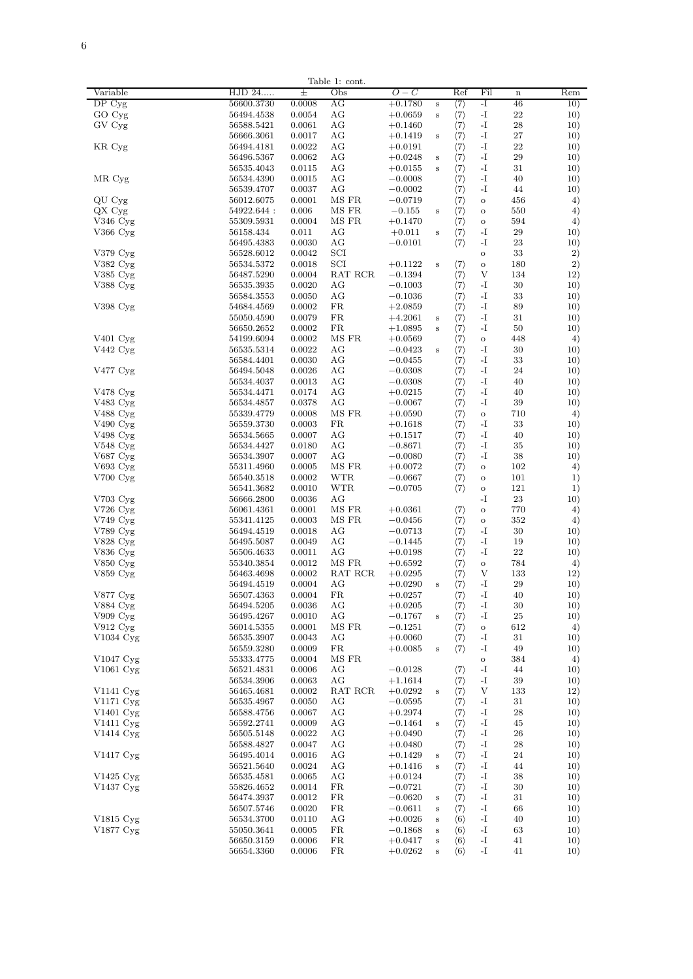|                        |                          |                  | Table 1: cont. |                        |         |                                            |                  |             |            |
|------------------------|--------------------------|------------------|----------------|------------------------|---------|--------------------------------------------|------------------|-------------|------------|
| Variable               | HJD 24                   | 士                | Obs            | $O-C$                  |         | Ref                                        | Fil              | $\mathbf n$ | Rem        |
| DP Cyg                 | 56600.3730               | 0.0008           | AG             | $+0.1780$              | s       | $\langle 7 \rangle$                        | -1               | 46          | 10)        |
| GO Cyg                 | 56494.4538               | 0.0054           | AG             | $+0.0659$              | s       | $\langle 7 \rangle$                        | $\mathbf{-I}$    | 22          | 10)        |
| GV Cyg                 | 56588.5421               | 0.0061           | AG             | $+0.1460$              |         | $\langle 7 \rangle$                        | $-I$             | 28          | 10)        |
|                        | 56666.3061<br>56494.4181 | 0.0017<br>0.0022 | AG<br>AG       | $+0.1419$<br>$+0.0191$ | s       | $\langle 7 \rangle$                        | $-I$<br>$-I$     | 27<br>22    | 10)<br>10) |
| KR Cyg                 | 56496.5367               | 0.0062           | AG             | $+0.0248$              | s       | $\langle 7 \rangle$<br>$\langle 7 \rangle$ | $-I$             | 29          | 10)        |
|                        | 56535.4043               | 0.0115           | AG             | $+0.0155$              | s       | $\langle 7 \rangle$                        | $-I$             | 31          | 10)        |
| MR Cyg                 | 56534.4390               | 0.0015           | AG             | $-0.0008$              |         | $\langle 7\rangle$                         | -1               | 40          | 10)        |
|                        | 56539.4707               | 0.0037           | AG             | $-0.0002$              |         | $\langle 7 \rangle$                        | -1               | 44          | 10)        |
| QU Cyg                 | 56012.6075               | 0.0001           | MS FR          | $-0.0719$              |         | $\langle 7 \rangle$                        | $\rm _O$         | 456         | 4)         |
| $QX$ Cyg               | 54922.644 :              | 0.006            | MS FR          | $-0.155$               | s       | $\langle 7 \rangle$                        | $\circ$          | 550         | 4)         |
| V346 Cyg               | 55309.5931               | 0.0004           | MS FR          | $+0.1470$              |         | $\langle 7 \rangle$                        | $\circ$          | 594         | 4)         |
| V366 Cyg               | 56158.434                | 0.011            | AG             | $+0.011$               | s       | $\langle 7\rangle$                         | -1               | 29          | 10)        |
|                        | 56495.4383               | 0.0030           | АG             | $-0.0101$              |         | $\langle 7 \rangle$                        | -1               | 23          | 10)        |
| V379 Cyg               | 56528.6012               | 0.0042           | SCI            |                        |         |                                            | $\circ$          | 33          | 2)         |
| V382 Cyg<br>V385 Cyg   | 56534.5372<br>56487.5290 | 0.0018<br>0.0004 | SCI<br>RAT RCR | $+0.1122$<br>$-0.1394$ | s       | $\langle 7 \rangle$<br>$\langle 7 \rangle$ | $\circ$<br>V     | 180<br>134  | 2)<br>12)  |
| V388 Cyg               | 56535.3935               | 0.0020           | AG             | $-0.1003$              |         | $\langle 7 \rangle$                        | -1               | 30          | 10)        |
|                        | 56584.3553               | 0.0050           | AG             | $-0.1036$              |         | $\langle 7 \rangle$                        | $-I$             | 33          | 10)        |
| V398 Cyg               | 54684.4569               | 0.0002           | FR             | $+2.0859$              |         | $\langle 7 \rangle$                        | $-I$             | 89          | 10)        |
|                        | 55050.4590               | 0.0079           | FR.            | $+4.2061$              | s       | $\langle 7 \rangle$                        | $-I$             | 31          | 10)        |
|                        | 56650.2652               | 0.0002           | FR.            | $+1.0895$              | s       | $\langle 7 \rangle$                        | $-I$             | 50          | 10)        |
| V401 Cyg               | 54199.6094               | 0.0002           | MS FR          | $+0.0569$              |         | $\langle 7\rangle$                         | $\circ$          | 448         | 4)         |
| V442 Cyg               | 56535.5314               | 0.0022           | ΑG             | $-0.0423$              | s       | $\langle 7\rangle$                         | $-I$             | 30          | 10)        |
|                        | 56584.4401               | 0.0030           | ΑG             | $-0.0455$              |         | $\langle 7 \rangle$                        | -1               | 33          | 10)        |
| $V477$ Cyg             | 56494.5048               | 0.0026           | ΑG             | $-0.0308$              |         | $\langle 7\rangle$                         | -1               | 24          | 10)        |
|                        | 56534.4037               | 0.0013           | ΑG             | $-0.0308$              |         | $\langle 7\rangle$                         | -1               | 40          | 10)        |
| V478 Cyg               | 56534.4471               | 0.0174           | AG             | $+0.0215$              |         | $\langle 7 \rangle$                        | $-I$             | 40          | 10)        |
| V483 Cyg               | 56534.4857               | 0.0378           | AG             | $-0.0067$              |         | $\langle 7 \rangle$                        | $-I$             | 39          | 10)        |
| V488 Cyg               | 55339.4779<br>56559.3730 | 0.0008<br>0.0003 | MS FR<br>FR    | $+0.0590$<br>$+0.1618$ |         | $\langle 7 \rangle$                        | $\rm _O$<br>$-I$ | 710<br>33   | 4)<br>10)  |
| V490 Cyg<br>V498 Cyg   | 56534.5665               | 0.0007           | AG             | $+0.1517$              |         | $\langle 7 \rangle$<br>$\langle 7 \rangle$ | $-I$             | 40          | 10)        |
| V548 Cyg               | 56534.4427               | 0.0180           | AG             | $-0.8671$              |         | $\langle 7 \rangle$                        | $-I$             | 35          | 10)        |
| V687 Cyg               | 56534.3907               | 0.0007           | AG             | $-0.0080$              |         | $\langle 7 \rangle$                        | $-I$             | 38          | 10)        |
| V693 Cyg               | 55311.4960               | 0.0005           | MS FR          | $+0.0072$              |         | $\langle 7 \rangle$                        | $\rm _O$         | 102         | 4)         |
| V700 Cyg               | 56540.3518               | 0.0002           | <b>WTR</b>     | $-0.0667$              |         | $\langle 7 \rangle$                        | $\circ$          | 101         | $_{1)}$    |
|                        | 56541.3682               | 0.0010           | <b>WTR</b>     | $-0.0705$              |         | $\langle 7 \rangle$                        | $\circ$          | 121         | $_{1)}$    |
| $V703$ Cyg             | 56666.2800               | 0.0036           | АG             |                        |         |                                            | $-I$             | 23          | 10)        |
| V726 Cyg               | 56061.4361               | 0.0001           | MS FR          | $+0.0361$              |         | $\langle 7\rangle$                         | $\rm _O$         | 770         | 4)         |
| V749 Cyg               | 55341.4125               | 0.0003           | MS FR          | $-0.0456$              |         | $\langle 7 \rangle$                        | $\circ$          | 352         | 4)         |
| V789 Cyg               | 56494.4519               | 0.0018           | ΑG             | $-0.0713$              |         | $\langle 7 \rangle$                        | -1               | 30          | 10)        |
| $V828$ Cyg<br>V836 Cyg | 56495.5087<br>56506.4633 | 0.0049<br>0.0011 | AG<br>AG       | $-0.1445$<br>$+0.0198$ |         | $\langle 7 \rangle$<br>$\langle 7 \rangle$ | $-I$<br>$-I$     | 19<br>22    | 10)<br>10) |
| V850 Cyg               | 55340.3854               | 0.0012           | MS FR          | $+0.6592$              |         | $\langle 7 \rangle$                        | $\rm _O$         | 784         | 4)         |
| V859 Cyg               | 56463.4698               | 0.0002           | RAT RCR        | $+0.0295$              |         | $\langle 7 \rangle$                        | V                | 133         | 12)        |
|                        | 56494.4519               | 0.0004           | AG             | $+0.0290$              | s       | $\langle 7 \rangle$                        | $-I$             | 29          | 10)        |
| V877 Cyg               | 56507.4363               | 0.0004           | FR.            | $+0.0257$              |         | $\langle 7 \rangle$                        | $-I$             | 40          | 10)        |
| V884 Cyg               | 56494.5205               | 0.0036           | AG             | $+0.0205$              |         | $\langle 7 \rangle$                        | $-I$             | 30          | 10)        |
| V909 Cyg               | 56495.4267               | 0.0010           | AG             | $-0.1767$              | s       | $\langle 7 \rangle$                        | $-I$             | 25          | 10)        |
| V912 Cyg               | 56014.5355               | 0.0001           | MS FR          | $-0.1251$              |         | $\langle 7 \rangle$                        | $\circ$          | 612         | 4)         |
| V1034 Cyg              | 56535.3907               | 0.0043           | AG             | $+0.0060$              |         | $\langle 7\rangle$                         | $-I$             | 31          | 10)        |
|                        | 56559.3280               | 0.0009           | $_{\rm FR}$    | $+0.0085$              | s       | $\langle 7 \rangle$                        | $-I$             | 49          | 10)        |
| V1047 Cyg              | 55333.4775               | 0.0004           | MS FR          |                        |         |                                            | $\rm _O$         | 384         | 4)         |
| $V1061$ Cyg            | 56521.4831               | 0.0006           | AG             | $-0.0128$              |         | $\langle 7 \rangle$                        | $-I$             | 44          | 10)        |
| V1141 Cyg              | 56534.3906<br>56465.4681 | 0.0063<br>0.0002 | AG<br>RAT RCR  | $+1.1614$<br>$+0.0292$ | s       | $\langle 7 \rangle$<br>$\langle 7 \rangle$ | -I<br>V          | 39<br>133   | 10)<br>12) |
| V1171 Cyg              | 56535.4967               | 0.0050           | AG             | $-0.0595$              |         | $\langle 7 \rangle$                        | $-I$             | 31          | 10)        |
| V1401 Cvg              | 56588.4756               | 0.0067           | AG             | $+0.2974$              |         | $\langle 7 \rangle$                        | $-I$             | 28          | 10)        |
| V1411 Cyg              | 56592.2741               | 0.0009           | AG             | $-0.1464$              | s       | $\langle 7 \rangle$                        | $-I$             | 45          | 10)        |
| V1414 Cyg              | 56505.5148               | 0.0022           | AG             | $+0.0490$              |         | $\langle 7 \rangle$                        | $-I$             | 26          | 10)        |
|                        | 56588.4827               | 0.0047           | AG             | $+0.0480$              |         | $\langle 7 \rangle$                        | $-I$             | 28          | 10)        |
| V1417 Cyg              | 56495.4014               | 0.0016           | AG             | $+0.1429$              | s       | $\langle 7 \rangle$                        | $-I$             | 24          | 10)        |
|                        | 56521.5640               | 0.0024           | AG             | $+0.1416$              | s       | $\langle 7 \rangle$                        | $-I$             | 44          | 10)        |
| V1425 Cyg              | 56535.4581               | 0.0065           | AG             | $+0.0124$              |         | $\langle 7 \rangle$                        | $-I$             | 38          | 10)        |
| V1437 Cyg              | 55826.4652               | 0.0014           | FR.            | $-0.0721$              |         | $\langle 7\rangle$                         | -1               | 30          | 10)        |
|                        | 56474.3937               | 0.0012           | FR             | $-0.0620$              | s       | $\langle 7 \rangle$                        | -1               | 31          | 10)        |
|                        | 56507.5746               | 0.0020           | FR             | $-0.0611$              | $\bf s$ | $\langle 7\rangle$                         | -1               | 66          | 10)        |
| V1815 Cyg              | 56534.3700               | 0.0110           | АG             | $+0.0026$              | s       | $\langle 6 \rangle$                        | -1               | 40          | 10)        |
| V1877 Cyg              | 55050.3641<br>56650.3159 | 0.0005<br>0.0006 | FR.<br>FR      | $-0.1868$<br>$+0.0417$ | s<br>s  | $\langle 6 \rangle$<br>$\langle 6 \rangle$ | -1<br>-1         | 63<br>41    | 10)<br>10) |
|                        | 56654.3360               | 0.0006           | FR             | $+0.0262$              | s       | $\langle 6 \rangle$                        | -I               | 41          | 10)        |
|                        |                          |                  |                |                        |         |                                            |                  |             |            |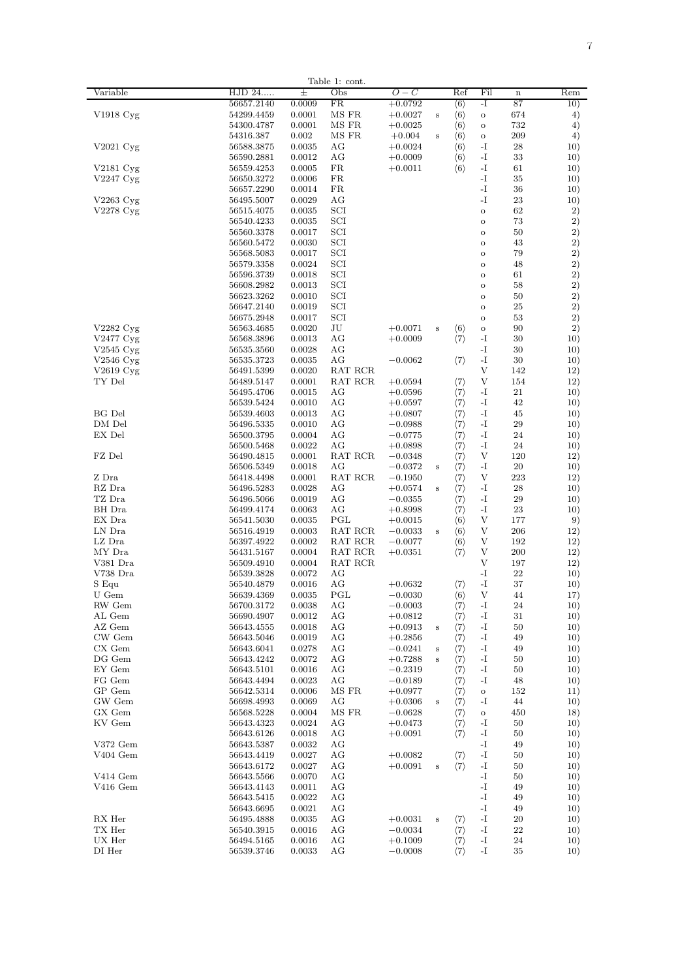|                            |                          |                  | lable 1: cont |                        |          |                                            |                          |             |            |
|----------------------------|--------------------------|------------------|---------------|------------------------|----------|--------------------------------------------|--------------------------|-------------|------------|
| Variable                   | HJD 24                   | 士                | Obs           | $O-C$                  |          | Ref                                        | Fil                      | $\mathbf n$ | Rem        |
|                            | 56657.2140               | 0.0009           | FR            | $+0.0792$              |          | $\langle 6 \rangle$                        | -1                       | 87          | 10)        |
| V1918 Cyg                  | 54299.4459               | 0.0001           | MS FR         | $+0.0027$              | s        | $\langle 6 \rangle$                        | $\circ$                  | 674         | 4)         |
|                            | 54300.4787               | 0.0001           | MS FR         | $+0.0025$              |          | $\langle 6 \rangle$                        |                          | 732         | $^{4)}$    |
|                            |                          |                  |               |                        |          |                                            | $\circ$                  |             |            |
|                            | 54316.387                | 0.002            | MS FR         | $+0.004$               | s        | $\langle 6 \rangle$                        | $\circ$                  | 209         | $^{4)}$    |
| $V2021$ Cyg                | 56588.3875               | 0.0035           | AG            | $+0.0024$              |          | $\langle 6 \rangle$                        | -I                       | 28          | 10)        |
|                            | 56590.2881               | 0.0012           | AG            | $+0.0009$              |          | $\langle 6 \rangle$                        | -I                       | 33          | 10)        |
| V2181 Cyg                  | 56559.4253               | 0.0005           | FR            | $+0.0011$              |          | $\langle 6 \rangle$                        | -I                       | 61          | 10)        |
|                            |                          |                  |               |                        |          |                                            |                          |             |            |
| V2247 Cyg                  | 56650.3272               | 0.0006           | FR            |                        |          |                                            | -I                       | 35          | 10)        |
|                            | 56657.2290               | 0.0014           | FR            |                        |          |                                            | -I                       | 36          | 10)        |
| V2263 Cyg                  | 56495.5007               | 0.0029           | AG            |                        |          |                                            | -I                       | 23          | 10)        |
| V2278 Cyg                  | 56515.4075               | 0.0035           | SCI           |                        |          |                                            | $\circ$                  | 62          | 2)         |
|                            |                          | 0.0035           | SCI           |                        |          |                                            | $\ddot{\mathbf{o}}$      | 73          | 2)         |
|                            | 56540.4233               |                  |               |                        |          |                                            |                          |             |            |
|                            | 56560.3378               | 0.0017           | SCI           |                        |          |                                            | $\circ$                  | 50          | 2)         |
|                            | 56560.5472               | 0.0030           | SCI           |                        |          |                                            | $\alpha$                 | 43          | 2)         |
|                            | 56568.5083               | 0.0017           | SCI           |                        |          |                                            | $\circ$                  | 79          | 2)         |
|                            | 56579.3358               | 0.0024           | SCI           |                        |          |                                            | $\circ$                  | 48          | $^{2)}$    |
|                            |                          |                  |               |                        |          |                                            |                          |             |            |
|                            | 56596.3739               | 0.0018           | SCI           |                        |          |                                            | $\circ$                  | 61          | $^{2)}$    |
|                            | 56608.2982               | 0.0013           | SCI           |                        |          |                                            | $\circ$                  | 58          | 2)         |
|                            | 56623.3262               | 0.0010           | SCI           |                        |          |                                            | $\circ$                  | 50          | 2)         |
|                            | 56647.2140               | 0.0019           | SCI           |                        |          |                                            | $\circ$                  | 25          | 2)         |
|                            |                          |                  |               |                        |          |                                            |                          |             |            |
|                            | 56675.2948               | 0.0017           | $_{\rm SCI}$  |                        |          |                                            | $\circ$                  | 53          | 2)         |
| V2282 Cyg                  | 56563.4685               | 0.0020           | JU            | $+0.0071$              | s        | $\langle 6 \rangle$                        | $\circ$                  | 90          | 2)         |
| V2477 Cyg                  | 56568.3896               | 0.0013           | AG            | $+0.0009$              |          | $\langle 7 \rangle$                        | -I                       | 30          | 10)        |
| V2545 Cyg                  | 56535.3560               | 0.0028           | AG            |                        |          |                                            | -1                       | 30          | 10)        |
|                            |                          |                  |               |                        |          |                                            |                          |             |            |
| $V2546$ Cyg                | 56535.3723               | 0.0035           | AG            | $-0.0062$              |          | $\langle 7 \rangle$                        | -I                       | 30          | 10)        |
| $V2619$ Cyg                | 56491.5399               | 0.0020           | RAT RCR       |                        |          |                                            | V                        | 142         | 12)        |
| TY Del                     | 56489.5147               | 0.0001           | RAT RCR       | $+0.0594$              |          | $\langle 7 \rangle$                        | V                        | 154         | 12)        |
|                            | 56495.4706               | 0.0015           | AG            | $+0.0596$              |          | $\langle 7 \rangle$                        | -I                       | 21          | 10)        |
|                            |                          |                  |               |                        |          |                                            |                          |             |            |
|                            | 56539.5424               | 0.0010           | AG            | $+0.0597$              |          | $\langle 7 \rangle$                        | -I                       | 42          | 10)        |
| BG Del                     | 56539.4603               | 0.0013           | ΑG            | $+0.0807$              |          | $\langle 7 \rangle$                        | -I                       | 45          | 10)        |
| DM Del                     | 56496.5335               | 0.0010           | AG            | $-0.0988$              |          | $\langle 7 \rangle$                        | -I                       | 29          | 10)        |
| EX Del                     | 56500.3795               | 0.0004           | AG            | $-0.0775$              |          | $\langle 7 \rangle$                        | -I                       | 24          | 10)        |
|                            |                          |                  |               |                        |          |                                            |                          |             |            |
|                            | 56500.5468               | 0.0022           | AG            | $+0.0898$              |          | $\langle 7 \rangle$                        | -I                       | 24          | 10)        |
| FZ Del                     | 56490.4815               | 0.0001           | RAT RCR       | $-0.0348$              |          | $\langle 7 \rangle$                        | V                        | 120         | 12)        |
|                            | 56506.5349               | 0.0018           | AG            | $-0.0372$              | s        | $\langle 7 \rangle$                        | -I                       | 20          | 10)        |
| Z Dra                      | 56418.4498               | 0.0001           | RAT RCR       | $-0.1950$              |          | $\langle 7 \rangle$                        | V                        | 223         | 12)        |
| RZ Dra                     |                          |                  | AG            |                        | s        |                                            | $-I$                     | 28          |            |
|                            | 56496.5283               | 0.0028           |               | $+0.0574$              |          | $\langle 7 \rangle$                        |                          |             | 10)        |
| TZ Dra                     | 56496.5066               | 0.0019           | AG            | $-0.0355$              |          | $\langle 7 \rangle$                        | $-I$                     | 29          | 10)        |
| BH Dra                     | 56499.4174               | 0.0063           | AG            | $+0.8998$              |          | $\langle 7 \rangle$                        | $\mathbf{-I}$            | 23          | 10)        |
| EX Dra                     | 56541.5030               | 0.0035           | PGL           | $+0.0015$              |          | $\langle 6 \rangle$                        | V                        | 177         | 9)         |
| LN Dra                     | 56516.4919               | 0.0003           | RAT RCR       | $-0.0033$              | s        | $\langle 6 \rangle$                        | V                        | 206         | 12)        |
|                            |                          |                  |               |                        |          |                                            |                          |             |            |
| LZ Dra                     | 56397.4922               | 0.0002           | RAT RCR       | $-0.0077$              |          | $\langle 6 \rangle$                        | V                        | 192         | 12)        |
| MY Dra                     | 56431.5167               | 0.0004           | RAT RCR       | $+0.0351$              |          | $\langle 7\rangle$                         | V                        | 200         | 12)        |
| V381 Dra                   | 56509.4910               | 0.0004           | RAT RCR       |                        |          |                                            | V                        | 197         | 12)        |
| V738 Dra                   | 56539.3828               | 0.0072           | AG            |                        |          |                                            | -I                       | 22          | 10)        |
|                            |                          |                  |               |                        |          |                                            |                          | 37          |            |
| $S$ Equ                    | 56540.4879               | 0.0016           | AG            | $+0.0632$              |          | $\langle 7 \rangle$                        | -I                       |             | 10)        |
| U Gem                      | 56639.4369               | 0.0035           | PGL           | $-0.0030$              |          | $\langle 6 \rangle$                        | V                        | 44          | 17)        |
| RW Gem                     | 56700.3172               | 0.0038           | AG            | $-0.0003$              |          | $\langle 7\rangle$                         | $-I$                     | 24          | 10)        |
| AL Gem                     | 56690.4907               | 0.0012           | AG            | $+0.0812$              |          | $\langle 7 \rangle$                        | $-I$                     | 31          | 10)        |
| AZ Gem                     | 56643.4555               | 0.0018           | AG            | $+0.0913$              | s        | $\langle 7 \rangle$                        | $-I$                     | 50          | 10)        |
|                            |                          |                  |               |                        |          |                                            |                          |             |            |
| CW Gem                     | 56643.5046               | 0.0019           | AG            | $+0.2856$              |          | $\langle 7 \rangle$                        | -1                       | 49          | 10)        |
| CX Gem                     | 56643.6041               | 0.0278           | ΑG            | $-0.0241$              | $\bf s$  | $\langle 7 \rangle$                        | -1                       | 49          | 10)        |
| DG Gem                     | 56643.4242               | 0.0072           | ΑG            | $+0.7288$              | $\bf s$  | $\langle 7 \rangle$                        | -1                       | 50          | 10)        |
| EY Gem                     | 56643.5101               | 0.0016           | AG            | $-0.2319$              |          | $\langle 7\rangle$                         | -1                       | 50          | 10)        |
|                            |                          |                  |               |                        |          |                                            |                          |             |            |
| FG Gem                     | 56643.4494               | 0.0023           | АG            | $-0.0189$              |          | $\langle 7\rangle$                         | -1                       | 48          | 10)        |
| GP Gem                     | 56642.5314               | 0.0006           | MS FR         | $+0.0977$              |          | $\langle 7\rangle$                         | $\circ$                  | 152         | 11)        |
| GW Gem                     | 56698.4993               | 0.0069           | AG            | $+0.0306$              | $\bf{s}$ | $\langle 7 \rangle$                        | -I                       | 44          | 10)        |
| GX Gem                     | 56568.5228               | 0.0004           | MS FR         | $-0.0628$              |          | $\langle 7 \rangle$                        | $\circ$                  | 450         | 18)        |
| KV Gem                     | 56643.4323               | 0.0024           | AG            | $+0.0473$              |          | $\langle 7 \rangle$                        | -I                       | 50          | 10)        |
|                            |                          |                  |               |                        |          |                                            |                          |             |            |
|                            | 56643.6126               | 0.0018           | AG            | $+0.0091$              |          | $\langle 7 \rangle$                        | -I                       | 50          | 10)        |
| V372 Gem                   | 56643.5387               | 0.0032           | AG            |                        |          |                                            | $\overline{\phantom{a}}$ | 49          | 10)        |
| V404 Gem                   | 56643.4419               | 0.0027           | AG            | $+0.0082$              |          | $\langle 7 \rangle$                        | $\overline{\phantom{a}}$ | 50          | 10)        |
|                            |                          | 0.0027           | AG            | $+0.0091$              | s        | $\langle 7 \rangle$                        | $\overline{\phantom{a}}$ | 50          | 10)        |
|                            | 56643.6172               |                  |               |                        |          |                                            |                          |             |            |
| V414 Gem                   | 56643.5566               | 0.0070           | AG            |                        |          |                                            | $\overline{\phantom{a}}$ | 50          | 10)        |
| $V416$ Gem                 | 56643.4143               | 0.0011           | AG            |                        |          |                                            | -I                       | 49          | 10)        |
|                            | 56643.5415               | 0.0022           | AG            |                        |          |                                            | -I                       | 49          | 10)        |
|                            |                          |                  |               |                        |          |                                            |                          |             |            |
|                            | 56643.6695               | 0.0021           | ΑG            |                        |          |                                            | -I                       | 49          | 10)        |
| RX Her                     | 56495.4888               | 0.0035           | AG            | $+0.0031$              | s        | $\langle 7 \rangle$                        | -I                       | 20          | 10)        |
|                            |                          |                  | AG            | $-0.0034$              |          | $\langle 7 \rangle$                        | -I                       | 22          |            |
|                            |                          |                  |               |                        |          |                                            |                          |             |            |
|                            | 56540.3915               | 0.0016           |               |                        |          |                                            |                          |             | 10)        |
| TX Her<br>UX Her<br>DI Her | 56494.5165<br>56539.3746 | 0.0016<br>0.0033 | AG<br>AG      | $+0.1009$<br>$-0.0008$ |          | $\langle 7 \rangle$<br>$\langle 7 \rangle$ | -I<br>$-I$               | 24<br>35    | 10)<br>10) |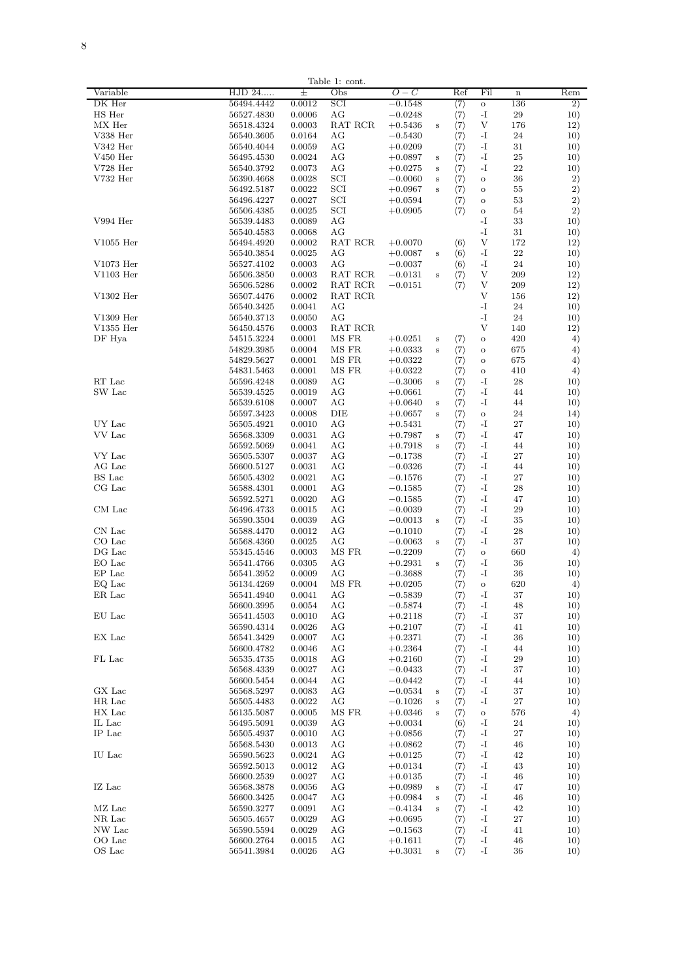|                |            |        | Table 1: cont. |           |         |                                                                                                          |         |             |         |
|----------------|------------|--------|----------------|-----------|---------|----------------------------------------------------------------------------------------------------------|---------|-------------|---------|
| Variable       | HJD 24     | 土      | Obs            | 0 – C     |         | Ref                                                                                                      | Fil     | $\mathbf n$ | Rem     |
| DK Her         | 56494.4442 | 0.0012 | SCI            | $-0.1548$ |         | $\langle 7 \rangle$                                                                                      | O       | 136         | $^{2)}$ |
| HS Her         | 56527.4830 | 0.0006 | AG             | $-0.0248$ |         |                                                                                                          | -I      | 29          | 10)     |
|                |            |        |                |           |         | $\langle 7\rangle$                                                                                       |         |             |         |
| MX Her         | 56518.4324 | 0.0003 | RAT RCR        | $+0.5436$ | s       | $\langle 7 \rangle$                                                                                      | V       | 176         | 12)     |
| V338 Her       | 56540.3605 | 0.0164 | AG             | $-0.5430$ |         | $\langle 7 \rangle$                                                                                      | -I      | 24          | 10)     |
| V342 Her       | 56540.4044 | 0.0059 | AG             | $+0.0209$ |         | $\langle 7 \rangle$                                                                                      | $-I$    | 31          | 10)     |
| $V450$ Her     | 56495.4530 | 0.0024 | AG             | $+0.0897$ | s       | $\langle 7 \rangle$                                                                                      | -T      | 25          | 10)     |
| $V728$ Her     |            |        | AG             |           |         | $\langle 7 \rangle$                                                                                      | -I      | 22          | 10)     |
|                | 56540.3792 | 0.0073 |                | $+0.0275$ | s       |                                                                                                          |         |             |         |
| V732 Her       | 56390.4668 | 0.0028 | SCI            | $-0.0060$ | s       | $\langle 7 \rangle$                                                                                      | $\circ$ | 36          | 2)      |
|                | 56492.5187 | 0.0022 | SCI            | $+0.0967$ | s       | $\langle 7\rangle$                                                                                       | $\circ$ | 55          | 2)      |
|                | 56496.4227 | 0.0027 | SCI            | $+0.0594$ |         | $\langle 7 \rangle$                                                                                      | $\circ$ | 53          | 2)      |
|                | 56506.4385 | 0.0025 | SCI            | $+0.0905$ |         | $\langle 7 \rangle$                                                                                      | $\circ$ | 54          | 2)      |
|                |            |        |                |           |         |                                                                                                          |         |             |         |
| V994 Her       | 56539.4483 | 0.0089 | AG             |           |         |                                                                                                          | -I      | 33          | 10)     |
|                | 56540.4583 | 0.0068 | AG             |           |         |                                                                                                          | -I      | 31          | 10)     |
| $V1055$ Her    | 56494.4920 | 0.0002 | RAT RCR        | $+0.0070$ |         | $\langle 6 \rangle$                                                                                      | V       | 172         | 12)     |
|                | 56540.3854 | 0.0025 | AG             | $+0.0087$ | s       | $\langle 6 \rangle$                                                                                      | -I      | 22          | 10)     |
|                |            |        |                |           |         |                                                                                                          |         |             |         |
| V1073 Her      | 56527.4102 | 0.0003 | AG             | $-0.0037$ |         | $\langle 6 \rangle$                                                                                      | -I      | 24          | 10)     |
| V1103 Her      | 56506.3850 | 0.0003 | RAT RCR        | $-0.0131$ | s       | $\langle 7 \rangle$                                                                                      | V       | 209         | 12)     |
|                | 56506.5286 | 0.0002 | RAT RCR        | $-0.0151$ |         | $\langle 7 \rangle$                                                                                      | V       | 209         | 12)     |
| V1302 Her      | 56507.4476 | 0.0002 | RAT RCR        |           |         |                                                                                                          | V       | 156         | 12)     |
|                |            |        |                |           |         |                                                                                                          |         |             |         |
|                | 56540.3425 | 0.0041 | AG             |           |         |                                                                                                          | -I      | 24          | 10)     |
| $V1309$ Her    | 56540.3713 | 0.0050 | AG             |           |         |                                                                                                          | $-I$    | 24          | 10)     |
| V1355 Her      | 56450.4576 | 0.0003 | RAT RCR        |           |         |                                                                                                          | V       | 140         | 12)     |
| DF Hya         | 54515.3224 | 0.0001 | MS FR          | $+0.0251$ | s       | $\langle 7 \rangle$                                                                                      | $\circ$ | 420         | $^{4)}$ |
|                |            |        |                |           |         |                                                                                                          |         |             |         |
|                | 54829.3985 | 0.0004 | MS FR          | $+0.0333$ | s       | $\langle 7 \rangle$                                                                                      | $\circ$ | 675         | 4)      |
|                | 54829.5627 | 0.0001 | MS FR          | $+0.0322$ |         | $\langle 7\rangle$                                                                                       | $\circ$ | 675         | 4)      |
|                | 54831.5463 | 0.0001 | MS FR          | $+0.0322$ |         | $\langle 7\rangle$                                                                                       | $\circ$ | 410         | 4)      |
| RT Lac         | 56596.4248 | 0.0089 | AG             | $-0.3006$ | s       | $\langle 7\rangle$                                                                                       | $-I$    | 28          | 10)     |
|                |            |        |                |           |         |                                                                                                          |         |             |         |
| SW Lac         | 56539.4525 | 0.0019 | AG             | $+0.0661$ |         | $\langle 7 \rangle$                                                                                      | $-I$    | 44          | 10)     |
|                | 56539.6108 | 0.0007 | AG             | $+0.0640$ | s       | $\langle 7 \rangle$                                                                                      | $-I$    | 44          | 10)     |
|                | 56597.3423 | 0.0008 | DIE            | $+0.0657$ | s       | $\langle 7 \rangle$                                                                                      | $\circ$ | 24          | 14)     |
| UY Lac         | 56505.4921 | 0.0010 | AG             | $+0.5431$ |         | $\langle 7\rangle$                                                                                       | $-I$    | 27          | 10)     |
|                |            |        |                |           |         |                                                                                                          | $-I$    |             |         |
| VV Lac         | 56568.3309 | 0.0031 | AG             | $+0.7987$ | s       | $\langle 7\rangle$                                                                                       |         | 47          | 10)     |
|                | 56592.5069 | 0.0041 | AG             | $+0.7918$ | s       | $\langle 7\rangle$                                                                                       | $-I$    | 44          | 10)     |
| VY Lac         | 56505.5307 | 0.0037 | AG             | $-0.1738$ |         | $\langle 7\rangle$                                                                                       | $-I$    | 27          | 10)     |
| AG Lac         | 56600.5127 | 0.0031 | AG             | $-0.0326$ |         | $\langle 7\rangle$                                                                                       | -1      | 44          | 10)     |
|                |            |        |                |           |         |                                                                                                          |         |             |         |
| BS Lac         | 56505.4302 | 0.0021 | AG             | $-0.1576$ |         | $\langle 7\rangle$                                                                                       | -1      | 27          | 10)     |
| CG Lac         | 56588.4301 | 0.0001 | AG             | $-0.1585$ |         | $\langle 7 \rangle$                                                                                      | -1      | 28          | 10)     |
|                | 56592.5271 | 0.0020 | AG             | $-0.1585$ |         | $\begin{array}{c} \langle 7\rangle \ \langle 7\rangle \ \langle 7\rangle \ \langle 7\rangle \end{array}$ | $-I$    | 47          | 10)     |
| CM Lac         | 56496.4733 | 0.0015 | AG             | $-0.0039$ |         |                                                                                                          | -T      | 29          | 10)     |
|                | 56590.3504 | 0.0039 | AG             | $-0.0013$ | s       |                                                                                                          | -1      | 35          | 10)     |
|                |            |        |                |           |         |                                                                                                          |         |             |         |
| CN Lac         | 56588.4470 | 0.0012 | AG             | $-0.1010$ |         |                                                                                                          | -1      | 28          | 10)     |
| CO Lac         | 56568.4360 | 0.0025 | AG             | $-0.0063$ | s       | $\langle 7 \rangle$                                                                                      | $-I$    | 37          | 10)     |
| DG Lac         | 55345.4546 | 0.0003 | MS FR          | $-0.2209$ |         | $\langle 7 \rangle$                                                                                      | $\circ$ | 660         | 4)      |
| EO Lac         | 56541.4766 | 0.0305 | AG             | $+0.2931$ | s       | $\langle 7 \rangle$                                                                                      | -T      | 36          | 10)     |
|                |            |        |                |           |         |                                                                                                          |         |             |         |
| EP Lac         | 56541.3952 | 0.0009 | AG             | $-0.3688$ |         | $\langle 7\rangle$                                                                                       | -1      | 36          | 10)     |
| EQ Lac         | 56134.4269 | 0.0004 | MS FR          | $+0.0205$ |         | (7)                                                                                                      | O       | 620         | 4)      |
| ${\rm ER}$ Lac | 56541.4940 | 0.0041 | AG             | $-0.5839$ |         | (7)                                                                                                      | -1      | 37          | 10)     |
|                | 56600.3995 | 0.0054 | AG             | $-0.5874$ |         | $\langle 7\rangle$                                                                                       | -1      | 48          | 10)     |
|                |            |        |                |           |         |                                                                                                          |         |             |         |
| EU Lac         | 56541.4503 | 0.0010 | ΑG             | $+0.2118$ |         | $\langle 7\rangle$                                                                                       | -1      | 37          | 10)     |
|                | 56590.4314 | 0.0026 | ΑG             | $+0.2107$ |         | $\langle 7 \rangle$                                                                                      | -1      | 41          | 10)     |
| EX Lac         | 56541.3429 | 0.0007 | AG             | $+0.2371$ |         | $\langle 7\rangle$                                                                                       | -1      | 36          | 10)     |
|                | 56600.4782 | 0.0046 | AG             | $+0.2364$ |         | $\langle 7 \rangle$                                                                                      | -1      | 44          | 10)     |
| FL Lac         | 56535.4735 | 0.0018 | AG             | $+0.2160$ |         | $\langle 7 \rangle$                                                                                      | -I      | 29          | 10)     |
|                |            |        |                |           |         |                                                                                                          |         |             |         |
|                | 56568.4339 | 0.0027 | AG             | $-0.0433$ |         | $\langle 7 \rangle$                                                                                      | $-I$    | 37          | 10)     |
|                | 56600.5454 | 0.0044 | AG             | $-0.0442$ |         | $\langle 7 \rangle$                                                                                      | $-I$    | 44          | 10)     |
| GX Lac         | 56568.5297 | 0.0083 | AG             | $-0.0534$ | s       | $\langle 7 \rangle$                                                                                      | -I      | 37          | 10)     |
| HR Lac         | 56505.4483 | 0.0022 | AG             | $-0.1026$ | s       | $\langle 7 \rangle$                                                                                      | -I      | 27          | 10)     |
|                |            |        |                |           |         |                                                                                                          |         |             |         |
| HX Lac         | 56135.5087 | 0.0005 | MS FR          | $+0.0346$ | s       | $\langle 7\rangle$                                                                                       | $\circ$ | 576         | 4)      |
| IL Lac         | 56495.5091 | 0.0039 | AG             | $+0.0034$ |         | $\langle 6 \rangle$                                                                                      | -I      | 24          | 10)     |
| IP Lac         | 56505.4937 | 0.0010 | AG             | $+0.0856$ |         | $\langle 7\rangle$                                                                                       | -I      | 27          | 10)     |
|                | 56568.5430 | 0.0013 | AG             | $+0.0862$ |         | $\langle 7 \rangle$                                                                                      | -I      | 46          | 10)     |
|                |            | 0.0024 |                |           |         |                                                                                                          | -I      | 42          |         |
| IU Lac         | 56590.5623 |        | AG             | $+0.0125$ |         |                                                                                                          |         |             | 10)     |
|                | 56592.5013 | 0.0012 | AG             | $+0.0134$ |         |                                                                                                          | -I      | 43          | 10)     |
|                | 56600.2539 | 0.0027 | AG             | $+0.0135$ |         | (7)<br>(7)<br>(7)                                                                                        | -I      | 46          | 10)     |
| IZ Lac         | 56568.3878 | 0.0056 | AG             | $+0.0989$ | s       |                                                                                                          | $-I$    | 47          | 10)     |
|                |            |        |                |           |         | $\binom{7}{7}$                                                                                           |         |             |         |
|                | 56600.3425 | 0.0047 | AG             | $+0.0984$ | s       |                                                                                                          | $-I$    | 46          | 10)     |
| MZ Lac         | 56590.3277 | 0.0091 | AG             | $-0.4134$ | s       | $\langle 7 \rangle$                                                                                      | $-I$    | 42          | 10)     |
| NR Lac         | 56505.4657 | 0.0029 | AG             | $+0.0695$ |         | $\langle 7 \rangle$                                                                                      | $-I$    | 27          | 10)     |
| NW Lac         | 56590.5594 | 0.0029 | AG             | $-0.1563$ |         | $\langle 7 \rangle$                                                                                      | $-I$    | 41          | 10)     |
| OO Lac         | 56600.2764 | 0.0015 | AG             |           |         | $\langle 7 \rangle$                                                                                      | -1      | 46          |         |
|                |            |        |                | $+0.1611$ |         |                                                                                                          |         |             | 10)     |
| OS Lac         | 56541.3984 | 0.0026 | AG             | $+0.3031$ | $\bf s$ | $\langle 7 \rangle$                                                                                      | -1      | 36          | 10)     |
|                |            |        |                |           |         |                                                                                                          |         |             |         |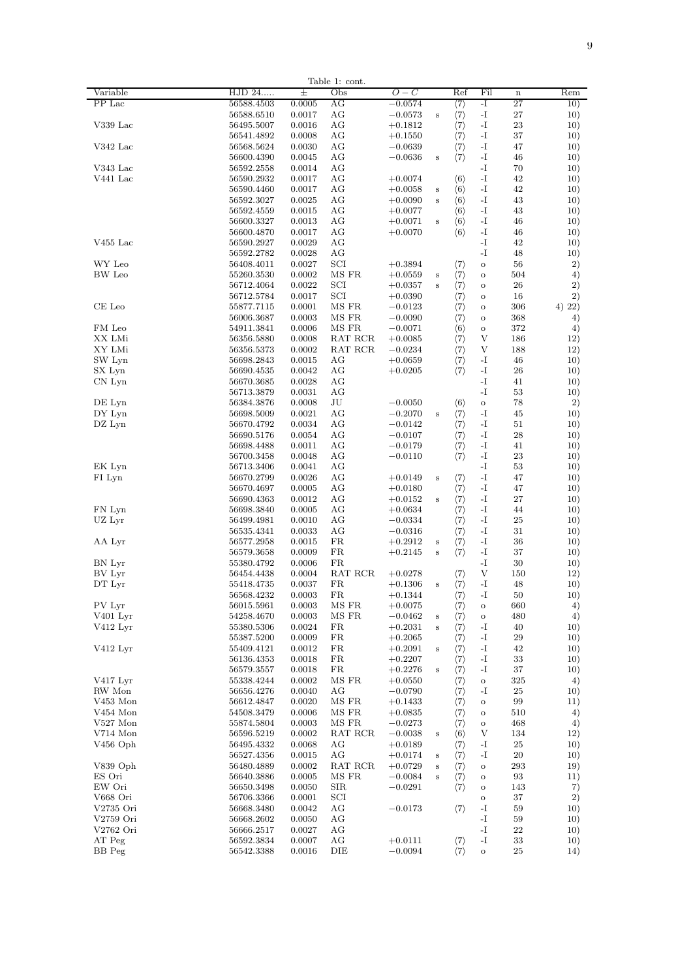|                |            |        | Table 1: cont.                            |           |         |                     |         |             |         |
|----------------|------------|--------|-------------------------------------------|-----------|---------|---------------------|---------|-------------|---------|
| Variable       | HJD 24     | $^{+}$ | Obs                                       | 0<br>C    |         | Ref                 | Fil     | $\mathbf n$ | Rem     |
| PP Lac         |            |        |                                           |           |         |                     |         |             |         |
|                | 56588.4503 | 0.0005 | ΑG                                        | $-0.0574$ |         | $\langle 7\rangle$  | -1      | 27          | 10)     |
|                | 56588.6510 | 0.0017 | AG                                        | $-0.0573$ | s       | $\langle 7\rangle$  | -I      | 27          | 10)     |
| $V339$ Lac     | 56495.5007 | 0.0016 | AG                                        | $+0.1812$ |         | $\langle 7 \rangle$ | -I      | 23          | 10)     |
|                |            |        |                                           |           |         |                     |         | 37          |         |
|                | 56541.4892 | 0.0008 | AG                                        | $+0.1550$ |         | $\langle 7 \rangle$ | -1      |             | 10)     |
| V342 Lac       | 56568.5624 | 0.0030 | AG                                        | $-0.0639$ |         | $\langle 7\rangle$  | $-I$    | 47          | 10)     |
|                | 56600.4390 | 0.0045 | AG                                        | $-0.0636$ | s       | $\langle 7 \rangle$ | $-I$    | 46          | 10)     |
| V343 Lac       |            |        | AG                                        |           |         |                     | -I      | 70          |         |
|                | 56592.2558 | 0.0014 |                                           |           |         |                     |         |             | 10)     |
| V441 Lac       | 56590.2932 | 0.0017 | AG                                        | $+0.0074$ |         | $\langle 6 \rangle$ | -1      | 42          | 10)     |
|                | 56590.4460 | 0.0017 | AG                                        | $+0.0058$ | s       | $\langle 6 \rangle$ | -1      | 42          | 10)     |
|                |            | 0.0025 | AG                                        |           |         |                     | -1      | 43          | 10)     |
|                | 56592.3027 |        |                                           | $+0.0090$ | s       | $\langle 6 \rangle$ |         |             |         |
|                | 56592.4559 | 0.0015 | AG                                        | $+0.0077$ |         | $\langle 6 \rangle$ | -I      | 43          | 10)     |
|                | 56600.3327 | 0.0013 | AG                                        | $+0.0071$ | s       | $\langle 6 \rangle$ | $-I$    | 46          | 10)     |
|                | 56600.4870 | 0.0017 | AG                                        | $+0.0070$ |         | $\langle 6 \rangle$ | $-I$    | 46          | 10)     |
|                |            |        |                                           |           |         |                     |         |             |         |
| $V455$ Lac     | 56590.2927 | 0.0029 | AG                                        |           |         |                     | $-I$    | 42          | 10)     |
|                | 56592.2782 | 0.0028 | AG                                        |           |         |                     | -I      | 48          | 10)     |
| WY Leo         | 56408.4011 | 0.0027 | SCI                                       | $+0.3894$ |         | $\langle 7 \rangle$ | $\circ$ | 56          | 2)      |
|                |            |        |                                           |           |         |                     |         |             |         |
| BW Leo         | 55260.3530 | 0.0002 | MS FR                                     | $+0.0559$ | s       | $\langle 7 \rangle$ | $\circ$ | 504         | 4)      |
|                | 56712.4064 | 0.0022 | SCI                                       | $+0.0357$ | s       | $\langle 7 \rangle$ | $\circ$ | 26          | 2)      |
|                | 56712.5784 | 0.0017 | SCI                                       | $+0.0390$ |         | $\langle 7\rangle$  | $\circ$ | 16          | 2)      |
|                |            |        |                                           |           |         |                     |         |             |         |
| CE Leo         | 55877.7115 | 0.0001 | MS FR                                     | $-0.0123$ |         | $\langle 7 \rangle$ | $\circ$ | 306         | 4) 22)  |
|                | 56006.3687 | 0.0003 | MS FR                                     | $-0.0090$ |         | $\langle 7\rangle$  | $\circ$ | 368         | 4)      |
| FM Leo         | 54911.3841 | 0.0006 | MS FR                                     | $-0.0071$ |         | $\langle 6 \rangle$ | $\circ$ | 372         | 4)      |
| XX LMi         |            |        | $\operatorname{RAT}$ $\operatorname{RCR}$ |           |         |                     | V       |             | 12)     |
|                | 56356.5880 | 0.0008 |                                           | $+0.0085$ |         | $\langle 7 \rangle$ |         | 186         |         |
| XY LMi         | 56356.5373 | 0.0002 | RAT RCR                                   | $-0.0234$ |         | $\langle 7 \rangle$ | V       | 188         | 12)     |
| SW Lyn         | 56698.2843 | 0.0015 | AG                                        | $+0.0659$ |         | $\langle 7\rangle$  | -1      | 46          | 10)     |
|                |            |        |                                           |           |         |                     |         |             |         |
| SX Lyn         | 56690.4535 | 0.0042 | AG                                        | $+0.0205$ |         | $\langle 7 \rangle$ | -1      | 26          | 10)     |
| CN Lyn         | 56670.3685 | 0.0028 | AG                                        |           |         |                     | -1      | 41          | 10)     |
|                | 56713.3879 | 0.0031 | AG                                        |           |         |                     | $-I$    | 53          | 10)     |
| DE Lyn         | 56384.3876 | 0.0008 | JU                                        | $-0.0050$ |         | $\langle 6 \rangle$ | $\circ$ | 78          | 2)      |
|                |            |        |                                           |           |         |                     |         |             |         |
| DY Lyn         | 56698.5009 | 0.0021 | AG                                        | $-0.2070$ | Ś       | $\langle 7 \rangle$ | $-I$    | 45          | 10)     |
| DZ Lyn         | 56670.4792 | 0.0034 | AG                                        | $-0.0142$ |         | $\langle 7\rangle$  | $-I$    | 51          | 10)     |
|                | 56690.5176 | 0.0054 | AG                                        | $-0.0107$ |         | $\langle 7 \rangle$ | -1      | 28          | 10)     |
|                |            |        |                                           |           |         |                     |         |             |         |
|                | 56698.4488 | 0.0011 | АG                                        | $-0.0179$ |         | $\langle 7\rangle$  | -1      | 41          | 10)     |
|                | 56700.3458 | 0.0048 | ΑG                                        | $-0.0110$ |         | $\langle 7 \rangle$ | -1      | 23          | 10)     |
| EK Lyn         | 56713.3406 | 0.0041 | AG                                        |           |         |                     | -I      | 53          | 10)     |
|                |            |        |                                           |           |         |                     |         |             |         |
| FI Lyn         | 56670.2799 | 0.0026 | AG                                        | $+0.0149$ | s       | $\langle 7 \rangle$ | -I      | 47          | 10)     |
|                | 56670.4697 | 0.0005 | AG                                        | $+0.0180$ |         | $\langle 7 \rangle$ | -I      | 47          | 10)     |
|                | 56690.4363 | 0.0012 | AG                                        | $+0.0152$ | s       | $\langle 7\rangle$  | $-I$    | 27          | 10)     |
|                |            |        |                                           |           |         |                     |         |             |         |
| FN Lyn         | 56698.3840 | 0.0005 | AG                                        | $+0.0634$ |         | $\langle 7\rangle$  | $-I$    | 44          | 10)     |
| UZ Lyr         | 56499.4981 | 0.0010 | AG                                        | $-0.0334$ |         | $\langle 7 \rangle$ | $-I$    | 25          | 10)     |
|                | 56535.4341 | 0.0033 | AG                                        | $-0.0316$ |         | $\langle 7 \rangle$ | $-I$    | 31          | 10)     |
|                |            |        |                                           |           |         |                     |         |             |         |
| AA Lyr         | 56577.2958 | 0.0015 | FR                                        | $+0.2912$ | s       | $\langle 7\rangle$  | -1      | 36          | 10)     |
|                | 56579.3658 | 0.0009 | FR.                                       | $+0.2145$ | s       | $\langle 7 \rangle$ | -1      | 37          | 10)     |
| BN Lyr         | 55380.4792 | 0.0006 | FR.                                       |           |         |                     | -1      | 30          | 10)     |
| BV Lyr         | 56454.4438 | 0.0004 | RAT RCR                                   | $+0.0278$ |         |                     | V       | 150         | 12)     |
|                |            |        |                                           |           |         | $\langle 7 \rangle$ |         |             |         |
| DT Lyr         | 55418.4735 | 0.0037 | FR.                                       | $+0.1306$ | $\bf s$ | $\langle 7 \rangle$ | -I      | 48          | 10)     |
|                | 56568.4232 | 0.0003 | FR.                                       | $+0.1344$ |         | $\langle 7 \rangle$ | $-I$    | 50          | 10)     |
| PV Lyr         | 56015.5961 | 0.0003 | MS FR                                     | $+0.0075$ |         |                     |         | 660         |         |
|                |            |        |                                           |           |         | $\langle 7\rangle$  | $\circ$ |             | 4)      |
| V401 Lyr       | 54258.4670 | 0.0003 | MS FR                                     | $-0.0462$ | s       | $\langle 7 \rangle$ | $\circ$ | 480         | 4)      |
| $V412$ Lyr     | 55380.5306 | 0.0024 | FR                                        | $+0.2031$ | s       | $\langle 7 \rangle$ | -I      | 40          | 10)     |
|                | 55387.5200 | 0.0009 | FR                                        | $+0.2065$ |         | $\langle 7 \rangle$ | -I      | 29          | 10)     |
|                |            |        |                                           |           |         |                     |         |             |         |
| V412 Lyr       | 55409.4121 | 0.0012 | FR                                        | $+0.2091$ | s       | $\langle 7\rangle$  | -I      | 42          | 10)     |
|                | 56136.4353 | 0.0018 | FR                                        | $+0.2207$ |         | $\langle 7 \rangle$ | -I      | 33          | 10)     |
|                | 56579.3557 | 0.0018 | FR.                                       | $+0.2276$ | s       | $\langle 7\rangle$  | $-I$    | 37          | 10)     |
|                |            |        |                                           |           |         |                     |         |             |         |
| V417 Lyr       | 55338.4244 | 0.0002 | MS FR                                     | $+0.0550$ |         | $\langle 7\rangle$  | $\circ$ | 325         | 4)      |
| RW Mon         | 56656.4276 | 0.0040 | AG                                        | $-0.0790$ |         | $\langle 7\rangle$  | -T      | 25          | 10)     |
| $\rm V453$ Mon | 56612.4847 | 0.0020 | MS FR                                     | $+0.1433$ |         | $\langle 7 \rangle$ | $\circ$ | 99          | 11)     |
| V454 Mon       |            | 0.0006 | MS FR                                     |           |         |                     |         | 510         | 4)      |
|                | 54508.3479 |        |                                           | $+0.0835$ |         | $\langle 7\rangle$  | $\circ$ |             |         |
| V527 Mon       | 55874.5804 | 0.0003 | MS FR                                     | $-0.0273$ |         | $\langle 7\rangle$  | $\circ$ | 468         | 4)      |
| V714 Mon       | 56596.5219 | 0.0002 | RAT RCR                                   | $-0.0038$ | s       | $\langle 6 \rangle$ | V       | 134         | 12)     |
| $V456$ Oph     | 56495.4332 | 0.0068 | AG                                        | $+0.0189$ |         | $\langle 7\rangle$  | -1      | 25          | 10)     |
|                |            |        |                                           |           |         |                     |         |             |         |
|                | 56527.4356 | 0.0015 | AG                                        | $+0.0174$ | s       | $\langle 7 \rangle$ | $-I$    | 20          | 10)     |
| V839 Oph       | 56480.4889 | 0.0002 | RAT RCR                                   | $+0.0729$ | s       | $\langle 7 \rangle$ | $\circ$ | 293         | 19)     |
| ES Ori         | 56640.3886 | 0.0005 | MS FR                                     | $-0.0084$ | Ś       | $\langle 7 \rangle$ | $\circ$ | 93          | 11)     |
|                |            |        |                                           |           |         |                     |         |             |         |
| EW Ori         | 56650.3498 | 0.0050 | <b>SIR</b>                                | $-0.0291$ |         | $\langle 7 \rangle$ | $\circ$ | 143         | 7)      |
| V668 Ori       | 56706.3366 | 0.0001 | SCI                                       |           |         |                     | $\circ$ | 37          | $^{2)}$ |
| V2735 Ori      | 56668.3480 | 0.0042 | ΑG                                        | $-0.0173$ |         | $\langle 7 \rangle$ | -I      | 59          | 10)     |
|                |            |        |                                           |           |         |                     |         |             |         |
| V2759 Ori      | 56668.2602 | 0.0050 | AG                                        |           |         |                     | -I      | 59          | 10)     |
| V2762 Ori      | 56666.2517 | 0.0027 | AG                                        |           |         |                     | -I      | $^{22}$     | 10)     |
| AT Peg         | 56592.3834 | 0.0007 | AG                                        | $+0.0111$ |         | $\langle 7 \rangle$ | -I      | 33          | 10)     |
| BB Peg         | 56542.3388 | 0.0016 | DIE                                       | $-0.0094$ |         | (7)                 | $\circ$ | 25          | 14)     |
|                |            |        |                                           |           |         |                     |         |             |         |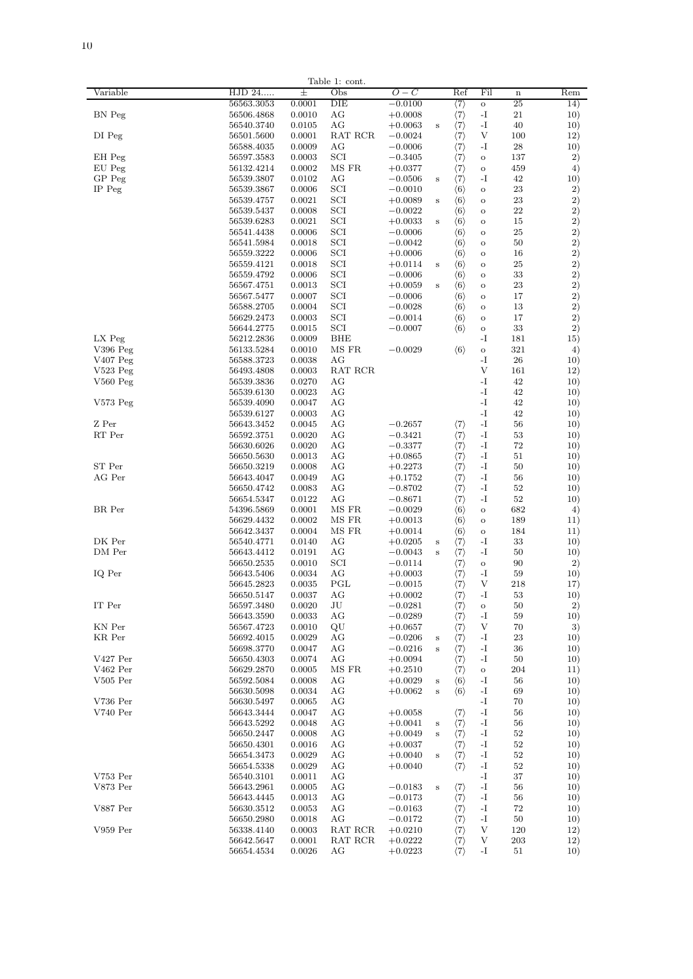|            |            |        | Table 1: cont. |           |         |                     |          |             |              |
|------------|------------|--------|----------------|-----------|---------|---------------------|----------|-------------|--------------|
| Variable   | HJD 24     | 士      | Obs            | $O-C$     |         | Ref                 | Fil      | $\mathbf n$ | Rem          |
|            | 56563.3053 | 0.0001 | DIE            | $-0.0100$ |         | $\langle 7\rangle$  | $\rm _O$ | 25          | 14)          |
|            |            |        |                |           |         |                     |          |             |              |
| BN Peg     | 56506.4868 | 0.0010 | AG             | $+0.0008$ |         | $\langle 7\rangle$  | -1       | 21          | 10)          |
|            | 56540.3740 | 0.0105 | AG             | $+0.0063$ | s       | $\langle 7\rangle$  | -1       | 40          | 10)          |
| DI Peg     | 56501.5600 | 0.0001 | RAT RCR        | $-0.0024$ |         | $\langle 7 \rangle$ | V        | 100         | 12)          |
|            | 56588.4035 | 0.0009 | AG             | $-0.0006$ |         | $\langle 7 \rangle$ | -I       | 28          | 10)          |
| EH Peg     | 56597.3583 | 0.0003 | SCI            | $-0.3405$ |         | $\langle 7 \rangle$ | $\circ$  | 137         | 2)           |
| EU Peg     | 56132.4214 | 0.0002 | MS FR          | $+0.0377$ |         | $\langle 7 \rangle$ | $\circ$  | 459         | 4)           |
|            |            |        |                |           |         |                     |          |             |              |
| GP Peg     | 56539.3807 | 0.0102 | AG             | $-0.0506$ | $\bf s$ | $\langle 7 \rangle$ | $-I$     | 42          | 10)          |
| IP Peg     | 56539.3867 | 0.0006 | SCI            | $-0.0010$ |         | $\langle 6 \rangle$ | $\circ$  | 23          | $^{2)}$      |
|            | 56539.4757 | 0.0021 | SCI            | $+0.0089$ | $\bf s$ | $\langle 6 \rangle$ | $\circ$  | 23          | 2)           |
|            | 56539.5437 | 0.0008 | SCI            | $-0.0022$ |         | $\langle 6 \rangle$ | $\circ$  | 22          | 2)           |
|            | 56539.6283 | 0.0021 | SCI            | $+0.0033$ | $\bf s$ |                     | $\circ$  | 15          | 2)           |
|            |            |        |                |           |         | $\langle 6 \rangle$ |          |             |              |
|            | 56541.4438 | 0.0006 | SCI            | $-0.0006$ |         | $\langle 6 \rangle$ | $\circ$  | 25          | $^{2)}$      |
|            | 56541.5984 | 0.0018 | SCI            | $-0.0042$ |         | $\langle 6 \rangle$ | $\circ$  | 50          | 2)           |
|            | 56559.3222 | 0.0006 | SCI            | $+0.0006$ |         | $\langle 6 \rangle$ | $\circ$  | 16          | $\mathbf{2}$ |
|            | 56559.4121 | 0.0018 | SCI            | $+0.0114$ | s       | $\langle 6 \rangle$ | $\circ$  | 25          | $^{2)}$      |
|            | 56559.4792 | 0.0006 | $_{\rm SCI}$   | $-0.0006$ |         | $\langle 6 \rangle$ | $\circ$  | 33          | $^{2)}$      |
|            | 56567.4751 | 0.0013 | $_{\rm SCI}$   |           | s       | $\langle 6 \rangle$ | $\circ$  | 23          | 2)           |
|            |            |        |                | $+0.0059$ |         |                     |          |             |              |
|            | 56567.5477 | 0.0007 | SCI            | $-0.0006$ |         | $\langle 6 \rangle$ | $\Omega$ | 17          | 2)           |
|            | 56588.2705 | 0.0004 | SCI            | $-0.0028$ |         | $\langle 6 \rangle$ | $\circ$  | 13          | $\mathbf{2}$ |
|            | 56629.2473 | 0.0003 | SCI            | $-0.0014$ |         | $\langle 6 \rangle$ | $\circ$  | 17          | 2)           |
|            | 56644.2775 | 0.0015 | SCI            | $-0.0007$ |         | $\langle 6 \rangle$ | $\circ$  | 33          | 2)           |
| LX Peg     | 56212.2836 | 0.0009 | BHE            |           |         |                     | -1       | 181         | 15)          |
| V396 Peg   |            | 0.0010 | MS FR          | $-0.0029$ |         | $\langle 6 \rangle$ |          | 321         |              |
|            | 56133.5284 |        |                |           |         |                     | $\circ$  |             | 4)           |
| V407 Peg   | 56588.3723 | 0.0038 | AG             |           |         |                     | -I       | 26          | 10)          |
| V523 Peg   | 56493.4808 | 0.0003 | RAT RCR        |           |         |                     | V        | 161         | 12)          |
| $V560$ Peg | 56539.3836 | 0.0270 | AG             |           |         |                     | -I       | 42          | 10)          |
|            | 56539.6130 | 0.0023 | AG             |           |         |                     | $-I$     | 42          | 10)          |
| V573 Peg   | 56539.4090 | 0.0047 | AG             |           |         |                     | $-I$     | 42          | 10)          |
|            |            |        |                |           |         |                     |          |             |              |
|            | 56539.6127 | 0.0003 | AG             |           |         |                     | $-I$     | 42          | 10)          |
| Z Per      | 56643.3452 | 0.0045 | AG             | $-0.2657$ |         | $\langle 7 \rangle$ | $-I$     | 56          | 10)          |
| RT Per     | 56592.3751 | 0.0020 | AG             | $-0.3421$ |         | $\langle 7 \rangle$ | $-I$     | 53          | 10)          |
|            | 56630.6026 | 0.0020 | AG             | $-0.3377$ |         | $\langle 7 \rangle$ | -T       | 72          | 10)          |
|            | 56650.5630 | 0.0013 | AG             | $+0.0865$ |         | $\langle 7 \rangle$ | -1       | 51          | 10)          |
| ST Per     | 56650.3219 | 0.0008 | AG             | $+0.2273$ |         | $\langle 7\rangle$  | -1       | 50          | 10)          |
|            |            |        |                |           |         |                     |          |             |              |
| AG Per     | 56643.4047 | 0.0049 | AG             | $+0.1752$ |         | $\langle 7\rangle$  | -1       | 56          | 10)          |
|            | 56650.4742 | 0.0083 | AG             | $-0.8702$ |         | $\langle 7 \rangle$ | -I       | 52          | 10)          |
|            | 56654.5347 | 0.0122 | AG             | $-0.8671$ |         | $\langle 7 \rangle$ | -I       | 52          | 10)          |
| BR Per     | 54396.5869 | 0.0001 | MS FR          | $-0.0029$ |         | $\langle 6 \rangle$ | $\circ$  | 682         | 4)           |
|            | 56629.4432 | 0.0002 | MS FR          | $+0.0013$ |         | $\langle 6 \rangle$ | $\circ$  | 189         | 11)          |
|            | 56642.3437 | 0.0004 | MS FR          | $+0.0014$ |         | $\langle 6 \rangle$ | $\circ$  | 184         | 11)          |
|            |            |        |                |           |         |                     |          |             |              |
| DK Per     | 56540.4771 | 0.0140 | AG             | $+0.0205$ | s       | $\langle 7 \rangle$ | -T       | 33          | 10)          |
| DM Per     | 56643.4412 | 0.0191 | AG             | $-0.0043$ | s       | $\langle 7 \rangle$ | -T       | 50          | 10)          |
|            | 56650.2535 | 0.0010 | SCI            | $-0.0114$ |         | $\langle 7 \rangle$ | $\circ$  | 90          | 2)           |
| IQ Per     | 56643.5406 | 0.0034 | AG             | $+0.0003$ |         | $\langle 7\rangle$  | -I       | 59          | 10)          |
|            | 56645.2823 | 0.0035 | $_{\rm PGL}$   | $-0.0015$ |         | $\langle 7\rangle$  | V        | 218         | 17)          |
|            | 56650.5147 | 0.0037 | ΑG             | $+0.0002$ |         | $\langle 7\rangle$  | -I       | 53          | 10)          |
|            |            |        |                |           |         |                     |          |             |              |
| IT Per     | 56597.3480 | 0.0020 | JU             | $-0.0281$ |         | $\langle 7 \rangle$ | $\rm _O$ | 50          | 2)           |
|            | 56643.3590 | 0.0033 | AG             | $-0.0289$ |         | $\langle 7 \rangle$ | $-I$     | 59          | 10)          |
| KN Per     | 56567.4723 | 0.0010 | QU             | $+0.0657$ |         | $\langle 7 \rangle$ | V        | 70          | 3)           |
| KR Per     | 56692.4015 | 0.0029 | AG             | $-0.0206$ | s       | $\langle 7 \rangle$ | $-I$     | 23          | 10)          |
|            | 56698.3770 | 0.0047 | AG             | $-0.0216$ | s       | $\langle 7 \rangle$ | $-I$     | 36          | 10)          |
| V427 Per   | 56650.4303 | 0.0074 | AG             | $+0.0094$ |         | $\langle 7 \rangle$ | $-I$     | 50          | 10)          |
| V462 Per   |            | 0.0005 |                |           |         |                     |          | 204         |              |
|            | 56629.2870 |        | MS FR          | $+0.2510$ |         | $\langle 7\rangle$  | O        |             | 11)          |
| $V505$ Per | 56592.5084 | 0.0008 | АG             | $+0.0029$ | $\bf s$ | $\langle 6 \rangle$ | -I       | 56          | 10)          |
|            | 56630.5098 | 0.0034 | ΑG             | $+0.0062$ | $\bf s$ | $\langle 6 \rangle$ | -I       | 69          | 10)          |
| V736 Per   | 56630.5497 | 0.0065 | ΑG             |           |         |                     | -I       | 70          | 10)          |
| V740 Per   | 56643.3444 | 0.0047 | AG             | $+0.0058$ |         | $\langle 7 \rangle$ | -I       | 56          | 10)          |
|            | 56643.5292 | 0.0048 | AG             | $+0.0041$ | $\bf s$ | $\langle 7 \rangle$ | -I       | 56          | 10)          |
|            |            |        |                |           |         |                     | -I       | 52          |              |
|            | 56650.2447 | 0.0008 | AG             | $+0.0049$ | $\bf s$ | $\langle 7 \rangle$ |          |             | 10)          |
|            | 56650.4301 | 0.0016 | AG             | $+0.0037$ |         | $\langle 7\rangle$  | -I       | 52          | 10)          |
|            | 56654.3473 | 0.0029 | AG             | $+0.0040$ | s       | $\langle 7\rangle$  | -I       | 52          | 10)          |
|            | 56654.5338 | 0.0029 | AG             | $+0.0040$ |         | $\langle 7 \rangle$ | -I       | 52          | 10)          |
| V753 Per   | 56540.3101 | 0.0011 | AG             |           |         |                     | $-I$     | 37          | 10)          |
| V873 Per   | 56643.2961 | 0.0005 | AG             | $-0.0183$ | s       | $\langle 7\rangle$  | $-I$     | 56          | 10)          |
|            |            | 0.0013 |                |           |         |                     | -T       | 56          |              |
|            | 56643.4445 |        | AG             | $-0.0173$ |         | $\langle 7\rangle$  |          |             | 10)          |
| V887 Per   | 56630.3512 | 0.0053 | AG             | $-0.0163$ |         | $\langle 7\rangle$  | -T       | 72          | 10)          |
|            | 56650.2980 | 0.0018 | AG             | $-0.0172$ |         | $\langle 7\rangle$  | -1       | 50          | 10)          |
| V959 Per   | 56338.4140 | 0.0003 | RAT RCR        | $+0.0210$ |         | $\langle 7\rangle$  | V        | 120         | 12)          |
|            | 56642.5647 | 0.0001 | RAT RCR        | $+0.0222$ |         | $\langle 7\rangle$  | V        | 203         | 12)          |
|            | 56654.4534 | 0.0026 | AG             | $+0.0223$ |         | $\langle 7 \rangle$ | $-I$     | 51          | 10)          |
|            |            |        |                |           |         |                     |          |             |              |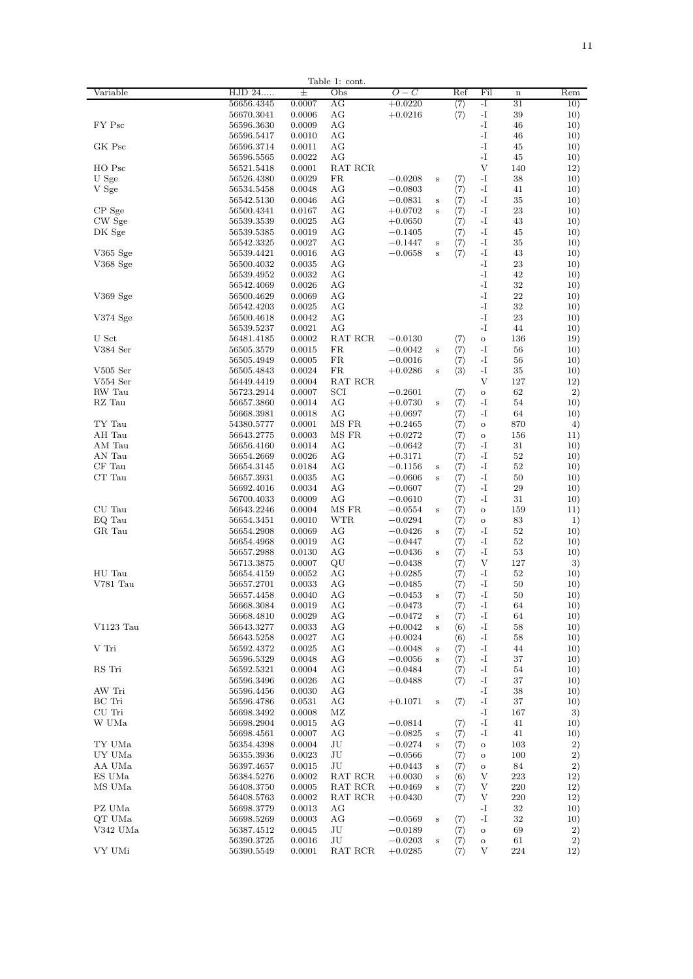|            |            |        | Table 1: cont.                            |           |         |                                                                     |               |             |        |
|------------|------------|--------|-------------------------------------------|-----------|---------|---------------------------------------------------------------------|---------------|-------------|--------|
| Variable   | HJD 24     | 土      | Obs                                       | $O-C$     |         | Ref                                                                 | Fil           | $\mathbf n$ | Rem    |
|            |            |        |                                           |           |         |                                                                     |               |             |        |
|            | 56656.4345 | 0.0007 | AG                                        | $+0.0220$ |         | $\langle 7 \rangle$                                                 | -1            | 31          | 10)    |
|            | 56670.3041 | 0.0006 | AG                                        | $+0.0216$ |         | $\langle 7 \rangle$                                                 | $\mathbf{-I}$ | 39          | 10)    |
| FY Psc     | 56596.3630 | 0.0009 | AG                                        |           |         |                                                                     | $-I$          | 46          | 10)    |
|            |            |        |                                           |           |         |                                                                     |               |             |        |
|            | 56596.5417 | 0.0010 | AG                                        |           |         |                                                                     | $-I$          | 46          | 10)    |
| GK Psc     | 56596.3714 | 0.0011 | AG                                        |           |         |                                                                     | $-I$          | 45          | 10)    |
|            | 56596.5565 | 0.0022 | AG                                        |           |         |                                                                     | $-I$          | 45          | 10)    |
|            |            |        |                                           |           |         |                                                                     |               |             |        |
| HO Psc     | 56521.5418 | 0.0001 | RAT RCR                                   |           |         |                                                                     | V             | 140         | 12)    |
| U Sge      | 56526.4380 | 0.0029 | FR                                        | $-0.0208$ | s       | $\langle 7 \rangle$                                                 | $-I$          | 38          | 10)    |
|            |            |        |                                           |           |         |                                                                     |               |             |        |
| V Sge      | 56534.5458 | 0.0048 | AG                                        | $-0.0803$ |         | $\langle 7 \rangle$                                                 | $-I$          | 41          | 10)    |
|            | 56542.5130 | 0.0046 | AG                                        | $-0.0831$ | s       | $\langle 7 \rangle$                                                 | -1            | 35          | 10)    |
| CP Sge     | 56500.4341 | 0.0167 | AG                                        | $+0.0702$ | s       | $\langle 7 \rangle$                                                 | -1            | 23          | 10)    |
|            |            |        |                                           |           |         |                                                                     |               |             |        |
| CW Sge     | 56539.3539 | 0.0025 | AG                                        | $+0.0650$ |         | $\langle 7 \rangle$                                                 | $-I$          | 43          | 10)    |
| DK Sge     | 56539.5385 | 0.0019 | AG                                        | $-0.1405$ |         | $\langle 7 \rangle$                                                 | $-I$          | 45          | 10)    |
|            | 56542.3325 | 0.0027 | AG                                        | $-0.1447$ | s       | $\langle 7 \rangle$                                                 | -1            | 35          | 10)    |
|            |            |        |                                           |           |         |                                                                     |               |             |        |
| V365 Sge   | 56539.4421 | 0.0016 | AG                                        | $-0.0658$ | s       | $\langle 7 \rangle$                                                 | $-I$          | 43          | 10)    |
| V368 Sge   | 56500.4032 | 0.0035 | AG                                        |           |         |                                                                     | $-I$          | 23          | 10)    |
|            | 56539.4952 | 0.0032 | AG                                        |           |         |                                                                     | $-I$          | 42          | 10)    |
|            |            |        |                                           |           |         |                                                                     |               |             |        |
|            | 56542.4069 | 0.0026 | AG                                        |           |         |                                                                     | $-I$          | 32          | 10)    |
| V369 Sge   | 56500.4629 | 0.0069 | AG                                        |           |         |                                                                     | $-I$          | 22          | 10)    |
|            |            |        |                                           |           |         |                                                                     |               |             |        |
|            | 56542.4203 | 0.0025 | AG                                        |           |         |                                                                     | $-I$          | 32          | 10)    |
| V374 Sge   | 56500.4618 | 0.0042 | AG                                        |           |         |                                                                     | -1            | 23          | 10)    |
|            | 56539.5237 | 0.0021 | AG                                        |           |         |                                                                     | -1            | 44          | 10)    |
|            |            |        |                                           |           |         |                                                                     |               |             |        |
| U Sct      | 56481.4185 | 0.0002 | RAT RCR                                   | $-0.0130$ |         | $\langle 7 \rangle$                                                 | $\rm _O$      | 136         | 19)    |
| V384 Ser   | 56505.3579 | 0.0015 | FR.                                       | $-0.0042$ | $\bf s$ | $\langle 7 \rangle$                                                 | $-I$          | 56          | 10)    |
|            |            |        |                                           |           |         |                                                                     |               |             |        |
|            | 56505.4949 | 0.0005 | FR.                                       | $-0.0016$ |         | $\langle 7 \rangle$                                                 | $-I$          | 56          | 10)    |
| $V505$ Ser | 56505.4843 | 0.0024 | FR.                                       | $+0.0286$ | s       | $\langle 3 \rangle$                                                 | $-I$          | 35          | 10)    |
| $V554$ Ser | 56449.4419 | 0.0004 | RAT RCR                                   |           |         |                                                                     | V             | 127         | 12)    |
|            |            |        |                                           |           |         |                                                                     |               |             |        |
| RW Tau     | 56723.2914 | 0.0007 | SCI                                       | $-0.2601$ |         | $\langle 7\rangle$                                                  | $\circ$       | 62          | 2)     |
| RZ Tau     | 56657.3860 | 0.0014 | AG                                        | $+0.0730$ | s       | $\langle 7 \rangle$                                                 | $-I$          | 54          | 10)    |
|            |            |        |                                           |           |         |                                                                     |               |             |        |
|            | 56668.3981 | 0.0018 | AG                                        | $+0.0697$ |         | $\langle 7 \rangle$                                                 | $-I$          | 64          | 10)    |
| TY Tau     | 54380.5777 | 0.0001 | MS FR                                     | $+0.2465$ |         | $\langle 7 \rangle$                                                 | $\rm _O$      | 870         | 4)     |
| AH Tau     | 56643.2775 | 0.0003 | MS FR                                     | $+0.0272$ |         | $\langle 7 \rangle$                                                 | $\circ$       | 156         | 11)    |
|            |            |        |                                           |           |         |                                                                     |               |             |        |
| AM Tau     | 56656.4160 | 0.0014 | AG                                        | $-0.0642$ |         | $\langle 7 \rangle$                                                 | -1            | 31          | 10)    |
| AN Tau     | 56654.2669 | 0.0026 | AG                                        | $+0.3171$ |         | $\langle 7 \rangle$                                                 | -1            | 52          | 10)    |
|            |            |        |                                           |           |         |                                                                     |               |             |        |
| CF Tau     | 56654.3145 | 0.0184 | AG                                        | $-0.1156$ | s       | $\begin{array}{c} \langle 7\rangle \\ \langle 7\rangle \end{array}$ | $-I$          | 52          | 10)    |
| CT Tau     | 56657.3931 | 0.0035 | AG                                        | $-0.0606$ | s       |                                                                     | $-I$          | 50          | 10)    |
|            | 56692.4016 | 0.0034 | AG                                        | $-0.0607$ |         | $\langle 7 \rangle$                                                 | $-I$          | 29          | 10)    |
|            |            |        |                                           |           |         |                                                                     |               |             |        |
|            | 56700.4033 | 0.0009 | AG                                        | $-0.0610$ |         | $\langle 7 \rangle$                                                 | $-I$          | 31          | 10)    |
| CU Tau     | 56643.2246 | 0.0004 | MS FR                                     | $-0.0554$ | s       | $\langle 7 \rangle$                                                 | $\circ$       | 159         | 11)    |
| EQ Tau     | 56654.3451 | 0.0010 | <b>WTR</b>                                | $-0.0294$ |         | $\langle 7 \rangle$                                                 |               | 83          | $_{1}$ |
|            |            |        |                                           |           |         |                                                                     | $\circ$       |             |        |
| GR Tau     | 56654.2908 | 0.0069 | AG                                        | $-0.0426$ | s       | $\langle 7 \rangle$                                                 | $-I$          | 52          | 10)    |
|            | 56654.4968 | 0.0019 | AG                                        | $-0.0447$ |         | $\langle 7 \rangle$                                                 | -1            | 52          | 10)    |
|            |            |        |                                           |           |         |                                                                     |               |             |        |
|            | 56657.2988 | 0.0130 | AG                                        | $-0.0436$ | s       | (7)                                                                 | -1            | 53          | 10)    |
|            | 56713.3875 | 0.0007 | $\rm QU$                                  | $-0.0438$ |         | $\langle 7\rangle$                                                  | V             | 127         | 3)     |
| HU Tau     | 56654.4159 | 0.0052 | AG                                        | $+0.0285$ |         |                                                                     | $-I$          | 52          | 10)    |
|            |            |        |                                           |           |         |                                                                     |               |             |        |
| V781 Tau   | 56657.2701 | 0.0033 | AG                                        | $-0.0485$ |         | $\begin{pmatrix} 7 \ 7 \ 7 \end{pmatrix}$                           | $-I$          | 50          | 10)    |
|            | 56657.4458 | 0.0040 | AG                                        | $-0.0453$ | s       |                                                                     | $-I$          | 50          | 10)    |
|            |            |        |                                           |           |         |                                                                     |               |             |        |
|            | 56668.3084 | 0.0019 | AG                                        | $-0.0473$ |         | $\langle 7 \rangle$                                                 | $-I$          | 64          | 10)    |
|            | 56668.4810 | 0.0029 | AG                                        | $-0.0472$ | s       | $\langle 7 \rangle$                                                 | $-I$          | 64          | 10)    |
| V1123 Tau  | 56643.3277 | 0.0033 | AG                                        | $+0.0042$ | s       | $\langle 6 \rangle$                                                 | $-I$          | 58          | 10)    |
|            |            |        |                                           |           |         |                                                                     |               |             |        |
|            | 56643.5258 | 0.0027 | AG                                        | $+0.0024$ |         | $\langle 6 \rangle$                                                 | $-I$          | 58          | 10)    |
| V Tri      | 56592.4372 | 0.0025 | AG                                        | $-0.0048$ | $\bf s$ | $\langle 7 \rangle$                                                 | $-I$          | 44          | 10)    |
|            | 56596.5329 | 0.0048 | AG                                        | $-0.0056$ | s       | $\langle 7 \rangle$                                                 | $-I$          | 37          | 10)    |
|            |            |        |                                           |           |         |                                                                     |               |             |        |
| RS Tri     | 56592.5321 | 0.0004 | AG                                        | $-0.0484$ |         | $\langle 7 \rangle$                                                 | -1            | 54          | 10)    |
|            | 56596.3496 | 0.0026 | AG                                        | $-0.0488$ |         | $\langle 7 \rangle$                                                 | -1            | 37          | 10)    |
|            |            |        |                                           |           |         |                                                                     |               |             |        |
| AW Tri     | 56596.4456 | 0.0030 | AG                                        |           |         |                                                                     | -1            | 38          | 10)    |
| BC Tri     | 56596.4786 | 0.0531 | AG                                        | $+0.1071$ | s       | $\langle 7 \rangle$                                                 | -1            | 37          | 10)    |
| CU Tri     | 56698.3492 | 0.0008 | MZ                                        |           |         |                                                                     | $-I$          | 167         | 3)     |
|            |            |        |                                           |           |         |                                                                     |               |             |        |
| W UMa      | 56698.2904 | 0.0015 | AG                                        | $-0.0814$ |         | $\langle 7 \rangle$                                                 | $-I$          | 41          | 10)    |
|            | 56698.4561 | 0.0007 | AG                                        | $-0.0825$ | s       | $\langle 7 \rangle$                                                 | $-I$          | 41          | 10)    |
|            |            |        |                                           |           |         |                                                                     |               |             |        |
| TY UMa     | 56354.4398 | 0.0004 | JU                                        | $-0.0274$ | $\bf s$ | $\langle 7\rangle$                                                  | $\circ$       | 103         | 2)     |
| UY UMa     | 56355.3936 | 0.0023 | JU                                        | $-0.0566$ |         | $\langle 7 \rangle$                                                 | $\circ$       | 100         | 2)     |
| AA UMa     | 56397.4657 | 0.0015 | JU                                        | $+0.0443$ | s       | $\langle 7 \rangle$                                                 | $\circ$       | 84          | 2)     |
|            |            |        |                                           |           |         |                                                                     |               |             |        |
| ES UMa     | 56384.5276 | 0.0002 | RAT RCR                                   | $+0.0030$ | s       | $\langle 6 \rangle$                                                 | V             | 223         | 12)    |
| MS UMa     | 56408.3750 | 0.0005 | RAT RCR                                   | $+0.0469$ | s       | $\langle 7 \rangle$                                                 | V             | 220         | 12)    |
|            |            |        |                                           |           |         |                                                                     |               |             |        |
|            | 56408.5763 | 0.0002 | RAT RCR                                   | $+0.0430$ |         | $\langle 7 \rangle$                                                 | V             | 220         | 12)    |
| PZ UMa     | 56698.3779 | 0.0013 | AG                                        |           |         |                                                                     | -1            | 32          | 10)    |
| QT UMa     | 56698.5269 | 0.0003 | AG                                        | $-0.0569$ | s       | $\langle 7 \rangle$                                                 | $-I$          | 32          | 10)    |
|            |            |        |                                           |           |         |                                                                     |               |             |        |
| V342 UMa   | 56387.4512 | 0.0045 | JU                                        | $-0.0189$ |         | $\langle 7 \rangle$                                                 | $\rm _O$      | 69          | 2)     |
|            | 56390.3725 | 0.0016 | JU                                        | $-0.0203$ | s       | $\langle 7 \rangle$                                                 | $\rm _O$      | 61          | 2)     |
| VY UMi     | 56390.5549 | 0.0001 | $\operatorname{RAT}$ $\operatorname{RCR}$ |           |         |                                                                     | V             | 224         |        |
|            |            |        |                                           | $+0.0285$ |         | $\langle 7 \rangle$                                                 |               |             | 12)    |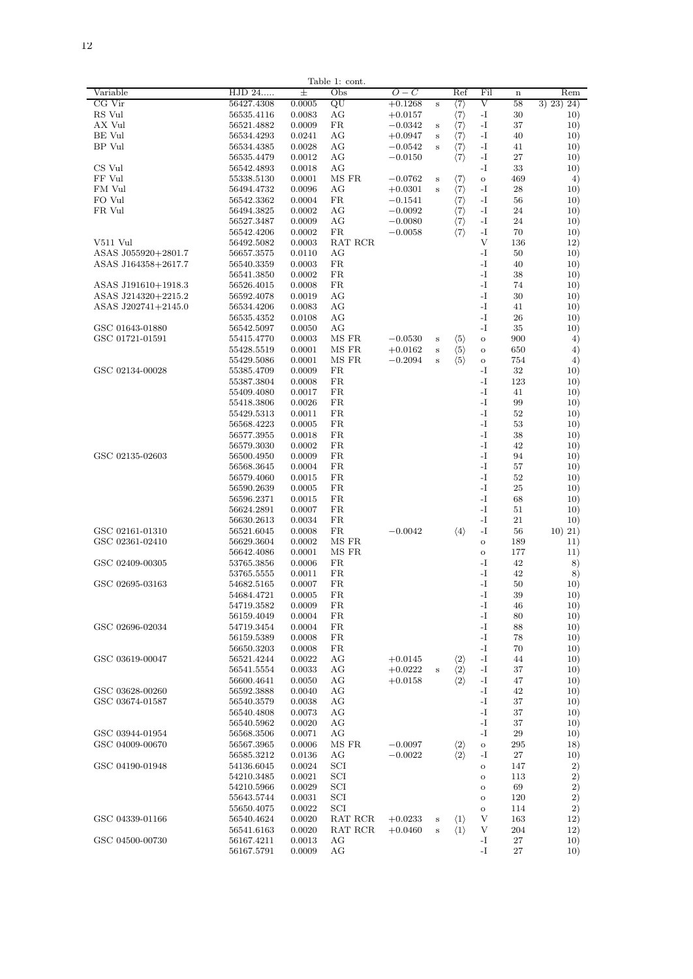|                                            |                          |                  | Table 1: cont. |                        |   |                                           |              |             |            |
|--------------------------------------------|--------------------------|------------------|----------------|------------------------|---|-------------------------------------------|--------------|-------------|------------|
| Variable                                   | HJD 24                   | 士                | Obs            | $O-C$                  |   | Ref                                       | Fil          | $\mathbf n$ | Rem        |
| CG Vir                                     | 56427.4308               | 0.0005           | QU             | $+0.1268$              | s | $\langle 7 \rangle$                       | V            | 58          | 3) 23) 24) |
| RS Vul                                     | 56535.4116               | 0.0083           | AG             | $+0.0157$              |   | $\langle 7 \rangle$                       | -1           | 30          | 10)        |
| AX Vul                                     | 56521.4882               | 0.0009           | FR.            | $-0.0342$              | s | $\langle 7 \rangle$                       | -1           | 37          | 10)        |
| BE Vul<br>BP Vul                           | 56534.4293<br>56534.4385 | 0.0241<br>0.0028 | AG<br>AG       | $+0.0947$              | s | $\langle 7 \rangle$                       | -1<br>$-I$   | 40<br>41    | 10)<br>10) |
|                                            | 56535.4479               | 0.0012           | AG             | $-0.0542$<br>$-0.0150$ | s | $\langle 7\rangle$<br>$\langle 7 \rangle$ | $-I$         | 27          | 10)        |
| CS Vul                                     | 56542.4893               | 0.0018           | AG             |                        |   |                                           | $-I$         | 33          | 10)        |
| FF Vul                                     | 55338.5130               | 0.0001           | MS FR          | $-0.0762$              | s | $\langle 7 \rangle$                       | $\circ$      | 469         | 4)         |
| FM Vul                                     | 56494.4732               | 0.0096           | AG             | $+0.0301$              | s | $\langle 7\rangle$                        | $-I$         | 28          | 10)        |
| FO Vul                                     | 56542.3362               | 0.0004           | FR.            | $-0.1541$              |   | $\langle 7\rangle$                        | -T           | 56          | 10)        |
| FR Vul                                     | 56494.3825               | 0.0002           | АG             | $-0.0092$              |   | $\langle 7\rangle$                        | -T           | 24          | 10)        |
|                                            | 56527.3487               | 0.0009           | ΑG             | $-0.0080$              |   | $\langle 7 \rangle$                       | -1           | 24          | 10)        |
|                                            | 56542.4206               | 0.0002           | FR             | $-0.0058$              |   | $\langle 7 \rangle$                       | -1           | 70          | 10)        |
| V511 Vul                                   | 56492.5082               | 0.0003           | RAT RCR        |                        |   |                                           | V            | 136         | 12)        |
| ASAS J055920+2801.7                        | 56657.3575               | 0.0110           | AG             |                        |   |                                           | -I           | 50          | 10)        |
| ASAS J164358+2617.7                        | 56540.3359               | 0.0003           | FR.            |                        |   |                                           | -I           | 40          | 10)        |
|                                            | 56541.3850               | 0.0002<br>0.0008 | FR.<br>FR.     |                        |   |                                           | -1<br>-I     | 38<br>74    | 10)        |
| ASAS J191610+1918.3<br>ASAS J214320+2215.2 | 56526.4015<br>56592.4078 | 0.0019           | AG             |                        |   |                                           | -I           | 30          | 10)<br>10) |
| ASAS J202741+2145.0                        | 56534.4206               | 0.0083           | AG             |                        |   |                                           | -I           | 41          | 10)        |
|                                            | 56535.4352               | 0.0108           | AG             |                        |   |                                           | -I           | 26          | 10)        |
| GSC 01643-01880                            | 56542.5097               | 0.0050           | AG             |                        |   |                                           | $-I$         | 35          | 10)        |
| GSC 01721-01591                            | 55415.4770               | 0.0003           | MS FR          | $-0.0530$              | s | $\langle 5 \rangle$                       | $\circ$      | 900         | 4)         |
|                                            | 55428.5519               | 0.0001           | MS FR          | $+0.0162$              | s | $\langle 5 \rangle$                       | $\circ$      | 650         | 4)         |
|                                            | 55429.5086               | 0.0001           | MS FR          | $-0.2094$              | s | $\langle 5 \rangle$                       | O            | 754         | 4)         |
| GSC 02134-00028                            | 55385.4709               | 0.0009           | FR             |                        |   |                                           | -T           | 32          | 10)        |
|                                            | 55387.3804               | 0.0008           | FR             |                        |   |                                           | -T           | 123         | 10)        |
|                                            | 55409.4080               | 0.0017           | FR.            |                        |   |                                           | -1           | 41          | 10)        |
|                                            | 55418.3806               | 0.0026           | FR.            |                        |   |                                           | -1           | 99          | 10)        |
|                                            | 55429.5313               | 0.0011           | FR.            |                        |   |                                           | -1           | 52          | 10)        |
|                                            | 56568.4223               | 0.0005<br>0.0018 | FR.<br>FR.     |                        |   |                                           | $-I$<br>$-I$ | 53<br>38    | 10)        |
|                                            | 56577.3955<br>56579.3030 | 0.0002           | FR.            |                        |   |                                           | -I           | 42          | 10)<br>10) |
| GSC 02135-02603                            | 56500.4950               | 0.0009           | FR.            |                        |   |                                           | -I           | 94          | 10)        |
|                                            | 56568.3645               | 0.0004           | FR.            |                        |   |                                           | $-I$         | 57          | 10)        |
|                                            | 56579.4060               | 0.0015           | FR.            |                        |   |                                           | $-I$         | 52          | 10)        |
|                                            | 56590.2639               | 0.0005           | FR.            |                        |   |                                           | $-I$         | 25          | 10)        |
|                                            | 56596.2371               | 0.0015           | <b>FR</b>      |                        |   |                                           | $-I$         | 68          | 10)        |
|                                            | 56624.2891               | 0.0007           | FR.            |                        |   |                                           | $-I$         | 51          | 10)        |
|                                            | 56630.2613               | 0.0034           | <b>FR</b>      |                        |   |                                           | $-I$         | 21          | 10)        |
| GSC 02161-01310                            | 56521.6045               | 0.0008           | <b>FR</b>      | $-0.0042$              |   | $\langle 4 \rangle$                       | -1           | 56          | 10) 21)    |
| GSC 02361-02410                            | 56629.3604               | 0.0002           | MS FR          |                        |   |                                           | $\circ$      | 189         | 11)        |
|                                            | 56642.4086               | 0.0001           | MS FR          |                        |   |                                           | $\circ$      | 177         | 11)        |
| GSC 02409-00305                            | 53765.3856               | 0.0006<br>0.0011 | FR<br>FR       |                        |   |                                           | -1<br>-I     | 42<br>42    | 8)         |
| GSC 02695-03163                            | 53765.5555<br>54682.5165 | 0.0007           | FR.            |                        |   |                                           | -I           | 50          | 8)<br>10)  |
|                                            | 54684.4721               | 0.0005           | FR.            |                        |   |                                           | -I           | 39          | 10)        |
|                                            | 54719.3582               | 0.0009           | FR.            |                        |   |                                           | -I           | 46          | 10)        |
|                                            | 56159.4049               | 0.0004           | FR.            |                        |   |                                           | -I           | 80          | 10)        |
| GSC 02696-02034                            | 54719.3454               | 0.0004           | FR.            |                        |   |                                           | -I           | 88          | 10)        |
|                                            | 56159.5389               | 0.0008           | FR.            |                        |   |                                           | $-I$         | 78          | 10)        |
|                                            | 56650.3203               | 0.0008           | FR.            |                        |   |                                           | $-I$         | 70          | 10)        |
| GSC 03619-00047                            | 56521.4244               | 0.0022           | AG             | $+0.0145$              |   | $\langle 2 \rangle$                       | $-I$         | 44          | 10)        |
|                                            | 56541.5554               | 0.0033           | AG             | $+0.0222$              | s | $\langle 2 \rangle$                       | $-I$         | 37          | 10)        |
|                                            | 56600.4641               | 0.0050           | AG             | $+0.0158$              |   | $\langle 2 \rangle$                       | $-I$         | 47          | 10)        |
| GSC 03628-00260                            | 56592.3888               | 0.0040           | AG<br>AG       |                        |   |                                           | $-I$<br>$-I$ | 42<br>37    | 10)        |
| GSC 03674-01587                            | 56540.3579<br>56540.4808 | 0.0038<br>0.0073 | AG             |                        |   |                                           | -1           | 37          | 10)<br>10) |
|                                            | 56540.5962               | 0.0020           | AG             |                        |   |                                           | -1           | 37          | 10)        |
| GSC 03944-01954                            | 56568.3506               | 0.0071           | AG             |                        |   |                                           | -1           | 29          | 10)        |
| GSC 04009-00670                            | 56567.3965               | 0.0006           | MS FR          | $-0.0097$              |   | $\langle 2 \rangle$                       | $\circ$      | 295         | 18)        |
|                                            | 56585.3212               | 0.0136           | AG             | $-0.0022$              |   | $\langle 2 \rangle$                       | -I           | 27          | 10)        |
| GSC 04190-01948                            | 54136.6045               | 0.0024           | SCI            |                        |   |                                           | $\circ$      | 147         | 2)         |
|                                            | 54210.3485               | 0.0021           | SCI            |                        |   |                                           | $\circ$      | 113         | 2)         |
|                                            | 54210.5966               | 0.0029           | SCI            |                        |   |                                           | $\circ$      | 69          | 2)         |
|                                            | 55643.5744               | 0.0031           | SCI            |                        |   |                                           | $\circ$      | 120         | 2)         |
|                                            | 55650.4075               | 0.0022           | SCI            |                        |   |                                           | $\circ$      | 114         | 2)         |
| GSC 04339-01166                            | 56540.4624               | 0.0020<br>0.0020 | RAT RCR        | $+0.0233$              | s | $\langle 1 \rangle$                       | V<br>V       | 163<br>204  | 12)        |
| GSC 04500-00730                            | 56541.6163<br>56167.4211 | 0.0013           | RAT RCR<br>AG  | $+0.0460$              | s | $\langle 1 \rangle$                       | $-I$         | 27          | 12)<br>10) |
|                                            | 56167.5791               | 0.0009           | AG             |                        |   |                                           | $-I$         | 27          | 10)        |
|                                            |                          |                  |                |                        |   |                                           |              |             |            |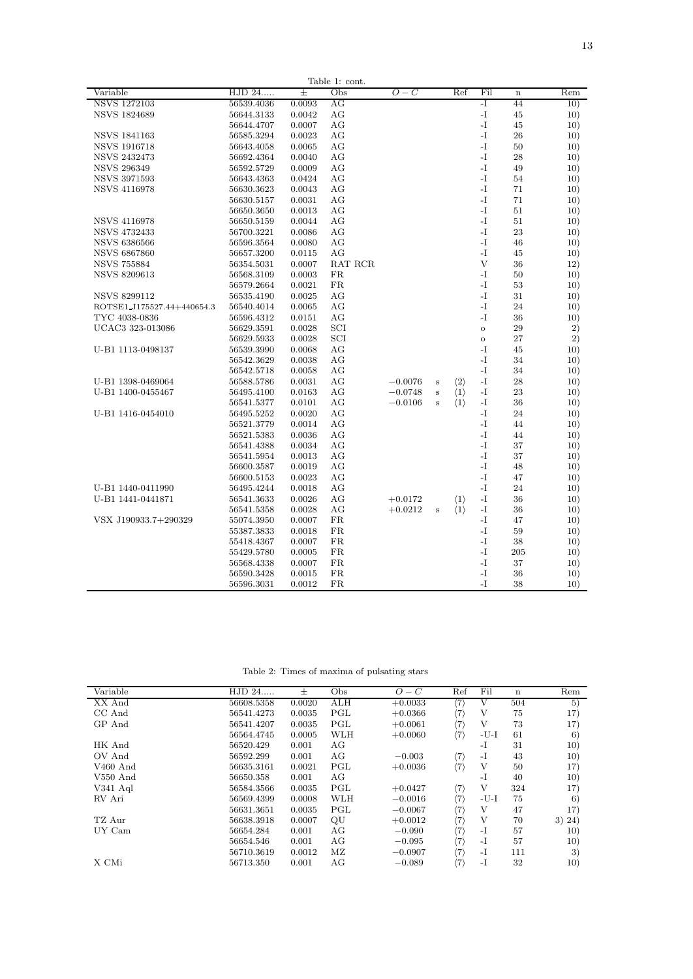| Variable<br>HJD 24<br>Obs<br>Ref<br>Ŧ<br>$O-C$<br>Fil<br>Rem<br>$\mathbf n$<br>-1<br><b>NSVS 1272103</b><br>56539.4036<br>0.0093<br>AG<br>44<br>10)<br><b>NSVS 1824689</b><br>AG<br>-1<br>56644.3133<br>0.0042<br>45<br>10)<br>-1<br>56644.4707<br>0.0007<br>AG<br>45<br>10)<br>-1<br><b>NSVS 1841163</b><br>56585.3294<br>0.0023<br>AG<br>26<br>10)<br>$-I$<br><b>NSVS 1916718</b><br>AG<br>56643.4058<br>0.0065<br>50<br>10)<br>$-I$<br><b>NSVS 2432473</b><br>56692.4364<br>0.0040<br>AG<br>28<br>10)<br>$-I$<br><b>NSVS 296349</b><br>AG<br>56592.5729<br>0.0009<br>49<br>10)<br><b>NSVS 3971593</b><br>AG<br>$-I$<br>56643.4363<br>0.0424<br>54<br>10)<br>$-I$<br><b>NSVS 4116978</b><br>56630.3623<br>0.0043<br>AG<br>71<br>10)<br>$-I$<br>AG<br>71<br>56630.5157<br>0.0031<br>10)<br>$-I$<br>AG<br>51<br>56650.3650<br>0.0013<br>10)<br>$-I$<br><b>NSVS 4116978</b><br>AG<br>51<br>56650.5159<br>0.0044<br>10)<br>$-I$<br><b>NSVS 4732433</b><br>23<br>56700.3221<br>0.0086<br>AG<br>10)<br>$-I$<br><b>NSVS 6386566</b><br>56596.3564<br>0.0080<br>AG<br>46<br>10)<br>$\mathbf{I}$<br><b>NSVS 6867860</b><br>56657.3200<br>0.0115<br>AG<br>45<br>10)<br>V<br><b>NSVS 755884</b><br>56354.5031<br>0.0007<br>RAT RCR<br>36<br>12) |
|----------------------------------------------------------------------------------------------------------------------------------------------------------------------------------------------------------------------------------------------------------------------------------------------------------------------------------------------------------------------------------------------------------------------------------------------------------------------------------------------------------------------------------------------------------------------------------------------------------------------------------------------------------------------------------------------------------------------------------------------------------------------------------------------------------------------------------------------------------------------------------------------------------------------------------------------------------------------------------------------------------------------------------------------------------------------------------------------------------------------------------------------------------------------------------------------------------------------------------------|
|                                                                                                                                                                                                                                                                                                                                                                                                                                                                                                                                                                                                                                                                                                                                                                                                                                                                                                                                                                                                                                                                                                                                                                                                                                        |
|                                                                                                                                                                                                                                                                                                                                                                                                                                                                                                                                                                                                                                                                                                                                                                                                                                                                                                                                                                                                                                                                                                                                                                                                                                        |
|                                                                                                                                                                                                                                                                                                                                                                                                                                                                                                                                                                                                                                                                                                                                                                                                                                                                                                                                                                                                                                                                                                                                                                                                                                        |
|                                                                                                                                                                                                                                                                                                                                                                                                                                                                                                                                                                                                                                                                                                                                                                                                                                                                                                                                                                                                                                                                                                                                                                                                                                        |
|                                                                                                                                                                                                                                                                                                                                                                                                                                                                                                                                                                                                                                                                                                                                                                                                                                                                                                                                                                                                                                                                                                                                                                                                                                        |
|                                                                                                                                                                                                                                                                                                                                                                                                                                                                                                                                                                                                                                                                                                                                                                                                                                                                                                                                                                                                                                                                                                                                                                                                                                        |
|                                                                                                                                                                                                                                                                                                                                                                                                                                                                                                                                                                                                                                                                                                                                                                                                                                                                                                                                                                                                                                                                                                                                                                                                                                        |
|                                                                                                                                                                                                                                                                                                                                                                                                                                                                                                                                                                                                                                                                                                                                                                                                                                                                                                                                                                                                                                                                                                                                                                                                                                        |
|                                                                                                                                                                                                                                                                                                                                                                                                                                                                                                                                                                                                                                                                                                                                                                                                                                                                                                                                                                                                                                                                                                                                                                                                                                        |
|                                                                                                                                                                                                                                                                                                                                                                                                                                                                                                                                                                                                                                                                                                                                                                                                                                                                                                                                                                                                                                                                                                                                                                                                                                        |
|                                                                                                                                                                                                                                                                                                                                                                                                                                                                                                                                                                                                                                                                                                                                                                                                                                                                                                                                                                                                                                                                                                                                                                                                                                        |
|                                                                                                                                                                                                                                                                                                                                                                                                                                                                                                                                                                                                                                                                                                                                                                                                                                                                                                                                                                                                                                                                                                                                                                                                                                        |
|                                                                                                                                                                                                                                                                                                                                                                                                                                                                                                                                                                                                                                                                                                                                                                                                                                                                                                                                                                                                                                                                                                                                                                                                                                        |
|                                                                                                                                                                                                                                                                                                                                                                                                                                                                                                                                                                                                                                                                                                                                                                                                                                                                                                                                                                                                                                                                                                                                                                                                                                        |
|                                                                                                                                                                                                                                                                                                                                                                                                                                                                                                                                                                                                                                                                                                                                                                                                                                                                                                                                                                                                                                                                                                                                                                                                                                        |
|                                                                                                                                                                                                                                                                                                                                                                                                                                                                                                                                                                                                                                                                                                                                                                                                                                                                                                                                                                                                                                                                                                                                                                                                                                        |
|                                                                                                                                                                                                                                                                                                                                                                                                                                                                                                                                                                                                                                                                                                                                                                                                                                                                                                                                                                                                                                                                                                                                                                                                                                        |
| <b>NSVS 8209613</b><br>56568.3109<br>FR<br>$-I$<br>0.0003<br>50<br>10)                                                                                                                                                                                                                                                                                                                                                                                                                                                                                                                                                                                                                                                                                                                                                                                                                                                                                                                                                                                                                                                                                                                                                                 |
| $-I$<br>56579.2664<br>0.0021<br>FR<br>53<br>10)                                                                                                                                                                                                                                                                                                                                                                                                                                                                                                                                                                                                                                                                                                                                                                                                                                                                                                                                                                                                                                                                                                                                                                                        |
| $-I$<br>0.0025<br>AG<br>NSVS 8299112<br>56535.4190<br>31<br>10)                                                                                                                                                                                                                                                                                                                                                                                                                                                                                                                                                                                                                                                                                                                                                                                                                                                                                                                                                                                                                                                                                                                                                                        |
| -1<br>56540.4014<br>0.0065<br>AG<br>24<br>10)<br>ROTSE1_J175527.44+440654.3                                                                                                                                                                                                                                                                                                                                                                                                                                                                                                                                                                                                                                                                                                                                                                                                                                                                                                                                                                                                                                                                                                                                                            |
| TYC 4038-0836<br>0.0151<br>AG<br>$-I$<br>36<br>56596.4312<br>10)                                                                                                                                                                                                                                                                                                                                                                                                                                                                                                                                                                                                                                                                                                                                                                                                                                                                                                                                                                                                                                                                                                                                                                       |
| UCAC3 323-013086<br>0.0028<br>SCI<br>29<br>2)<br>56629.3591<br>$\circ$                                                                                                                                                                                                                                                                                                                                                                                                                                                                                                                                                                                                                                                                                                                                                                                                                                                                                                                                                                                                                                                                                                                                                                 |
| SCI<br>2)<br>0.0028<br>27<br>56629.5933<br>$\rm ^{\circ}$                                                                                                                                                                                                                                                                                                                                                                                                                                                                                                                                                                                                                                                                                                                                                                                                                                                                                                                                                                                                                                                                                                                                                                              |
| U-B1 1113-0498137<br>AG<br>$-I$<br>45<br>10)<br>56539.3990<br>0.0068                                                                                                                                                                                                                                                                                                                                                                                                                                                                                                                                                                                                                                                                                                                                                                                                                                                                                                                                                                                                                                                                                                                                                                   |
| $-I$<br>56542.3629<br>0.0038<br>AG<br>34<br>10)                                                                                                                                                                                                                                                                                                                                                                                                                                                                                                                                                                                                                                                                                                                                                                                                                                                                                                                                                                                                                                                                                                                                                                                        |
| $-I$<br>56542.5718<br>0.0058<br>AG<br>34<br>10)                                                                                                                                                                                                                                                                                                                                                                                                                                                                                                                                                                                                                                                                                                                                                                                                                                                                                                                                                                                                                                                                                                                                                                                        |
| U-B1 1398-0469064<br>AG<br>$\langle 2 \rangle$<br>-1<br>56588.5786<br>0.0031<br>$-0.0076$<br>28<br>10)<br>s                                                                                                                                                                                                                                                                                                                                                                                                                                                                                                                                                                                                                                                                                                                                                                                                                                                                                                                                                                                                                                                                                                                            |
| U-B1 1400-0455467<br>AG<br>$\langle 1 \rangle$<br>$-I$<br>56495.4100<br>0.0163<br>$-0.0748$<br>23<br>10)<br>s                                                                                                                                                                                                                                                                                                                                                                                                                                                                                                                                                                                                                                                                                                                                                                                                                                                                                                                                                                                                                                                                                                                          |
| 56541.5377<br>0.0101<br>AG<br>$-0.0106$<br>$\langle 1 \rangle$<br>$-I$<br>36<br>10)<br>s                                                                                                                                                                                                                                                                                                                                                                                                                                                                                                                                                                                                                                                                                                                                                                                                                                                                                                                                                                                                                                                                                                                                               |
| 0.0020<br>AG<br>$-I$<br>24<br>U-B1 1416-0454010<br>56495.5252<br>10)                                                                                                                                                                                                                                                                                                                                                                                                                                                                                                                                                                                                                                                                                                                                                                                                                                                                                                                                                                                                                                                                                                                                                                   |
| $-I$<br>56521.3779<br>0.0014<br>AG<br>44<br>10)                                                                                                                                                                                                                                                                                                                                                                                                                                                                                                                                                                                                                                                                                                                                                                                                                                                                                                                                                                                                                                                                                                                                                                                        |
| 56521.5383<br>0.0036<br>AG<br>$-I$<br>44<br>10)                                                                                                                                                                                                                                                                                                                                                                                                                                                                                                                                                                                                                                                                                                                                                                                                                                                                                                                                                                                                                                                                                                                                                                                        |
| AG<br>$-I$<br>37<br>56541.4388<br>0.0034<br>10)                                                                                                                                                                                                                                                                                                                                                                                                                                                                                                                                                                                                                                                                                                                                                                                                                                                                                                                                                                                                                                                                                                                                                                                        |
| AG<br>-I<br>56541.5954<br>0.0013<br>37<br>10)                                                                                                                                                                                                                                                                                                                                                                                                                                                                                                                                                                                                                                                                                                                                                                                                                                                                                                                                                                                                                                                                                                                                                                                          |
| $-I$<br>0.0019<br>AG<br>48<br>56600.3587<br>10)                                                                                                                                                                                                                                                                                                                                                                                                                                                                                                                                                                                                                                                                                                                                                                                                                                                                                                                                                                                                                                                                                                                                                                                        |
| AG<br>$-I$<br>56600.5153<br>0.0023<br>47<br>10)                                                                                                                                                                                                                                                                                                                                                                                                                                                                                                                                                                                                                                                                                                                                                                                                                                                                                                                                                                                                                                                                                                                                                                                        |
| -1<br>U-B1 1440-0411990<br>0.0018<br>AG<br>24<br>56495.4244<br>10)                                                                                                                                                                                                                                                                                                                                                                                                                                                                                                                                                                                                                                                                                                                                                                                                                                                                                                                                                                                                                                                                                                                                                                     |
| U-B1 1441-0441871<br>AG<br>-1<br>56541.3633<br>0.0026<br>$+0.0172$<br>$\langle 1 \rangle$<br>36<br>10)                                                                                                                                                                                                                                                                                                                                                                                                                                                                                                                                                                                                                                                                                                                                                                                                                                                                                                                                                                                                                                                                                                                                 |
| $-I$<br>56541.5358<br>0.0028<br>AG<br>$+0.0212$<br>$\langle 1 \rangle$<br>36<br>10)<br>s                                                                                                                                                                                                                                                                                                                                                                                                                                                                                                                                                                                                                                                                                                                                                                                                                                                                                                                                                                                                                                                                                                                                               |
| VSX J190933.7+290329<br>55074.3950<br>0.0007<br>FR<br>-1<br>47<br>10)                                                                                                                                                                                                                                                                                                                                                                                                                                                                                                                                                                                                                                                                                                                                                                                                                                                                                                                                                                                                                                                                                                                                                                  |
| $\mathbf{I}$<br>0.0018<br><b>FR</b><br>55387.3833<br>59<br>10)                                                                                                                                                                                                                                                                                                                                                                                                                                                                                                                                                                                                                                                                                                                                                                                                                                                                                                                                                                                                                                                                                                                                                                         |
| -1<br>55418.4367<br>0.0007<br>FR<br>38<br>10)                                                                                                                                                                                                                                                                                                                                                                                                                                                                                                                                                                                                                                                                                                                                                                                                                                                                                                                                                                                                                                                                                                                                                                                          |
| $-I$<br>55429.5780<br>0.0005<br>FR<br>205<br>10)                                                                                                                                                                                                                                                                                                                                                                                                                                                                                                                                                                                                                                                                                                                                                                                                                                                                                                                                                                                                                                                                                                                                                                                       |
| $-I$<br>37<br>56568.4338<br>0.0007<br>FR<br>10)                                                                                                                                                                                                                                                                                                                                                                                                                                                                                                                                                                                                                                                                                                                                                                                                                                                                                                                                                                                                                                                                                                                                                                                        |
| $-I$<br>56590.3428<br>0.0015<br>FR<br>36<br>10)                                                                                                                                                                                                                                                                                                                                                                                                                                                                                                                                                                                                                                                                                                                                                                                                                                                                                                                                                                                                                                                                                                                                                                                        |
| 0.0012<br>FR<br>$-I$<br>38<br>10)<br>56596.3031                                                                                                                                                                                                                                                                                                                                                                                                                                                                                                                                                                                                                                                                                                                                                                                                                                                                                                                                                                                                                                                                                                                                                                                        |

Table 2: Times of maxima of pulsating stars

|            | 士                            | Obs | $O-C$     | Ref                 | Fil    | $\mathbf n$ | Rem    |
|------------|------------------------------|-----|-----------|---------------------|--------|-------------|--------|
| 56608.5358 | 0.0020                       | ALH | $+0.0033$ | (7                  |        | 504         | 5)     |
| 56541.4273 | 0.0035                       | PGL | $+0.0366$ | (7)                 | V      | 75          | 17)    |
| 56541.4207 | 0.0035                       | PGL | $+0.0061$ | (7)                 | V      | 73          | 17)    |
| 56564.4745 | 0.0005                       | WLH | $+0.0060$ | (7)                 | $-U-I$ | 61          | 6)     |
| 56520.429  | 0.001                        | AG  |           |                     | -1     | 31          | 10)    |
| 56592.299  | 0.001                        | AG  | $-0.003$  | $\langle 7 \rangle$ | $-I$   | 43          | 10)    |
| 56635.3161 | 0.0021                       | PGL | $+0.0036$ | (7)                 | V      | 50          | 17)    |
| 56650.358  | 0.001                        | AG  |           |                     | -1     | 40          | 10)    |
| 56584.3566 | 0.0035                       | PGL | $+0.0427$ | $\langle 7 \rangle$ | V      | 324         | 17)    |
| 56569.4399 | 0.0008                       | WLH | $-0.0016$ | (7)                 | -U-I   | 75          | 6)     |
| 56631.3651 | 0.0035                       | PGL | $-0.0067$ | (7)                 | V      | 47          | 17)    |
| 56638.3918 | 0.0007                       | QU  | $+0.0012$ | (7)                 | V      | 70          | 3) 24) |
| 56654.284  | 0.001                        | AG  | $-0.090$  | $\langle 7 \rangle$ | $-I$   | 57          | 10)    |
| 56654.546  | 0.001                        | AG  | $-0.095$  | (7)                 | $-I$   | 57          | 10)    |
| 56710.3619 | 0.0012                       | MZ  | $-0.0907$ | $\langle 7 \rangle$ | $-I$   | 111         | 3)     |
| 56713.350  | 0.001                        | AG  | $-0.089$  | $\langle 7 \rangle$ | $-I$   | 32          | 10)    |
|            | $\overline{\mathrm{HJD}}$ 24 |     |           |                     |        |             |        |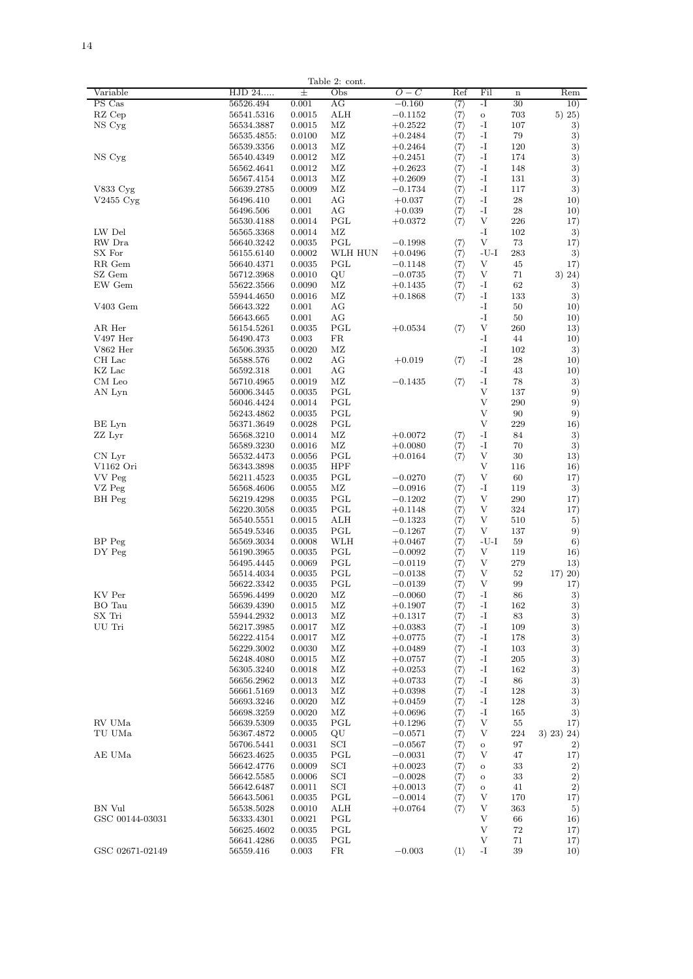| ٠<br>$\overline{\phantom{a}}$ |  |  |  |  |  |  |  |
|-------------------------------|--|--|--|--|--|--|--|
|                               |  |  |  |  |  |  |  |
|                               |  |  |  |  |  |  |  |
|                               |  |  |  |  |  |  |  |
|                               |  |  |  |  |  |  |  |
|                               |  |  |  |  |  |  |  |
|                               |  |  |  |  |  |  |  |
|                               |  |  |  |  |  |  |  |
|                               |  |  |  |  |  |  |  |
|                               |  |  |  |  |  |  |  |
|                               |  |  |  |  |  |  |  |
|                               |  |  |  |  |  |  |  |
|                               |  |  |  |  |  |  |  |
|                               |  |  |  |  |  |  |  |
|                               |  |  |  |  |  |  |  |
|                               |  |  |  |  |  |  |  |
|                               |  |  |  |  |  |  |  |
|                               |  |  |  |  |  |  |  |
|                               |  |  |  |  |  |  |  |
|                               |  |  |  |  |  |  |  |

| Variable        | HJD 24      | 土      | Obs          | $O-C$     | Ref                                                                                    | Fil      | $\mathbf n$ | Rem        |
|-----------------|-------------|--------|--------------|-----------|----------------------------------------------------------------------------------------|----------|-------------|------------|
| PS Cas          | 56526.494   | 0.001  | ΑG           | $-0.160$  | $\langle 7\rangle$                                                                     | -1       | 30          | 10)        |
| RZ Cep          | 56541.5316  | 0.0015 | ALH          | $-0.1152$ | $\langle 7 \rangle$                                                                    | $\Omega$ | 703         | 5) 25)     |
| NS Cyg          | 56534.3887  | 0.0015 | MZ           | $+0.2522$ | $\langle 7 \rangle$                                                                    | $-I$     | 107         | 3)         |
|                 | 56535.4855: | 0.0100 | MZ           | $+0.2484$ | $\langle 7 \rangle$                                                                    | -1       | 79          | 3)         |
|                 | 56539.3356  | 0.0013 | MZ           | $+0.2464$ | $\langle 7 \rangle$                                                                    | $-I$     | 120         | 3)         |
|                 |             |        |              |           |                                                                                        |          |             |            |
| NS Cyg          | 56540.4349  | 0.0012 | MZ           | $+0.2451$ | $\langle 7\rangle$                                                                     | -1       | 174         | 3)         |
|                 | 56562.4641  | 0.0012 | ΜZ           | $+0.2623$ | $\langle 7\rangle$                                                                     | -1       | 148         | 3)         |
|                 | 56567.4154  | 0.0013 | MZ           | $+0.2609$ |                                                                                        | -1       | 131         | 3)         |
| V833 Cyg        | 56639.2785  | 0.0009 | MZ           | $-0.1734$ | $\langle 7\rangle$<br>$\langle 7\rangle$<br>$\langle 7\rangle$                         | -1       | 117         | 3)         |
| $V2455$ Cyg     | 56496.410   | 0.001  | AG           | $+0.037$  |                                                                                        | $-I$     | 28          | 10)        |
|                 | 56496.506   | 0.001  | AG           | $+0.039$  | $\langle 7 \rangle$                                                                    | -1       | 28          | 10)        |
|                 | 56530.4188  | 0.0014 | PGL          | $+0.0372$ | $\langle 7 \rangle$                                                                    | V        | 226         | 17)        |
| LW Del          | 56565.3368  | 0.0014 | MZ           |           |                                                                                        | -1       | 102         | 3)         |
| RW Dra          | 56640.3242  | 0.0035 | PGL          | $-0.1998$ | $\langle 7 \rangle$                                                                    | V        | 73          | 17)        |
|                 |             |        |              |           |                                                                                        |          |             |            |
| SX For          | 56155.6140  | 0.0002 | WLH HUN      | $+0.0496$ | $\langle 7 \rangle$                                                                    | -U-I     | 283         | 3)         |
| RR Gem          | 56640.4371  | 0.0035 | PGL          | $-0.1148$ | $\langle 7 \rangle$                                                                    | V        | 45          | 17)        |
| SZ Gem          | 56712.3968  | 0.0010 | QU           | $-0.0735$ | $\langle 7 \rangle$                                                                    | V        | 71          | 3) 24)     |
| EW Gem          | 55622.3566  | 0.0090 | MZ           | $+0.1435$ | $\langle 7 \rangle$                                                                    | -1       | 62          | 3)         |
|                 | 55944.4650  | 0.0016 | ΜZ           | $+0.1868$ | $\langle 7 \rangle$                                                                    | -1       | 133         | 3)         |
| V403 Gem        | 56643.322   | 0.001  | AG           |           |                                                                                        | $-I$     | 50          | 10)        |
|                 | 56643.665   | 0.001  | AG           |           |                                                                                        | -1       | 50          | 10)        |
| AR Her          | 56154.5261  | 0.0035 | PGL          | $+0.0534$ | $\langle 7 \rangle$                                                                    | V        | 260         | 13)        |
| V497 Her        | 56490.473   | 0.003  | <b>FR</b>    |           |                                                                                        | -I       | 44          | 10)        |
| V862 Her        | 56506.3935  | 0.0020 | MZ           |           |                                                                                        | -1       | 102         | 3)         |
|                 |             |        |              |           |                                                                                        |          |             |            |
| CH Lac          | 56588.576   | 0.002  | AG           | $+0.019$  | $\langle 7 \rangle$                                                                    | -1       | 28          | 10)        |
| KZ Lac          | 56592.318   | 0.001  | AG           |           |                                                                                        | -1       | 43          | 10)        |
| CM Leo          | 56710.4965  | 0.0019 | MZ           | $-0.1435$ | $\langle 7 \rangle$                                                                    | $-I$     | 78          | 3)         |
| AN Lyn          | 56006.3445  | 0.0035 | PGL          |           |                                                                                        | V        | 137         | 9)         |
|                 | 56046.4424  | 0.0014 | PGL          |           |                                                                                        | V        | 290         | 9)         |
|                 | 56243.4862  | 0.0035 | PGL          |           |                                                                                        | V        | 90          | 9)         |
| BE Lyn          | 56371.3649  | 0.0028 | PGL          |           |                                                                                        | V        | 229         | 16)        |
| ZZ Lyr          | 56568.3210  | 0.0014 | MZ           | $+0.0072$ | $\langle 7 \rangle$                                                                    | -1       | 84          | 3)         |
|                 | 56589.3230  | 0.0016 | MZ           | $+0.0080$ | $\langle 7 \rangle$                                                                    | -1       | 70          | 3)         |
| CN Lyr          | 56532.4473  | 0.0056 | PGL          |           | $\langle 7\rangle$                                                                     | V        | 30          | 13)        |
|                 |             |        |              | $+0.0164$ |                                                                                        |          |             |            |
| V1162 Ori       | 56343.3898  | 0.0035 | HPF          |           |                                                                                        | V        | 116         | 16)        |
| VV Peg          | 56211.4523  | 0.0035 | PGL          | $-0.0270$ | $\langle 7 \rangle$                                                                    | V        | 60          | 17)        |
| VZ Peg          | 56568.4606  | 0.0055 | MZ           | $-0.0916$ | $\langle 7\rangle$                                                                     | -1       | 119         | 3)         |
| BH Peg          | 56219.4298  | 0.0035 | PGL          | $-0.1202$ | $\langle 7 \rangle$                                                                    | V        | 290         | 17)        |
|                 | 56220.3058  | 0.0035 | $_{\rm PGL}$ | $+0.1148$ | $\langle 7\rangle$                                                                     | V        | 324         | 17)        |
|                 | 56540.5551  | 0.0015 | ALH          | $-0.1323$ | $\langle 7\rangle$                                                                     | V        | 510         | 5)         |
|                 | 56549.5346  | 0.0035 | PGL          | $-0.1267$ | $\langle 7\rangle$                                                                     | V        | 137         | 9)         |
| BP Peg          | 56569.3034  | 0.0008 | WLH          | $+0.0467$ | $\langle 7 \rangle$                                                                    | -U-I     | 59          | 6)         |
| DY Peg          | 56190.3965  | 0.0035 | PGL          | $-0.0092$ | $\langle 7 \rangle$                                                                    | V        | 119         | 16)        |
|                 | 56495.4445  | 0.0069 | PGL          | $-0.0119$ | $\langle 7 \rangle$                                                                    | V        | 279         | 13)        |
|                 | 56514.4034  | 0.0035 | PGL          | $-0.0138$ | $\langle 7 \rangle$                                                                    | V        | 52          | 17) 20)    |
|                 | 56622.3342  | 0.0035 | $_{\rm PGL}$ | $-0.0139$ | $\langle 7 \rangle$                                                                    | V        | 99          | 17)        |
| KV Per          |             |        | MZ           |           |                                                                                        | $-I$     | 86          |            |
|                 | 56596.4499  | 0.0020 |              | $-0.0060$ | $\langle 7 \rangle$                                                                    |          |             | 3)         |
| BO Tau          | 56639.4390  | 0.0015 | ΜZ           | $+0.1907$ | $\langle 7 \rangle$                                                                    | -1       | 162         | 3)         |
| SX Tri          | 55944.2932  | 0.0013 | MZ           | $+0.1317$ |                                                                                        | $-I$     | 83          | 3)         |
| UU Tri          | 56217.3985  | 0.0017 | MZ           | $+0.0383$ | $\langle 7 \rangle$<br>$\langle 7 \rangle$                                             | $-I$     | 109         | 3)         |
|                 | 56222.4154  | 0.0017 | MZ           | $+0.0775$ | $\langle 7 \rangle$                                                                    | $-I$     | 178         | 3)         |
|                 | 56229.3002  | 0.0030 | MZ           | $+0.0489$ | $\langle 7 \rangle$                                                                    | -1       | 103         | 3)         |
|                 | 56248.4080  | 0.0015 | MZ           | $+0.0757$ | $\langle 7\rangle$                                                                     | $-I$     | 205         | 3)         |
|                 | 56305.3240  | 0.0018 | MZ           | $+0.0253$ | $\begin{pmatrix} 7 \ 7 \end{pmatrix}$                                                  | $-I$     | 162         | 3)         |
|                 | 56656.2962  | 0.0013 | МZ           | $+0.0733$ |                                                                                        | -1       | 86          | 3)         |
|                 | 56661.5169  | 0.0013 | MZ           | $+0.0398$ | $\langle 7 \rangle$<br>$\langle 7 \rangle$                                             | -1       | 128         | 3)         |
|                 | 56693.3246  | 0.0020 | MZ           | $+0.0459$ |                                                                                        | $-I$     | 128         | 3)         |
|                 | 56698.3259  | 0.0020 | MZ           | $+0.0696$ |                                                                                        | -1       | 165         | 3)         |
|                 |             |        |              |           | $\langle 7 \rangle$                                                                    |          |             |            |
| RV UMa          | 56639.5309  | 0.0035 | PGL          | $+0.1296$ | $\langle 7 \rangle$                                                                    | V        | 55          | 17)        |
| TU UMa          | 56367.4872  | 0.0005 | QU           | $-0.0571$ | $\langle 7\rangle$                                                                     | V        | 224         | 3) 23) 24) |
|                 | 56706.5441  | 0.0031 | SCI          | $-0.0567$ | $\langle 7 \rangle$                                                                    | $\circ$  | 97          | 2)         |
| AE UMa          | 56623.4625  | 0.0035 | PGL          | $-0.0031$ | $\langle 7\rangle$                                                                     | V        | 47          | 17)        |
|                 | 56642.4776  | 0.0009 | SCI          | $+0.0023$ | $\langle 7\rangle \langle 7\rangle \langle 7\rangle \langle 7\rangle \langle 7\rangle$ | $\circ$  | 33          | 2)         |
|                 | 56642.5585  | 0.0006 | SCI          | $-0.0028$ |                                                                                        | $\circ$  | 33          | 2)         |
|                 | 56642.6487  | 0.0011 | SCI          | $+0.0013$ |                                                                                        | $\circ$  | 41          | 2)         |
|                 | 56643.5061  | 0.0035 | PGL          | $-0.0014$ |                                                                                        | V        | 170         | 17)        |
| BN Vul          | 56538.5028  | 0.0010 | ALH          | $+0.0764$ | $\langle 7 \rangle$                                                                    | V        | 363         | 5)         |
| GSC 00144-03031 | 56333.4301  | 0.0021 | PGL          |           |                                                                                        | V        | 66          | 16)        |
|                 |             |        | PGL          |           |                                                                                        |          |             |            |
|                 | 56625.4602  | 0.0035 |              |           |                                                                                        | V        | 72          | 17)        |
|                 | 56641.4286  | 0.0035 | PGL          |           |                                                                                        | V        | 71          | 17)        |
| GSC 02671-02149 | 56559.416   | 0.003  | FR           | $-0.003$  | $\langle 1 \rangle$                                                                    | -1       | 39          | 10)        |

Table 2:  $\mbox{cont.}$ 

 $\sim$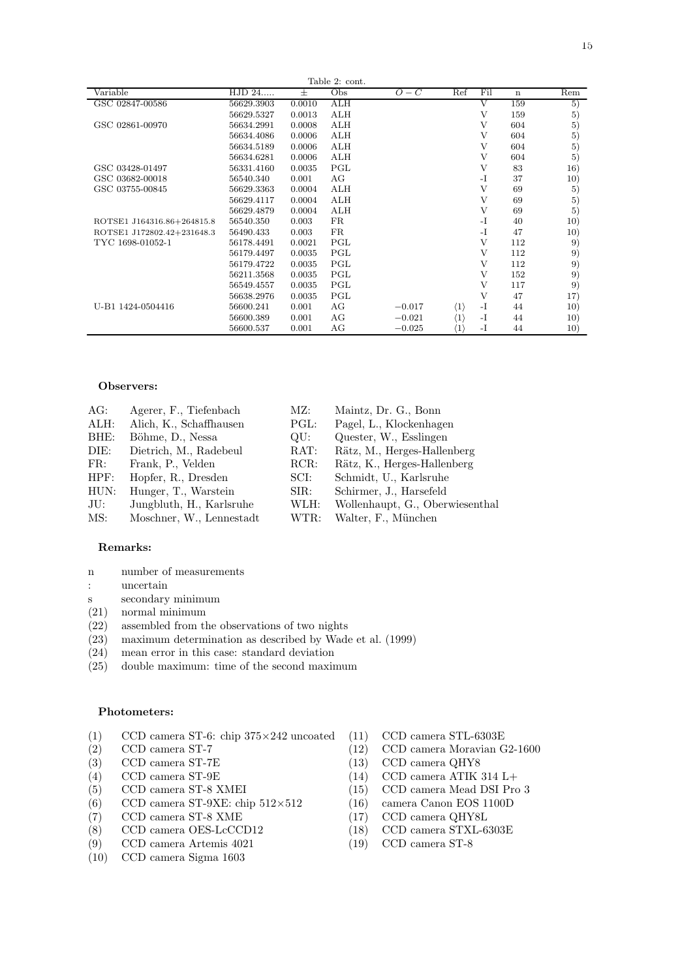|                            |            |        | Table 2: cont. |          |                     |      |             |     |
|----------------------------|------------|--------|----------------|----------|---------------------|------|-------------|-----|
| Variable                   | HJD 24     | 士      | Obs            | $O-C$    | Ref                 | Fil  | $\mathbf n$ | Rem |
| GSC 02847-00586            | 56629.3903 | 0.0010 | ALH            |          |                     | V    | 159         | 5)  |
|                            | 56629.5327 | 0.0013 | ALH            |          |                     | V    | 159         | 5)  |
| GSC 02861-00970            | 56634.2991 | 0.0008 | ALH            |          |                     | V    | 604         | 5)  |
|                            | 56634.4086 | 0.0006 | ALH            |          |                     | V    | 604         | 5)  |
|                            | 56634.5189 | 0.0006 | ALH            |          |                     | V    | 604         | 5)  |
|                            | 56634.6281 | 0.0006 | ALH            |          |                     | V    | 604         | 5)  |
| GSC 03428-01497            | 56331.4160 | 0.0035 | PGL            |          |                     | V    | 83          | 16) |
| GSC 03682-00018            | 56540.340  | 0.001  | AG             |          |                     | $-I$ | 37          | 10) |
| GSC 03755-00845            | 56629.3363 | 0.0004 | ALH            |          |                     | V    | 69          | 5)  |
|                            | 56629.4117 | 0.0004 | ALH            |          |                     | V    | 69          | 5)  |
|                            | 56629.4879 | 0.0004 | ALH            |          |                     | V    | 69          | 5)  |
| ROTSE1 J164316.86+264815.8 | 56540.350  | 0.003  | FR.            |          |                     | $-I$ | 40          | 10) |
| ROTSE1 J172802.42+231648.3 | 56490.433  | 0.003  | FR.            |          |                     | $-I$ | 47          | 10) |
| TYC 1698-01052-1           | 56178.4491 | 0.0021 | PGL            |          |                     | V    | 112         | 9)  |
|                            | 56179.4497 | 0.0035 | PGL            |          |                     | V    | 112         | 9)  |
|                            | 56179.4722 | 0.0035 | PGL            |          |                     | V    | 112         | 9)  |
|                            | 56211.3568 | 0.0035 | PGL            |          |                     | V    | 152         | 9)  |
|                            | 56549.4557 | 0.0035 | PGL            |          |                     | V    | 117         | 9)  |
|                            | 56638.2976 | 0.0035 | PGL            |          |                     | V    | 47          | 17) |
| U-B1 1424-0504416          | 56600.241  | 0.001  | AG             | $-0.017$ | $\langle 1 \rangle$ | $-I$ | 44          | 10) |
|                            | 56600.389  | 0.001  | AG             | $-0.021$ | $\langle 1 \rangle$ | -1   | 44          | 10) |
|                            | 56600.537  | 0.001  | AG             | $-0.025$ | $\langle 1 \rangle$ | $-I$ | 44          | 10) |

#### Observers:

| AG:  | Agerer, F., Tiefenbach   | MZ:                      | Maintz, Dr. G., Bonn            |
|------|--------------------------|--------------------------|---------------------------------|
| ALH: | Alich, K., Schaffhausen  | PGL:                     | Pagel, L., Klockenhagen         |
| BHE: | Böhme, D., Nessa         | $\overline{\text{OU}}$ : | Quester, W., Esslingen          |
| DIE: | Dietrich, M., Radebeul   | RAT:                     | Rätz, M., Herges-Hallenberg     |
| FR:  | Frank, P., Velden        | RCR:                     | Rätz, K., Herges-Hallenberg     |
| HPF: | Hopfer, R., Dresden      | SCI:                     | Schmidt, U., Karlsruhe          |
| HUN: | Hunger, T., Warstein     | SIR:                     | Schirmer, J., Harsefeld         |
| JU:  | Jungbluth, H., Karlsruhe | WLH:                     | Wollenhaupt, G., Oberwiesenthal |
| MS:  | Moschner, W., Lennestadt | WTR:                     | Walter, F., München             |
|      |                          |                          |                                 |

#### Remarks:

- n number of measurements
- : uncertain
- s secondary minimum
- (21) normal minimum
- (22) assembled from the observations of two nights
- (23) maximum determination as described by Wade et al. (1999)
- $(24)$  mean error in this case: standard deviation  $(25)$  double maximum: time of the second maximum
- (25) double maximum: time of the second maximum

#### Photometers:

- (1)  $CCD$  camera ST-6: chip  $375 \times 242$  uncoated (11)  $CCD$  camera STL-6303E<br>(2)  $CCD$  camera ST-7 (12)  $CCD$  camera Moravian C
- 
- $(3)$  CCD camera ST-7E  $(13)$
- 
- 
- (6) CCD camera ST-9XE: chip  $512\times512$  (16) camera Canon EOS 1100D
- (7) CCD camera ST-8 XME (17) CCD camera QHY8L
- (8) CCD camera OES-LcCCD12 (18) CCD camera STXL-6303E<br>
(9) CCD camera Artemis 4021 (19) CCD camera ST-8
- $CCD$  camera Artemis 4021
- (10) CCD camera Sigma 1603
- 
- (2)  $CCD$  camera ST-7 (12)  $CCD$  camera Moravian G2-1600 (3)  $CCD$  camera ST-7E (13)  $CCD$  camera QHY8
	-
- (4) CCD camera ST-9E  $(14)$  CCD camera ATIK 314 L+
- (5) CCD camera ST-8 XMEI (15) CCD camera Mead DSI Pro 3
	-
	-
	-
	-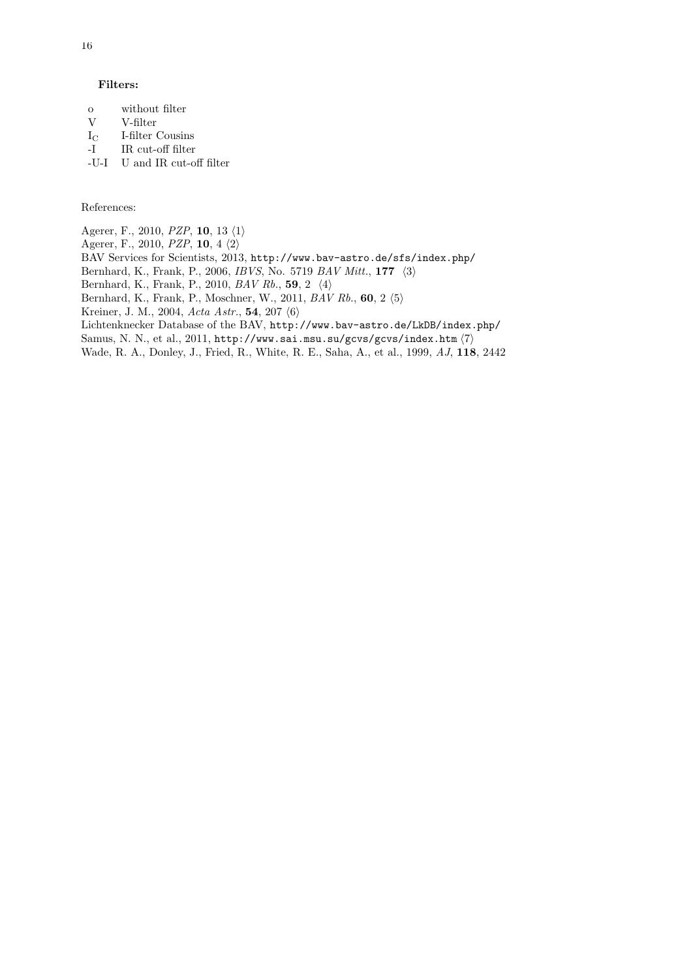#### Filters:

- o without filter  $V = V_f$
- $V$  V-filter<br> $I_C$  I-filter
- I-filter Cousins
- -I IR cut-off filter
- -U-I U and IR cut-off filter

References:

Agerer, F., 2010, *PZP*, **10**, 13 $\langle 1 \rangle$ 

Agerer, F., 2010, PZP, 10, 4  $\langle 2 \rangle$ 

- BAV Services for Scientists, 2013, http://www.bav-astro.de/sfs/index.php/
- Bernhard, K., Frank, P., 2006, *IBVS*, No. 5719  $BAV$  *Mitt.*, 177  $\langle 3 \rangle$

Bernhard, K., Frank, P., 2010, BAV Rb., 59, 2  $\langle 4 \rangle$ 

Bernhard, K., Frank, P., Moschner, W., 2011, BAV Rb., 60, 2 $\langle 5 \rangle$ 

Kreiner, J. M., 2004, Acta Astr., 54, 207 $\langle 6 \rangle$ 

Lichtenknecker Database of the BAV, http://www.bav-astro.de/LkDB/index.php/

Samus, N. N., et al., 2011, http://www.sai.msu.su/gcvs/gcvs/index.htm  $\langle 7 \rangle$ 

Wade, R. A., Donley, J., Fried, R., White, R. E., Saha, A., et al., 1999, AJ, 118, 2442